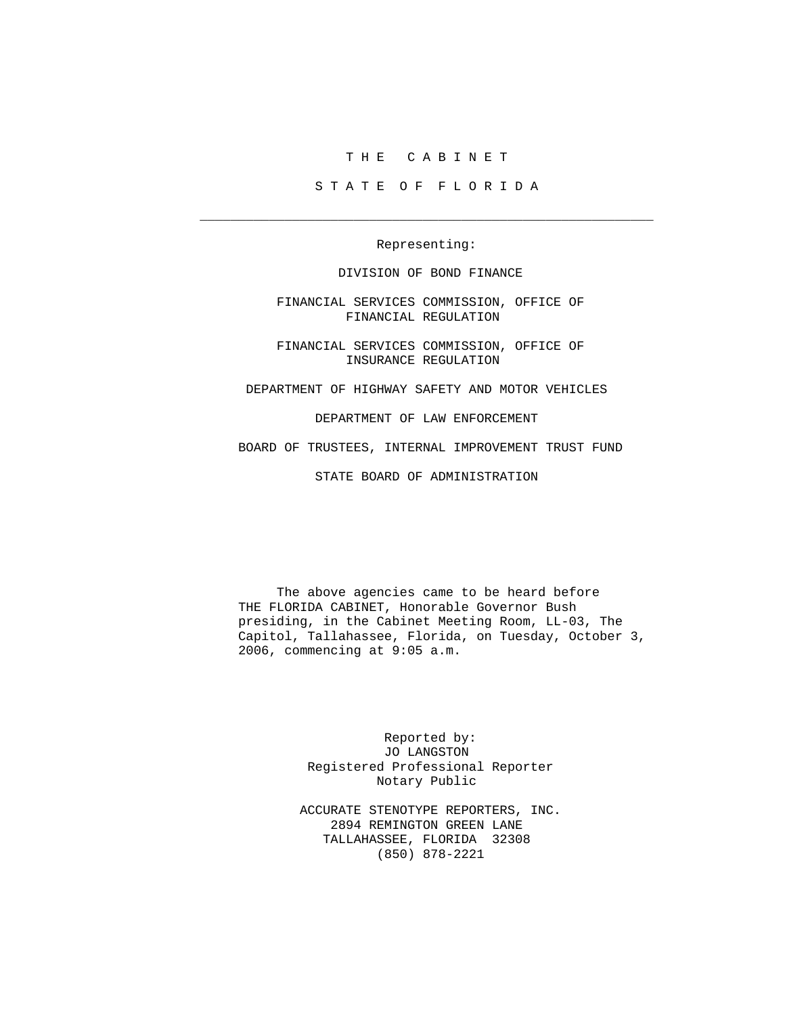## T H E C A B I N E T

S T A T E O F F L O R I D A

Representing:

 $\overline{\phantom{a}}$  ,  $\overline{\phantom{a}}$  ,  $\overline{\phantom{a}}$  ,  $\overline{\phantom{a}}$  ,  $\overline{\phantom{a}}$  ,  $\overline{\phantom{a}}$  ,  $\overline{\phantom{a}}$  ,  $\overline{\phantom{a}}$  ,  $\overline{\phantom{a}}$  ,  $\overline{\phantom{a}}$  ,  $\overline{\phantom{a}}$  ,  $\overline{\phantom{a}}$  ,  $\overline{\phantom{a}}$  ,  $\overline{\phantom{a}}$  ,  $\overline{\phantom{a}}$  ,  $\overline{\phantom{a}}$ 

DIVISION OF BOND FINANCE

 FINANCIAL SERVICES COMMISSION, OFFICE OF FINANCIAL REGULATION

 FINANCIAL SERVICES COMMISSION, OFFICE OF INSURANCE REGULATION

DEPARTMENT OF HIGHWAY SAFETY AND MOTOR VEHICLES

DEPARTMENT OF LAW ENFORCEMENT

BOARD OF TRUSTEES, INTERNAL IMPROVEMENT TRUST FUND

STATE BOARD OF ADMINISTRATION

 The above agencies came to be heard before THE FLORIDA CABINET, Honorable Governor Bush presiding, in the Cabinet Meeting Room, LL-03, The Capitol, Tallahassee, Florida, on Tuesday, October 3, 2006, commencing at 9:05 a.m.

> Reported by: JO LANGSTON Registered Professional Reporter Notary Public

 ACCURATE STENOTYPE REPORTERS, INC. 2894 REMINGTON GREEN LANE TALLAHASSEE, FLORIDA 32308 (850) 878-2221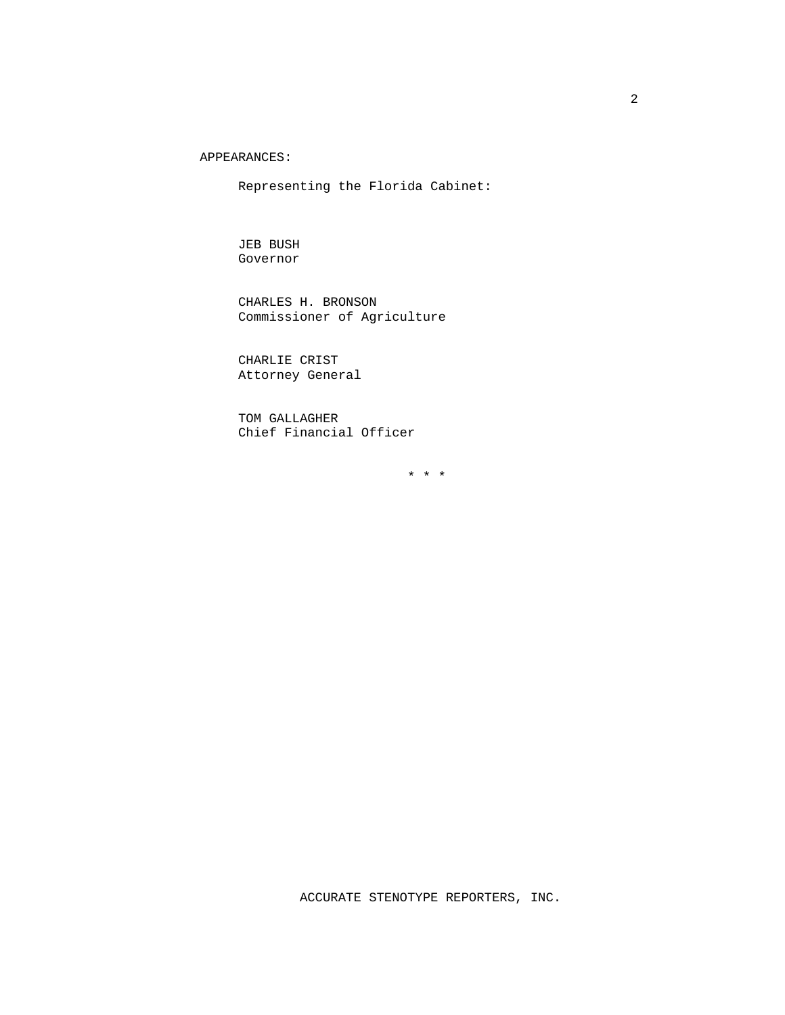APPEARANCES:

Representing the Florida Cabinet:

 JEB BUSH Governor

 CHARLES H. BRONSON Commissioner of Agriculture

 CHARLIE CRIST Attorney General

 TOM GALLAGHER Chief Financial Officer

\* \* \*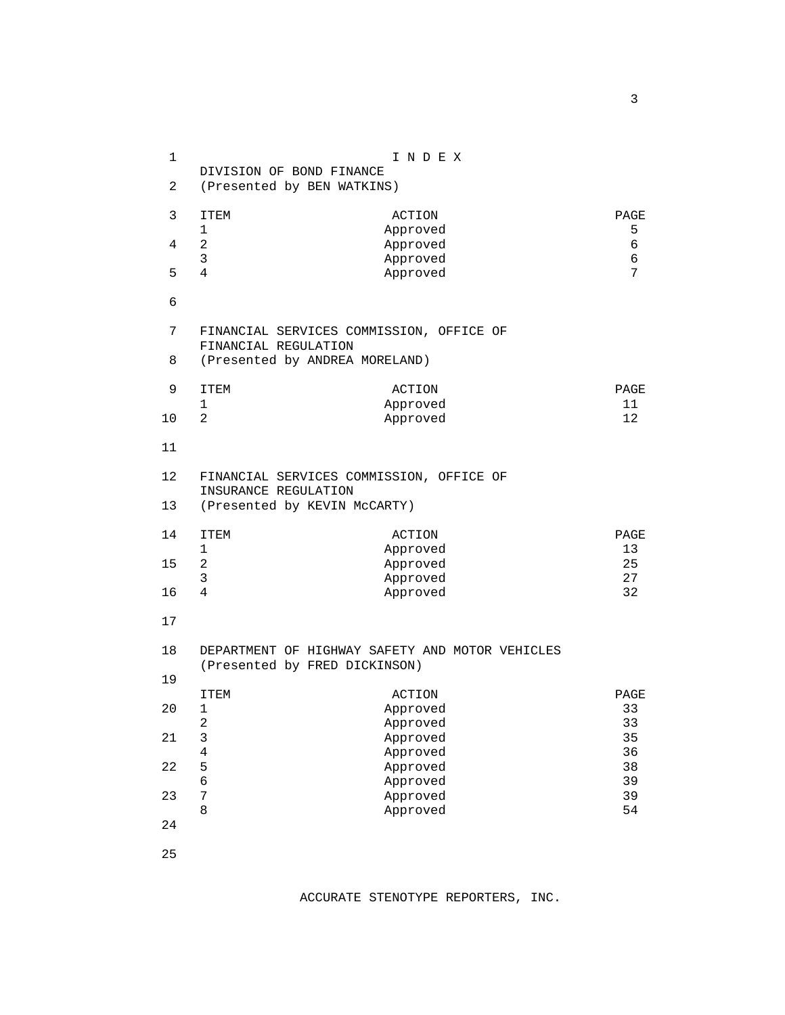| $\mathbf 1$                                                |                                                                                                    | INDEX                |          |
|------------------------------------------------------------|----------------------------------------------------------------------------------------------------|----------------------|----------|
| $\overline{a}$                                             | DIVISION OF BOND FINANCE<br>(Presented by BEN WATKINS)                                             |                      |          |
| 3                                                          | <b>ITEM</b>                                                                                        | ACTION               | PAGE     |
|                                                            | $\mathbf 1$                                                                                        | Approved             | 5        |
| 4                                                          | $\overline{a}$                                                                                     | Approved             | 6        |
|                                                            | 3                                                                                                  | Approved             | 6        |
| 5                                                          | 4                                                                                                  | Approved             | 7        |
| 6                                                          |                                                                                                    |                      |          |
| 7                                                          | FINANCIAL SERVICES COMMISSION, OFFICE OF<br>FINANCIAL REGULATION<br>(Presented by ANDREA MORELAND) |                      |          |
| 8                                                          |                                                                                                    |                      |          |
| 9                                                          | <b>ITEM</b>                                                                                        | ACTION               | PAGE     |
|                                                            | 1                                                                                                  | Approved             | 11       |
| 10                                                         | $\overline{a}$                                                                                     | Approved             | 12       |
| 11                                                         |                                                                                                    |                      |          |
| 12                                                         | FINANCIAL SERVICES COMMISSION, OFFICE OF                                                           |                      |          |
| INSURANCE REGULATION<br>13<br>(Presented by KEVIN McCARTY) |                                                                                                    |                      |          |
|                                                            |                                                                                                    |                      |          |
| 14                                                         | <b>ITEM</b>                                                                                        | ACTION               | PAGE     |
|                                                            | $\mathbf 1$                                                                                        | Approved             | 13       |
| 15                                                         | $\overline{a}$                                                                                     | Approved             | 25       |
|                                                            | 3                                                                                                  | Approved             | 27       |
| 16                                                         | $\overline{4}$                                                                                     | Approved             | 32       |
| 17                                                         |                                                                                                    |                      |          |
| 18                                                         | DEPARTMENT OF HIGHWAY SAFETY AND MOTOR VEHICLES<br>(Presented by FRED DICKINSON)                   |                      |          |
| 19                                                         |                                                                                                    |                      |          |
|                                                            | ITEM                                                                                               | ACTION               | PAGE     |
| 20                                                         | 1                                                                                                  | Approved             | 33       |
|                                                            | $\overline{\mathbf{c}}$                                                                            | Approved             | 33       |
| 21                                                         | $\mathsf 3$                                                                                        | Approved             | 35       |
|                                                            | $\,4$                                                                                              | Approved             | 36       |
| 22                                                         | 5                                                                                                  | Approved             | 38       |
|                                                            | $\epsilon$                                                                                         | Approved             | 39       |
| 23                                                         | 7<br>8                                                                                             | Approved<br>Approved | 39<br>54 |
| 24                                                         |                                                                                                    |                      |          |
|                                                            |                                                                                                    |                      |          |
| 25                                                         |                                                                                                    |                      |          |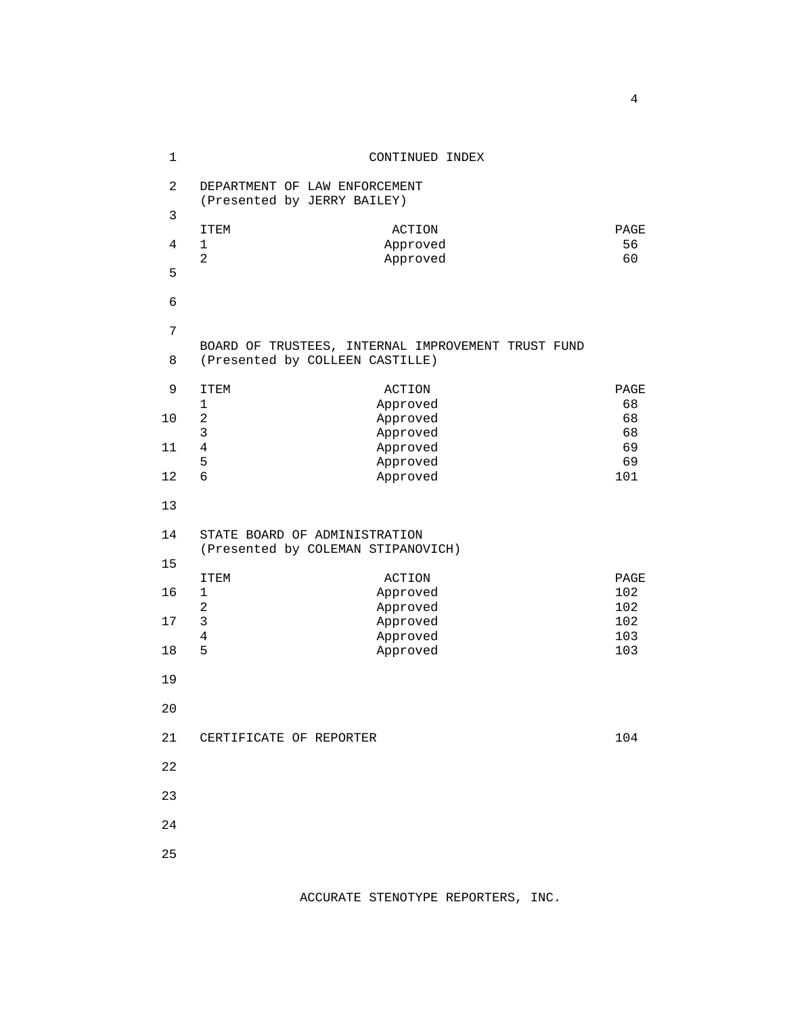| $\mathbf{1}$   | CONTINUED INDEX                                                                       |            |  |
|----------------|---------------------------------------------------------------------------------------|------------|--|
| $\overline{a}$ | DEPARTMENT OF LAW ENFORCEMENT<br>(Presented by JERRY BAILEY)                          |            |  |
| 3              |                                                                                       |            |  |
| 4              | ITEM<br>ACTION<br>$\mathbf 1$<br>Approved                                             | PAGE<br>56 |  |
| 5              | $\overline{2}$<br>Approved                                                            | 60         |  |
| $\epsilon$     |                                                                                       |            |  |
| $\overline{7}$ |                                                                                       |            |  |
| 8              | BOARD OF TRUSTEES, INTERNAL IMPROVEMENT TRUST FUND<br>(Presented by COLLEEN CASTILLE) |            |  |
| 9              | ITEM<br>ACTION                                                                        | PAGE       |  |
| 10             | $\mathbf{1}$<br>Approved<br>$\sqrt{2}$<br>Approved                                    | 68<br>68   |  |
|                | $\mathbf{3}$<br>Approved                                                              | 68         |  |
| 11             | $\sqrt{4}$<br>Approved                                                                | 69         |  |
| 12             | 5<br>Approved<br>$\overline{6}$<br>Approved                                           | 69<br>101  |  |
|                |                                                                                       |            |  |
| 13             |                                                                                       |            |  |
| 14             | STATE BOARD OF ADMINISTRATION                                                         |            |  |
| 15             | (Presented by COLEMAN STIPANOVICH)                                                    |            |  |
|                | <b>ITEM</b><br>ACTION                                                                 | PAGE       |  |
| 16             | $\mathbf 1$<br>Approved                                                               | 102        |  |
|                | $\overline{a}$<br>Approved                                                            | 102        |  |
| 17             | $\mathfrak{Z}$<br>Approved<br>$\overline{4}$<br>Approved                              | 102<br>103 |  |
| 18             | 5<br>Approved                                                                         | 103        |  |
| 19             |                                                                                       |            |  |
| 20             |                                                                                       |            |  |
|                |                                                                                       |            |  |
| 21             | CERTIFICATE OF REPORTER                                                               | 104        |  |
| 22             |                                                                                       |            |  |
| 23             |                                                                                       |            |  |
| 24             |                                                                                       |            |  |
| 25             |                                                                                       |            |  |
|                |                                                                                       |            |  |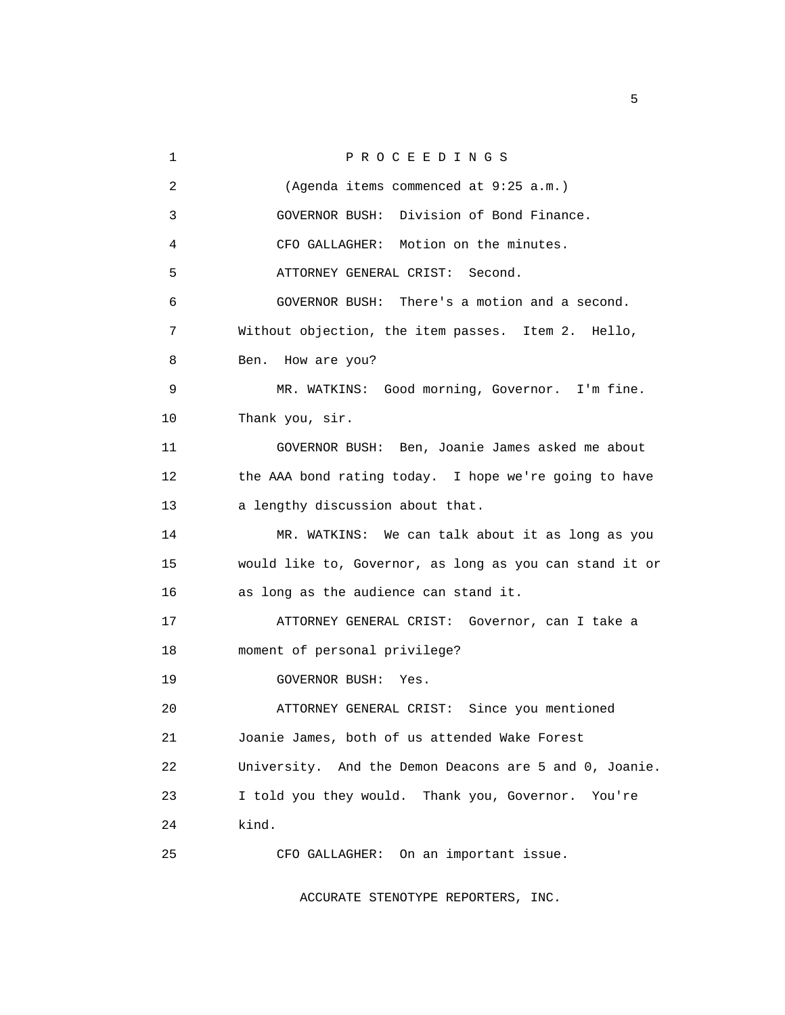1 PROCEEDINGS 2 (Agenda items commenced at 9:25 a.m.) 3 GOVERNOR BUSH: Division of Bond Finance. 4 CFO GALLAGHER: Motion on the minutes. 5 ATTORNEY GENERAL CRIST: Second. 6 GOVERNOR BUSH: There's a motion and a second. 7 Without objection, the item passes. Item 2. Hello, 8 Ben. How are you? 9 MR. WATKINS: Good morning, Governor. I'm fine. 10 Thank you, sir. 11 GOVERNOR BUSH: Ben, Joanie James asked me about 12 the AAA bond rating today. I hope we're going to have 13 a lengthy discussion about that. 14 MR. WATKINS: We can talk about it as long as you 15 would like to, Governor, as long as you can stand it or 16 as long as the audience can stand it. 17 ATTORNEY GENERAL CRIST: Governor, can I take a 18 moment of personal privilege? 19 GOVERNOR BUSH: Yes. 20 ATTORNEY GENERAL CRIST: Since you mentioned 21 Joanie James, both of us attended Wake Forest 22 University. And the Demon Deacons are 5 and 0, Joanie. 23 I told you they would. Thank you, Governor. You're 24 kind. 25 CFO GALLAGHER: On an important issue.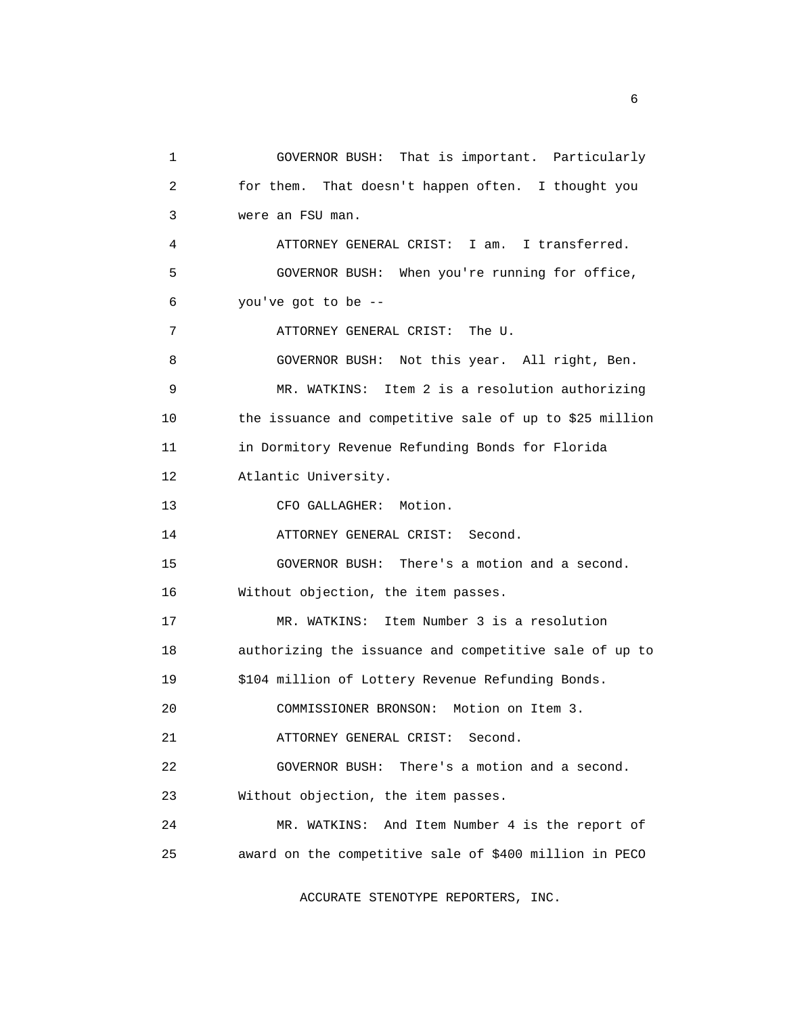1 GOVERNOR BUSH: That is important. Particularly 2 for them. That doesn't happen often. I thought you 3 were an FSU man. 4 ATTORNEY GENERAL CRIST: I am. I transferred. 5 GOVERNOR BUSH: When you're running for office, 6 you've got to be -- 7 ATTORNEY GENERAL CRIST: The U. 8 GOVERNOR BUSH: Not this year. All right, Ben. 9 MR. WATKINS: Item 2 is a resolution authorizing 10 the issuance and competitive sale of up to \$25 million 11 in Dormitory Revenue Refunding Bonds for Florida 12 Atlantic University. 13 CFO GALLAGHER: Motion. 14 ATTORNEY GENERAL CRIST: Second. 15 GOVERNOR BUSH: There's a motion and a second. 16 Without objection, the item passes. 17 MR. WATKINS: Item Number 3 is a resolution 18 authorizing the issuance and competitive sale of up to 19 \$104 million of Lottery Revenue Refunding Bonds. 20 COMMISSIONER BRONSON: Motion on Item 3. 21 ATTORNEY GENERAL CRIST: Second. 22 GOVERNOR BUSH: There's a motion and a second. 23 Without objection, the item passes. 24 MR. WATKINS: And Item Number 4 is the report of 25 award on the competitive sale of \$400 million in PECO

ACCURATE STENOTYPE REPORTERS, INC.

 $\sim$  6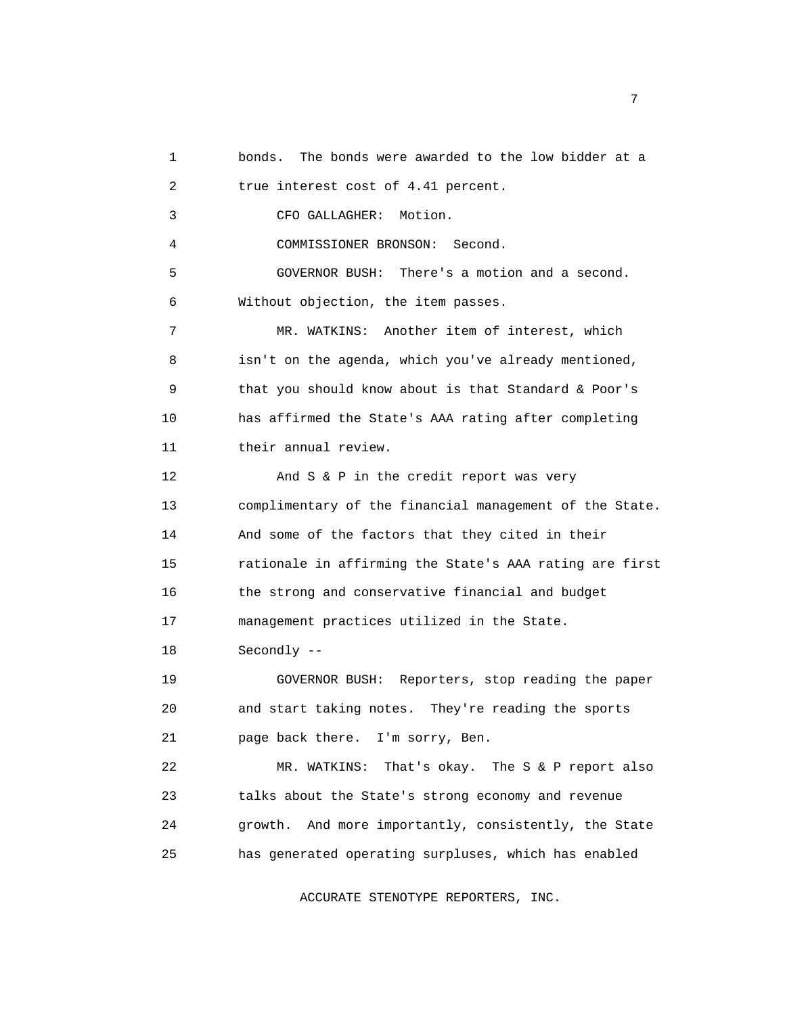1 bonds. The bonds were awarded to the low bidder at a 2 true interest cost of 4.41 percent. 3 CFO GALLAGHER: Motion. 4 COMMISSIONER BRONSON: Second. 5 GOVERNOR BUSH: There's a motion and a second. 6 Without objection, the item passes. 7 MR. WATKINS: Another item of interest, which 8 isn't on the agenda, which you've already mentioned, 9 that you should know about is that Standard & Poor's 10 has affirmed the State's AAA rating after completing 11 their annual review. 12 And S & P in the credit report was very 13 complimentary of the financial management of the State. 14 And some of the factors that they cited in their 15 rationale in affirming the State's AAA rating are first 16 the strong and conservative financial and budget 17 management practices utilized in the State. 18 Secondly -- 19 GOVERNOR BUSH: Reporters, stop reading the paper 20 and start taking notes. They're reading the sports 21 page back there. I'm sorry, Ben. 22 MR. WATKINS: That's okay. The S & P report also 23 talks about the State's strong economy and revenue 24 growth. And more importantly, consistently, the State 25 has generated operating surpluses, which has enabled

ACCURATE STENOTYPE REPORTERS, INC.

<u>2</u> The contract of the contract of the contract of the contract of the contract of the contract of the contract of the contract of the contract of the contract of the contract of the contract of the contract of the contra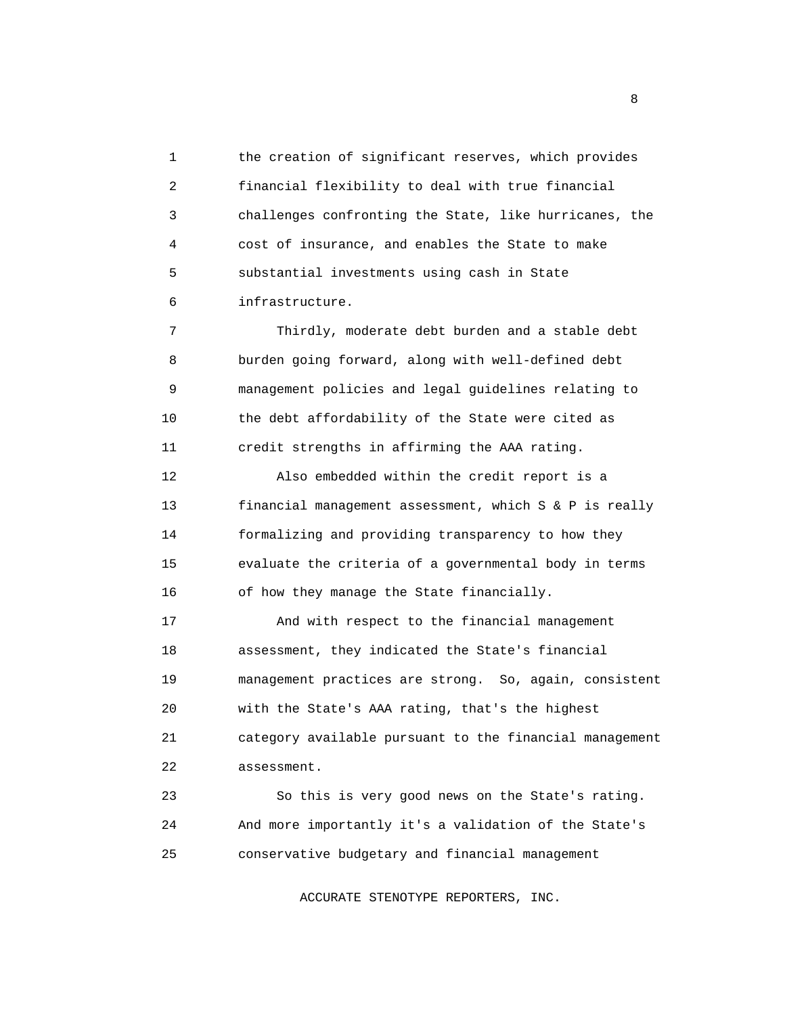1 the creation of significant reserves, which provides 2 financial flexibility to deal with true financial 3 challenges confronting the State, like hurricanes, the 4 cost of insurance, and enables the State to make 5 substantial investments using cash in State 6 infrastructure.

 7 Thirdly, moderate debt burden and a stable debt 8 burden going forward, along with well-defined debt 9 management policies and legal guidelines relating to 10 the debt affordability of the State were cited as 11 credit strengths in affirming the AAA rating.

 12 Also embedded within the credit report is a 13 financial management assessment, which S & P is really 14 formalizing and providing transparency to how they 15 evaluate the criteria of a governmental body in terms 16 of how they manage the State financially.

 17 And with respect to the financial management 18 assessment, they indicated the State's financial 19 management practices are strong. So, again, consistent 20 with the State's AAA rating, that's the highest 21 category available pursuant to the financial management 22 assessment.

 23 So this is very good news on the State's rating. 24 And more importantly it's a validation of the State's 25 conservative budgetary and financial management

ACCURATE STENOTYPE REPORTERS, INC.

experience of the state of the state of the state of the state of the state of the state of the state of the s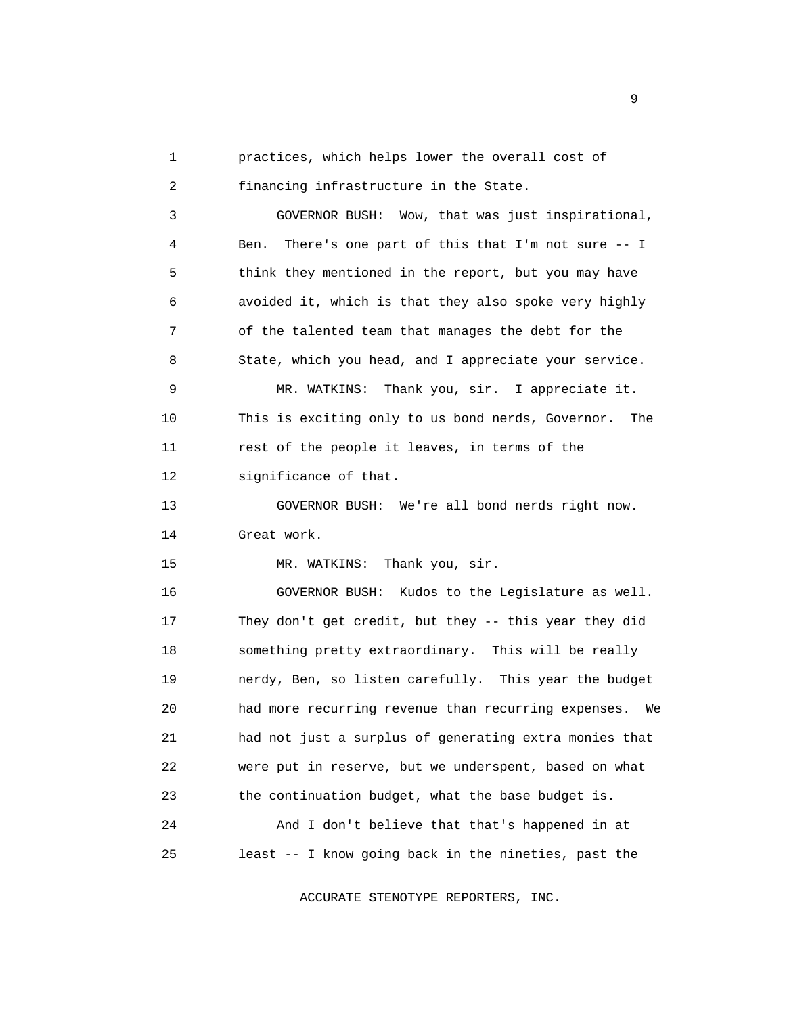1 practices, which helps lower the overall cost of 2 financing infrastructure in the State.

 3 GOVERNOR BUSH: Wow, that was just inspirational, 4 Ben. There's one part of this that I'm not sure -- I 5 think they mentioned in the report, but you may have 6 avoided it, which is that they also spoke very highly 7 of the talented team that manages the debt for the 8 State, which you head, and I appreciate your service.

 9 MR. WATKINS: Thank you, sir. I appreciate it. 10 This is exciting only to us bond nerds, Governor. The 11 rest of the people it leaves, in terms of the 12 significance of that.

 13 GOVERNOR BUSH: We're all bond nerds right now. 14 Great work.

15 MR. WATKINS: Thank you, sir.

 16 GOVERNOR BUSH: Kudos to the Legislature as well. 17 They don't get credit, but they -- this year they did 18 something pretty extraordinary. This will be really 19 nerdy, Ben, so listen carefully. This year the budget 20 had more recurring revenue than recurring expenses. We 21 had not just a surplus of generating extra monies that 22 were put in reserve, but we underspent, based on what 23 the continuation budget, what the base budget is. 24 And I don't believe that that's happened in at

ACCURATE STENOTYPE REPORTERS, INC.

25 least -- I know going back in the nineties, past the

experience of the state of the state of the state of the state of the state of the state of the state of the s<br>The state of the state of the state of the state of the state of the state of the state of the state of the st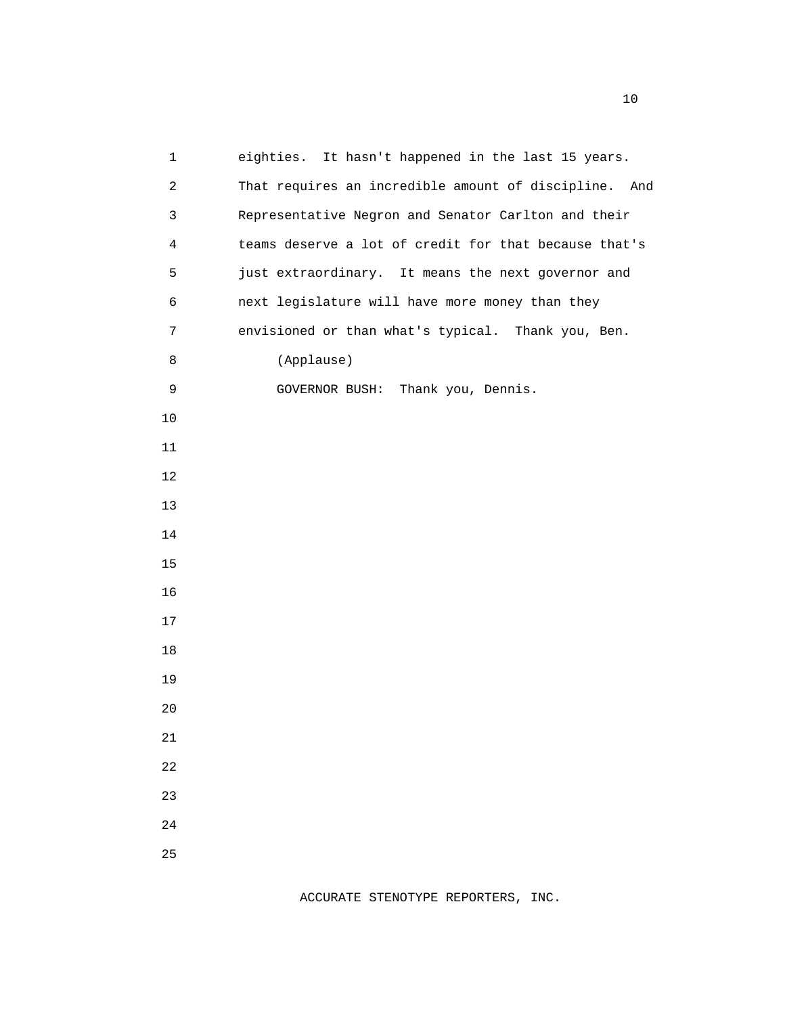| $\mathbf{1}$   | eighties. It hasn't happened in the last 15 years.    |
|----------------|-------------------------------------------------------|
| $\overline{a}$ | That requires an incredible amount of discipline. And |
| 3              | Representative Negron and Senator Carlton and their   |
| 4              | teams deserve a lot of credit for that because that's |
| 5              | just extraordinary. It means the next governor and    |
| 6              | next legislature will have more money than they       |
| 7              | envisioned or than what's typical. Thank you, Ben.    |
| 8              | (Applause)                                            |
| 9              | GOVERNOR BUSH: Thank you, Dennis.                     |
| $10$           |                                                       |
| 11             |                                                       |
| 12             |                                                       |
| 13             |                                                       |
| 14             |                                                       |
| 15             |                                                       |
| 16             |                                                       |
| 17             |                                                       |
| 18             |                                                       |
| 19             |                                                       |
| 20             |                                                       |
| 21             |                                                       |
| 22             |                                                       |
| 23             |                                                       |
| 24             |                                                       |
| 25             |                                                       |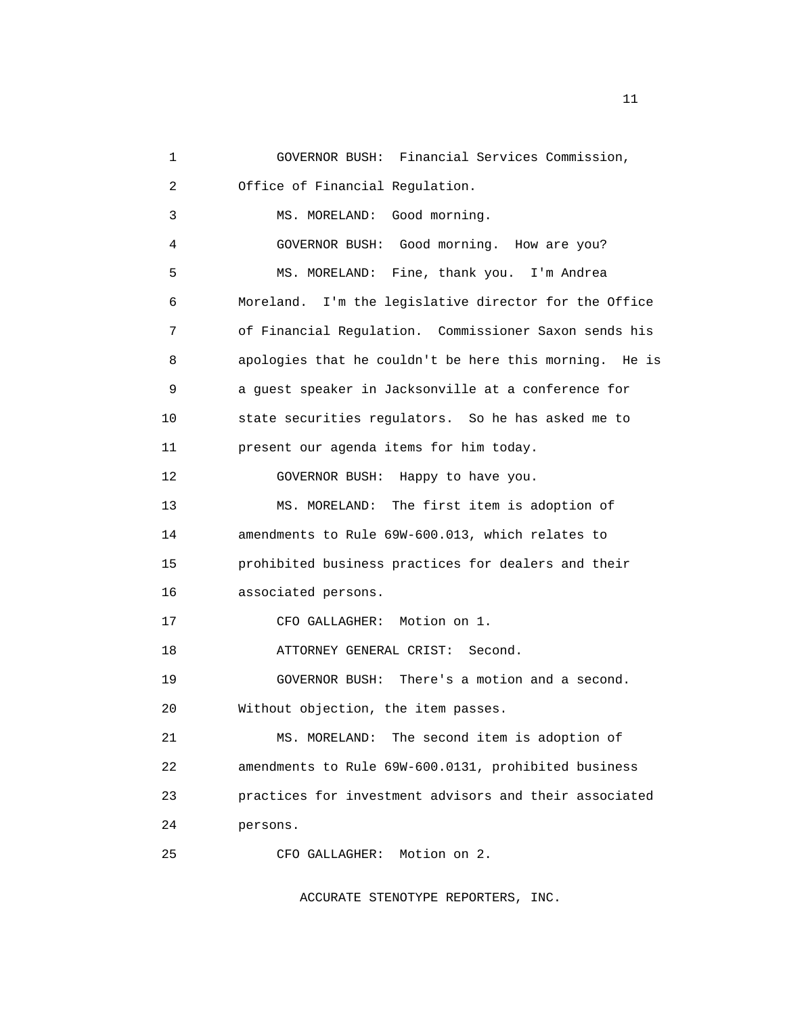```
 1 GOVERNOR BUSH: Financial Services Commission, 
2 Office of Financial Regulation. 
3 MS. MORELAND: Good morning. 
 4 GOVERNOR BUSH: Good morning. How are you? 
 5 MS. MORELAND: Fine, thank you. I'm Andrea 
 6 Moreland. I'm the legislative director for the Office 
 7 of Financial Regulation. Commissioner Saxon sends his 
8 apologies that he couldn't be here this morning. He is 
9 a guest speaker in Jacksonville at a conference for 
10 state securities regulators. So he has asked me to 
11 present our agenda items for him today. 
12 GOVERNOR BUSH: Happy to have you. 
13 MS. MORELAND: The first item is adoption of 
14 amendments to Rule 69W-600.013, which relates to 
15 prohibited business practices for dealers and their 
16 associated persons. 
17 CFO GALLAGHER: Motion on 1. 
18 ATTORNEY GENERAL CRIST: Second. 
19 GOVERNOR BUSH: There's a motion and a second. 
20 Without objection, the item passes. 
21 MS. MORELAND: The second item is adoption of 
22 amendments to Rule 69W-600.0131, prohibited business 
23 practices for investment advisors and their associated 
24 persons. 
25 CFO GALLAGHER: Motion on 2.
```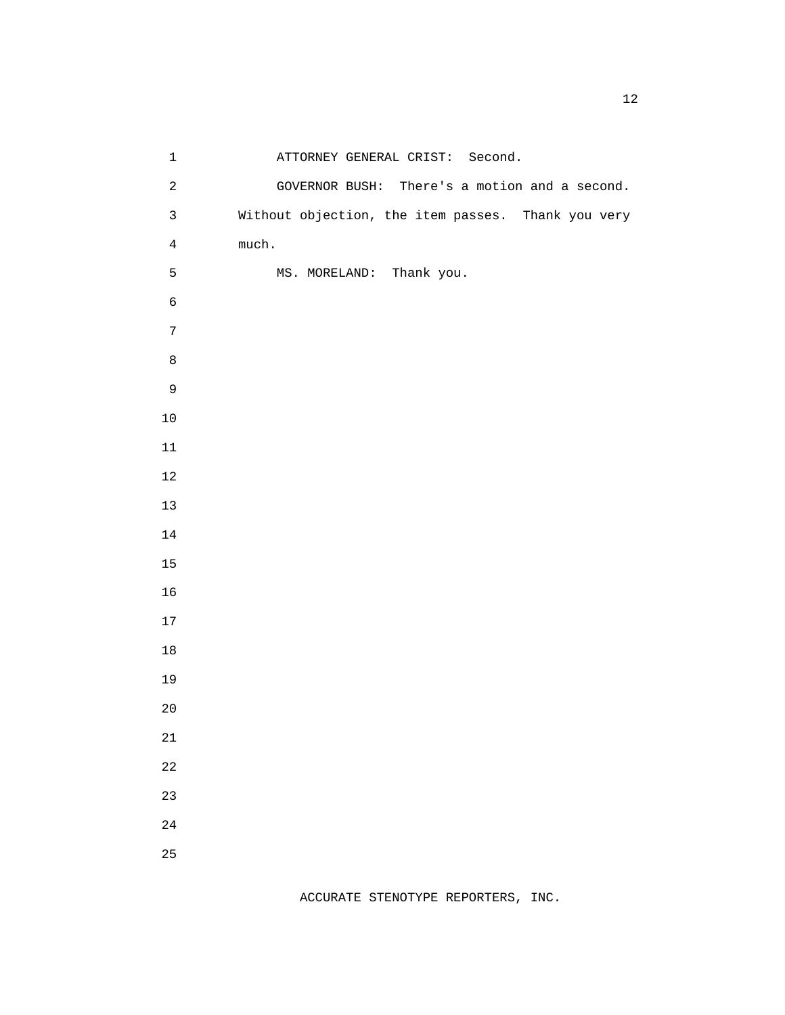| $\mathbf 1$      | ATTORNEY GENERAL CRIST: Second.                    |  |  |
|------------------|----------------------------------------------------|--|--|
| $\overline{a}$   | GOVERNOR BUSH: There's a motion and a second.      |  |  |
| $\mathbf{3}$     | Without objection, the item passes. Thank you very |  |  |
| $\overline{4}$   | much.                                              |  |  |
| 5                | MS. MORELAND: Thank you.                           |  |  |
| $\epsilon$       |                                                    |  |  |
| $\boldsymbol{7}$ |                                                    |  |  |
| $\,8\,$          |                                                    |  |  |
| $\mathsf 9$      |                                                    |  |  |
| $10$             |                                                    |  |  |
| $11\,$           |                                                    |  |  |
| $12\,$           |                                                    |  |  |
| $13$             |                                                    |  |  |
| $14\,$           |                                                    |  |  |
| 15               |                                                    |  |  |
| 16               |                                                    |  |  |
| $17\,$           |                                                    |  |  |
| $18\,$           |                                                    |  |  |
| 19               |                                                    |  |  |
| $20$             |                                                    |  |  |
| 21               |                                                    |  |  |
| 22               |                                                    |  |  |
| 23               |                                                    |  |  |
| 24               |                                                    |  |  |
| 25               |                                                    |  |  |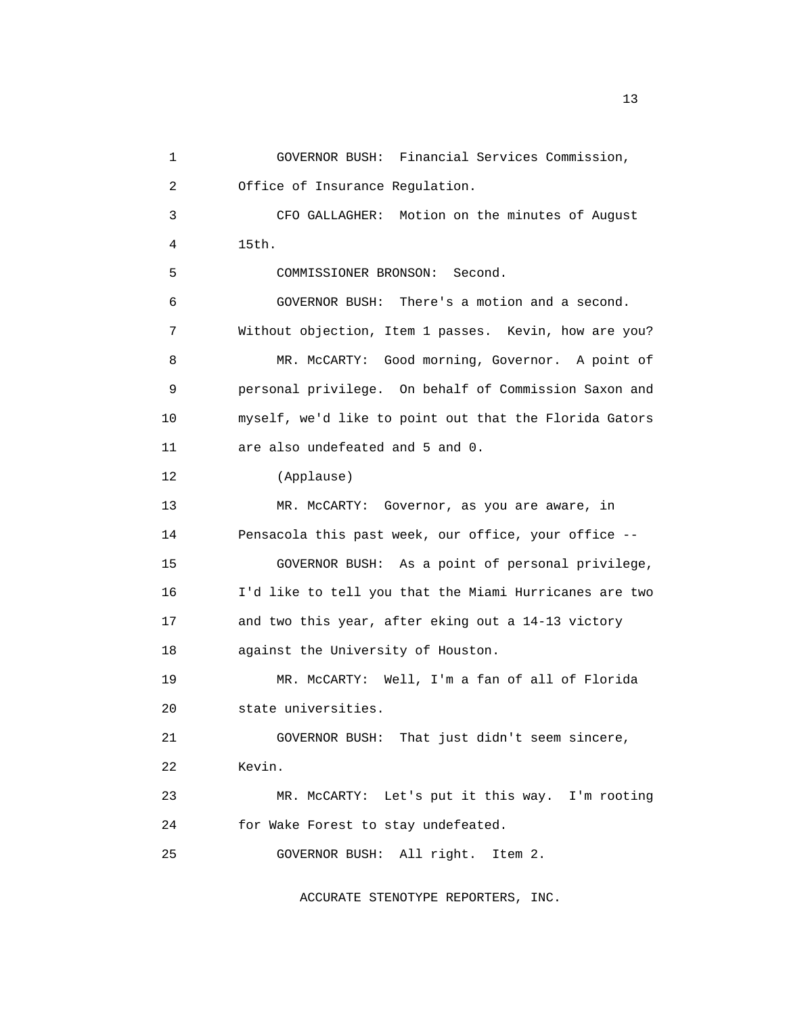1 GOVERNOR BUSH: Financial Services Commission, 2 Office of Insurance Regulation. 3 CFO GALLAGHER: Motion on the minutes of August 4 15th. 5 COMMISSIONER BRONSON: Second. 6 GOVERNOR BUSH: There's a motion and a second. 7 Without objection, Item 1 passes. Kevin, how are you? 8 MR. McCARTY: Good morning, Governor. A point of 9 personal privilege. On behalf of Commission Saxon and 10 myself, we'd like to point out that the Florida Gators 11 are also undefeated and 5 and 0. 12 (Applause) 13 MR. McCARTY: Governor, as you are aware, in 14 Pensacola this past week, our office, your office -- 15 GOVERNOR BUSH: As a point of personal privilege, 16 I'd like to tell you that the Miami Hurricanes are two 17 and two this year, after eking out a 14-13 victory 18 against the University of Houston. 19 MR. McCARTY: Well, I'm a fan of all of Florida 20 state universities. 21 GOVERNOR BUSH: That just didn't seem sincere, 22 Kevin. 23 MR. McCARTY: Let's put it this way. I'm rooting 24 for Wake Forest to stay undefeated. 25 GOVERNOR BUSH: All right. Item 2.

ACCURATE STENOTYPE REPORTERS, INC.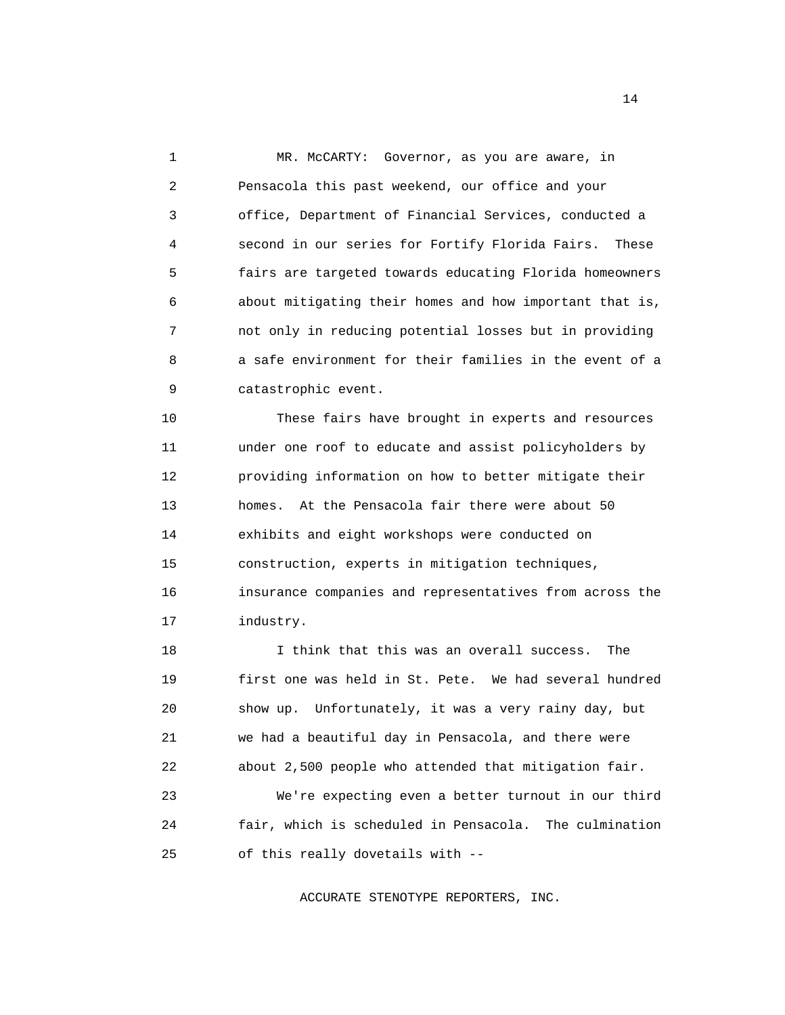1 MR. McCARTY: Governor, as you are aware, in 2 Pensacola this past weekend, our office and your 3 office, Department of Financial Services, conducted a 4 second in our series for Fortify Florida Fairs. These 5 fairs are targeted towards educating Florida homeowners 6 about mitigating their homes and how important that is, 7 not only in reducing potential losses but in providing 8 a safe environment for their families in the event of a 9 catastrophic event.

 10 These fairs have brought in experts and resources 11 under one roof to educate and assist policyholders by 12 providing information on how to better mitigate their 13 homes. At the Pensacola fair there were about 50 14 exhibits and eight workshops were conducted on 15 construction, experts in mitigation techniques, 16 insurance companies and representatives from across the 17 industry.

 18 I think that this was an overall success. The 19 first one was held in St. Pete. We had several hundred 20 show up. Unfortunately, it was a very rainy day, but 21 we had a beautiful day in Pensacola, and there were 22 about 2,500 people who attended that mitigation fair. 23 We're expecting even a better turnout in our third

 24 fair, which is scheduled in Pensacola. The culmination 25 of this really dovetails with --

ACCURATE STENOTYPE REPORTERS, INC.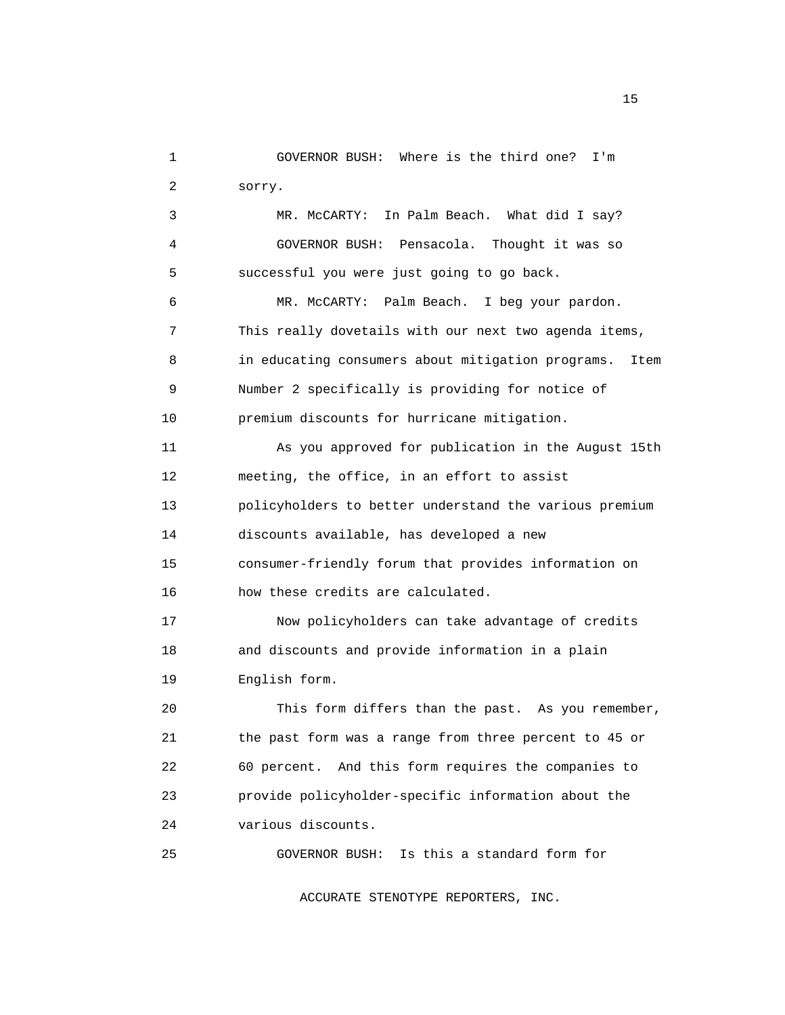1 GOVERNOR BUSH: Where is the third one? I'm 2 sorry.

 3 MR. McCARTY: In Palm Beach. What did I say? 4 GOVERNOR BUSH: Pensacola. Thought it was so 5 successful you were just going to go back.

 6 MR. McCARTY: Palm Beach. I beg your pardon. 7 This really dovetails with our next two agenda items, 8 in educating consumers about mitigation programs. Item 9 Number 2 specifically is providing for notice of 10 premium discounts for hurricane mitigation.

 11 As you approved for publication in the August 15th 12 meeting, the office, in an effort to assist 13 policyholders to better understand the various premium 14 discounts available, has developed a new 15 consumer-friendly forum that provides information on 16 how these credits are calculated.

 17 Now policyholders can take advantage of credits 18 and discounts and provide information in a plain 19 English form.

 20 This form differs than the past. As you remember, 21 the past form was a range from three percent to 45 or 22 60 percent. And this form requires the companies to 23 provide policyholder-specific information about the 24 various discounts.

25 GOVERNOR BUSH: Is this a standard form for

ACCURATE STENOTYPE REPORTERS, INC.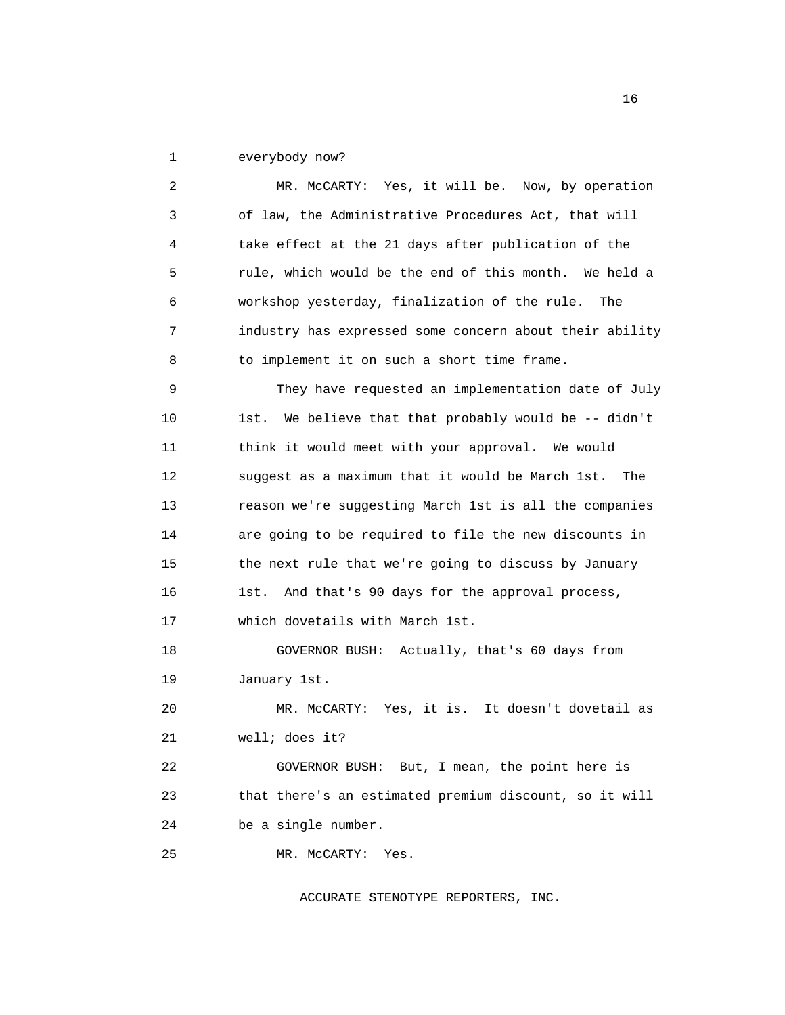1 everybody now?

 2 MR. McCARTY: Yes, it will be. Now, by operation 3 of law, the Administrative Procedures Act, that will 4 take effect at the 21 days after publication of the 5 rule, which would be the end of this month. We held a 6 workshop yesterday, finalization of the rule. The 7 industry has expressed some concern about their ability 8 to implement it on such a short time frame. 9 They have requested an implementation date of July 10 1st. We believe that that probably would be -- didn't 11 think it would meet with your approval. We would 12 suggest as a maximum that it would be March 1st. The 13 reason we're suggesting March 1st is all the companies 14 are going to be required to file the new discounts in 15 the next rule that we're going to discuss by January 16 1st. And that's 90 days for the approval process, 17 which dovetails with March 1st. 18 GOVERNOR BUSH: Actually, that's 60 days from 19 January 1st. 20 MR. McCARTY: Yes, it is. It doesn't dovetail as 21 well; does it? 22 GOVERNOR BUSH: But, I mean, the point here is 23 that there's an estimated premium discount, so it will 24 be a single number. 25 MR. McCARTY: Yes.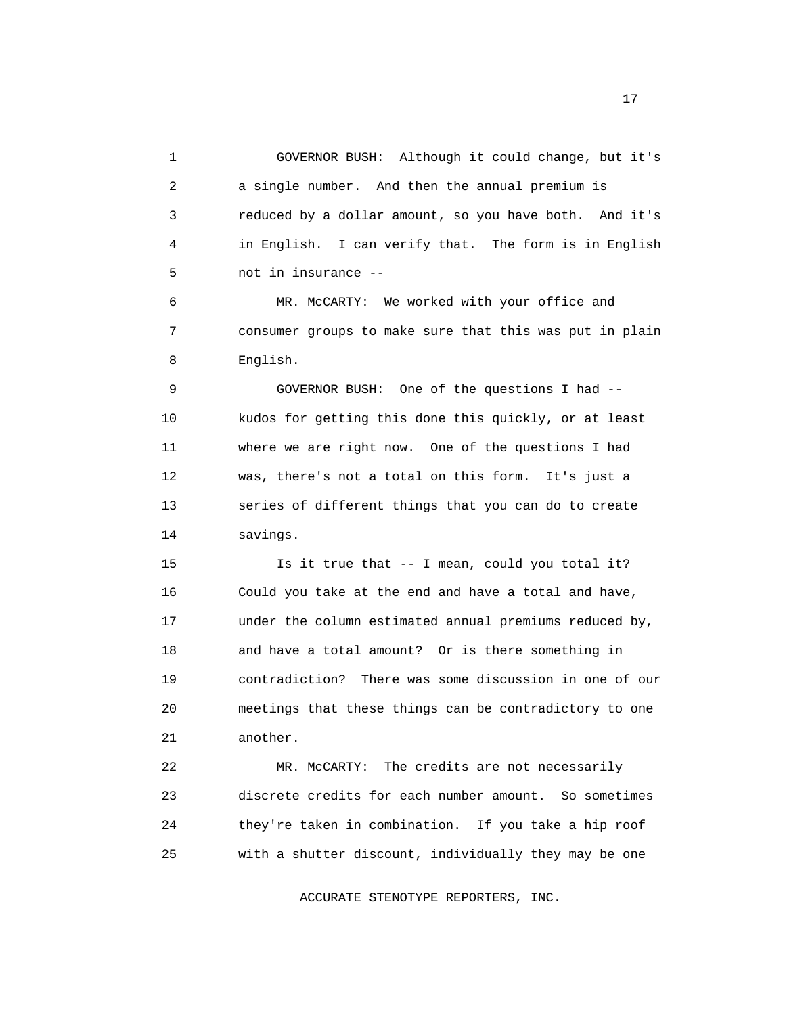1 GOVERNOR BUSH: Although it could change, but it's 2 a single number. And then the annual premium is 3 reduced by a dollar amount, so you have both. And it's 4 in English. I can verify that. The form is in English 5 not in insurance --

 6 MR. McCARTY: We worked with your office and 7 consumer groups to make sure that this was put in plain 8 English.

 9 GOVERNOR BUSH: One of the questions I had -- 10 kudos for getting this done this quickly, or at least 11 where we are right now. One of the questions I had 12 was, there's not a total on this form. It's just a 13 series of different things that you can do to create 14 savings.

 15 Is it true that -- I mean, could you total it? 16 Could you take at the end and have a total and have, 17 under the column estimated annual premiums reduced by, 18 and have a total amount? Or is there something in 19 contradiction? There was some discussion in one of our 20 meetings that these things can be contradictory to one 21 another.

 22 MR. McCARTY: The credits are not necessarily 23 discrete credits for each number amount. So sometimes 24 they're taken in combination. If you take a hip roof 25 with a shutter discount, individually they may be one

ACCURATE STENOTYPE REPORTERS, INC.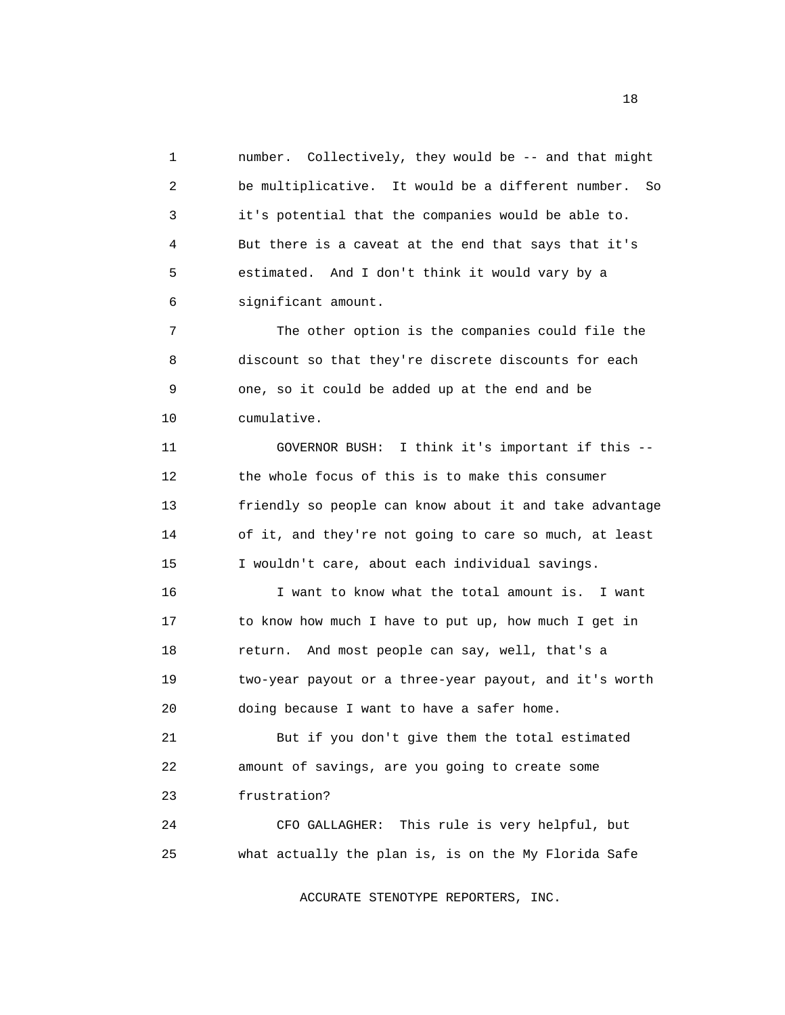1 number. Collectively, they would be -- and that might 2 be multiplicative. It would be a different number. So 3 it's potential that the companies would be able to. 4 But there is a caveat at the end that says that it's 5 estimated. And I don't think it would vary by a 6 significant amount.

 7 The other option is the companies could file the 8 discount so that they're discrete discounts for each 9 one, so it could be added up at the end and be 10 cumulative.

 11 GOVERNOR BUSH: I think it's important if this -- 12 the whole focus of this is to make this consumer 13 friendly so people can know about it and take advantage 14 of it, and they're not going to care so much, at least 15 I wouldn't care, about each individual savings.

 16 I want to know what the total amount is. I want 17 to know how much I have to put up, how much I get in 18 return. And most people can say, well, that's a 19 two-year payout or a three-year payout, and it's worth 20 doing because I want to have a safer home.

 21 But if you don't give them the total estimated 22 amount of savings, are you going to create some 23 frustration?

 24 CFO GALLAGHER: This rule is very helpful, but 25 what actually the plan is, is on the My Florida Safe

ACCURATE STENOTYPE REPORTERS, INC.

n 18 ann an t-Italia ann an t-Italia. Tha 18 an t-Italia ann an t-Italia ann an t-Italia. Tha 18 an t-Italia a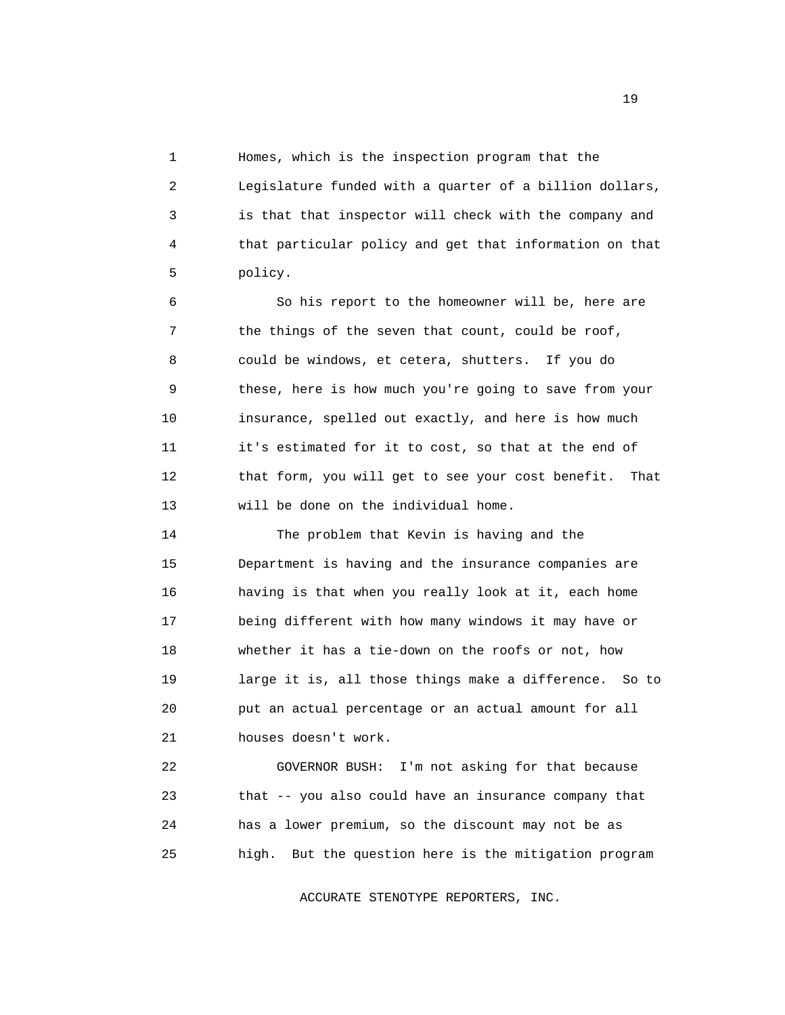1 Homes, which is the inspection program that the 2 Legislature funded with a quarter of a billion dollars, 3 is that that inspector will check with the company and 4 that particular policy and get that information on that 5 policy.

 6 So his report to the homeowner will be, here are 7 the things of the seven that count, could be roof, 8 could be windows, et cetera, shutters. If you do 9 these, here is how much you're going to save from your 10 insurance, spelled out exactly, and here is how much 11 it's estimated for it to cost, so that at the end of 12 that form, you will get to see your cost benefit. That 13 will be done on the individual home.

 14 The problem that Kevin is having and the 15 Department is having and the insurance companies are 16 having is that when you really look at it, each home 17 being different with how many windows it may have or 18 whether it has a tie-down on the roofs or not, how 19 large it is, all those things make a difference. So to 20 put an actual percentage or an actual amount for all 21 houses doesn't work.

 22 GOVERNOR BUSH: I'm not asking for that because 23 that -- you also could have an insurance company that 24 has a lower premium, so the discount may not be as 25 high. But the question here is the mitigation program

ACCURATE STENOTYPE REPORTERS, INC.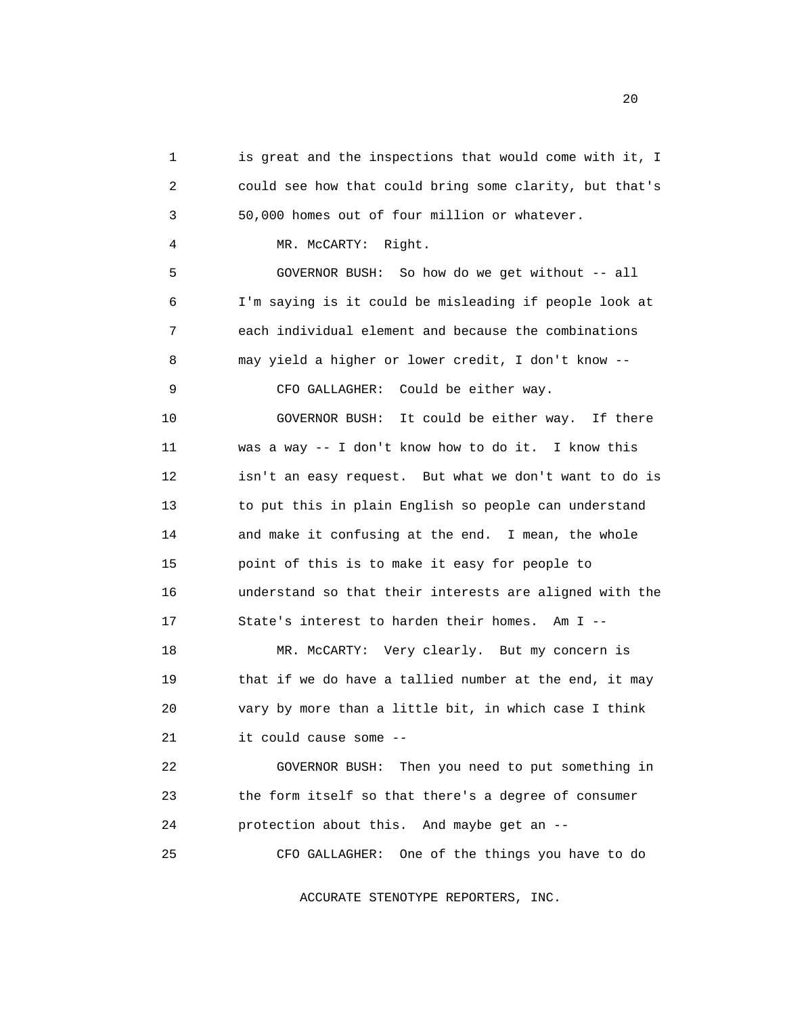1 is great and the inspections that would come with it, I 2 could see how that could bring some clarity, but that's 3 50,000 homes out of four million or whatever. 4 MR. McCARTY: Right. 5 GOVERNOR BUSH: So how do we get without -- all 6 I'm saying is it could be misleading if people look at 7 each individual element and because the combinations 8 may yield a higher or lower credit, I don't know -- 9 CFO GALLAGHER: Could be either way. 10 GOVERNOR BUSH: It could be either way. If there 11 was a way -- I don't know how to do it. I know this 12 isn't an easy request. But what we don't want to do is 13 to put this in plain English so people can understand 14 and make it confusing at the end. I mean, the whole 15 point of this is to make it easy for people to 16 understand so that their interests are aligned with the 17 State's interest to harden their homes. Am I -- 18 MR. McCARTY: Very clearly. But my concern is 19 that if we do have a tallied number at the end, it may 20 vary by more than a little bit, in which case I think 21 it could cause some -- 22 GOVERNOR BUSH: Then you need to put something in 23 the form itself so that there's a degree of consumer 24 protection about this. And maybe get an -- 25 CFO GALLAGHER: One of the things you have to do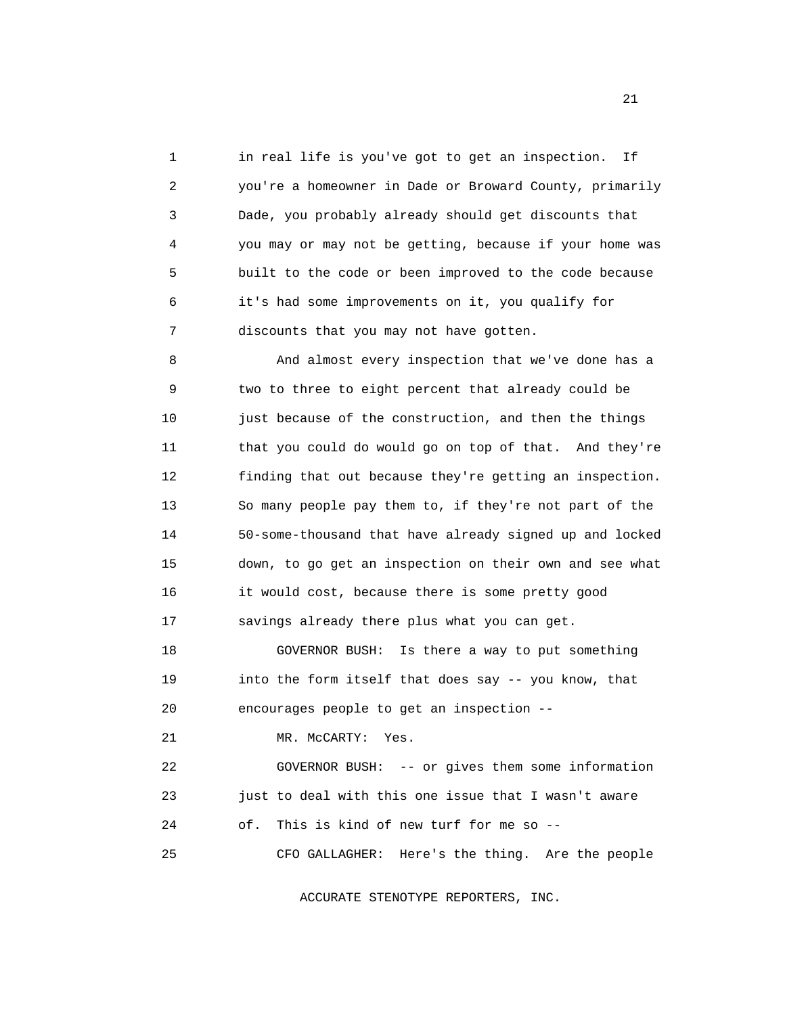1 in real life is you've got to get an inspection. If 2 you're a homeowner in Dade or Broward County, primarily 3 Dade, you probably already should get discounts that 4 you may or may not be getting, because if your home was 5 built to the code or been improved to the code because 6 it's had some improvements on it, you qualify for 7 discounts that you may not have gotten.

 8 And almost every inspection that we've done has a 9 two to three to eight percent that already could be 10 just because of the construction, and then the things 11 that you could do would go on top of that. And they're 12 finding that out because they're getting an inspection. 13 So many people pay them to, if they're not part of the 14 50-some-thousand that have already signed up and locked 15 down, to go get an inspection on their own and see what 16 it would cost, because there is some pretty good 17 savings already there plus what you can get.

 18 GOVERNOR BUSH: Is there a way to put something 19 into the form itself that does say -- you know, that 20 encourages people to get an inspection --

21 MR. McCARTY: Yes.

 22 GOVERNOR BUSH: -- or gives them some information 23 just to deal with this one issue that I wasn't aware 24 of. This is kind of new turf for me so -- 25 CFO GALLAGHER: Here's the thing. Are the people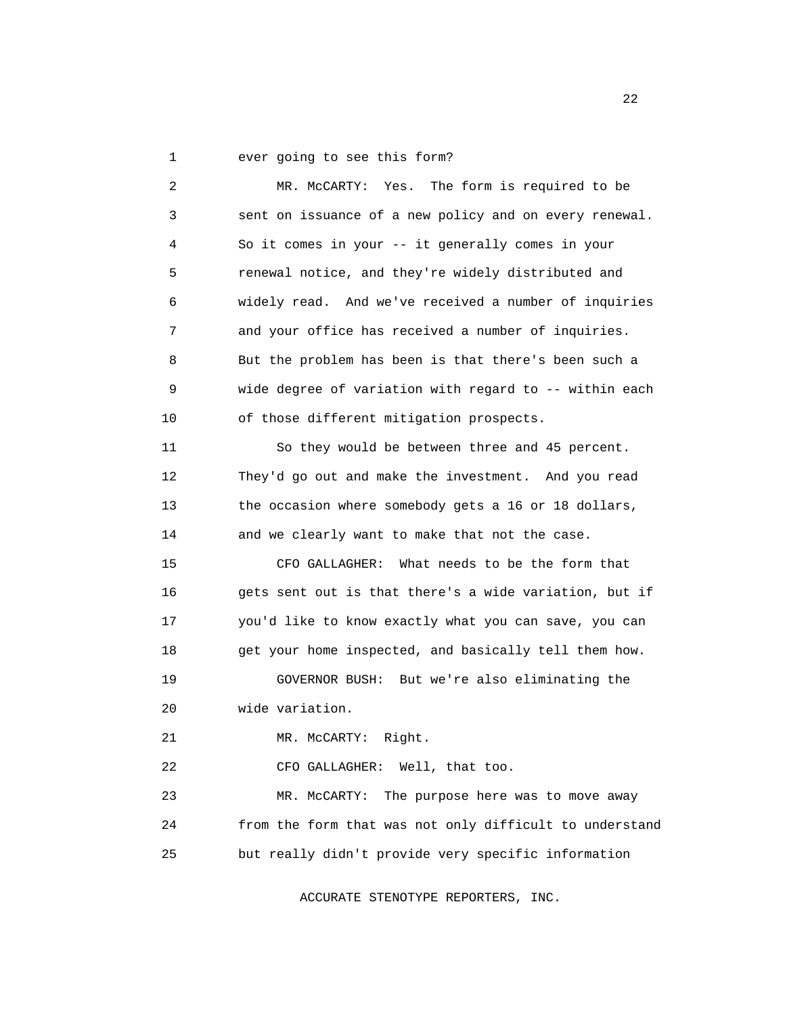1 ever going to see this form?

 2 MR. McCARTY: Yes. The form is required to be 3 sent on issuance of a new policy and on every renewal. 4 So it comes in your -- it generally comes in your 5 renewal notice, and they're widely distributed and 6 widely read. And we've received a number of inquiries 7 and your office has received a number of inquiries. 8 But the problem has been is that there's been such a 9 wide degree of variation with regard to -- within each 10 of those different mitigation prospects. 11 So they would be between three and 45 percent. 12 They'd go out and make the investment. And you read 13 the occasion where somebody gets a 16 or 18 dollars, 14 and we clearly want to make that not the case. 15 CFO GALLAGHER: What needs to be the form that 16 gets sent out is that there's a wide variation, but if 17 you'd like to know exactly what you can save, you can 18 get your home inspected, and basically tell them how. 19 GOVERNOR BUSH: But we're also eliminating the 20 wide variation. 21 MR. McCARTY: Right. 22 CFO GALLAGHER: Well, that too. 23 MR. McCARTY: The purpose here was to move away 24 from the form that was not only difficult to understand 25 but really didn't provide very specific information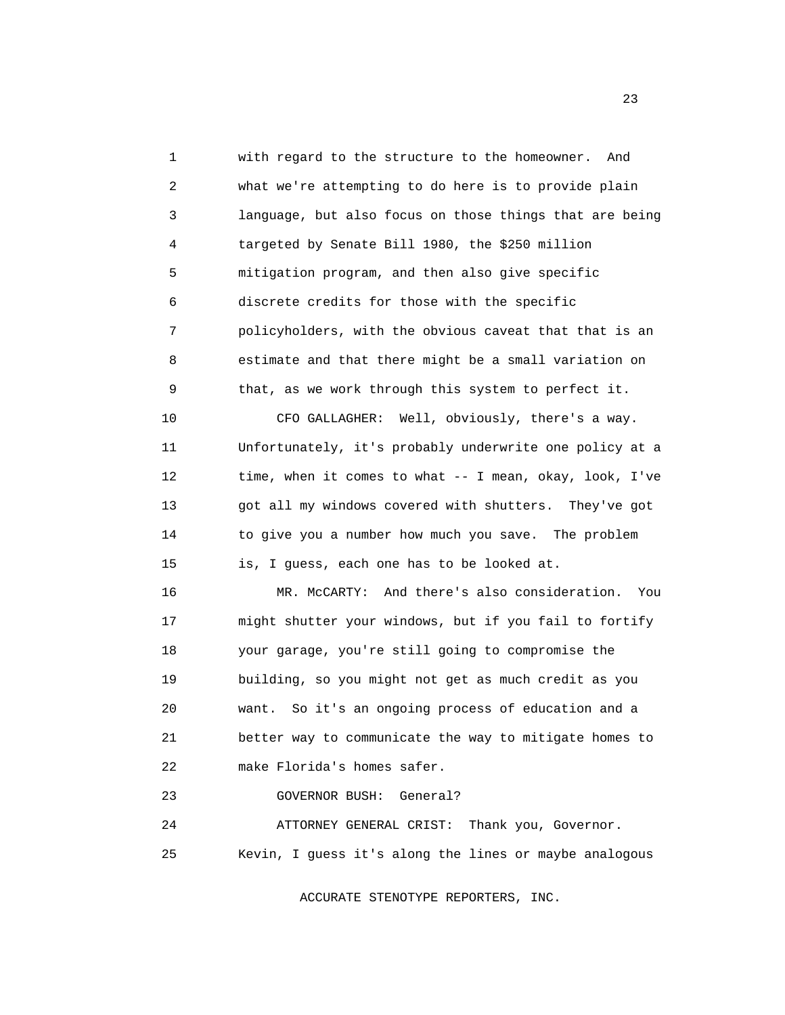1 with regard to the structure to the homeowner. And 2 what we're attempting to do here is to provide plain 3 language, but also focus on those things that are being 4 targeted by Senate Bill 1980, the \$250 million 5 mitigation program, and then also give specific 6 discrete credits for those with the specific 7 policyholders, with the obvious caveat that that is an 8 estimate and that there might be a small variation on 9 that, as we work through this system to perfect it.

 10 CFO GALLAGHER: Well, obviously, there's a way. 11 Unfortunately, it's probably underwrite one policy at a 12 time, when it comes to what -- I mean, okay, look, I've 13 got all my windows covered with shutters. They've got 14 to give you a number how much you save. The problem 15 is, I guess, each one has to be looked at.

 16 MR. McCARTY: And there's also consideration. You 17 might shutter your windows, but if you fail to fortify 18 your garage, you're still going to compromise the 19 building, so you might not get as much credit as you 20 want. So it's an ongoing process of education and a 21 better way to communicate the way to mitigate homes to 22 make Florida's homes safer.

## 23 GOVERNOR BUSH: General?

 24 ATTORNEY GENERAL CRIST: Thank you, Governor. 25 Kevin, I guess it's along the lines or maybe analogous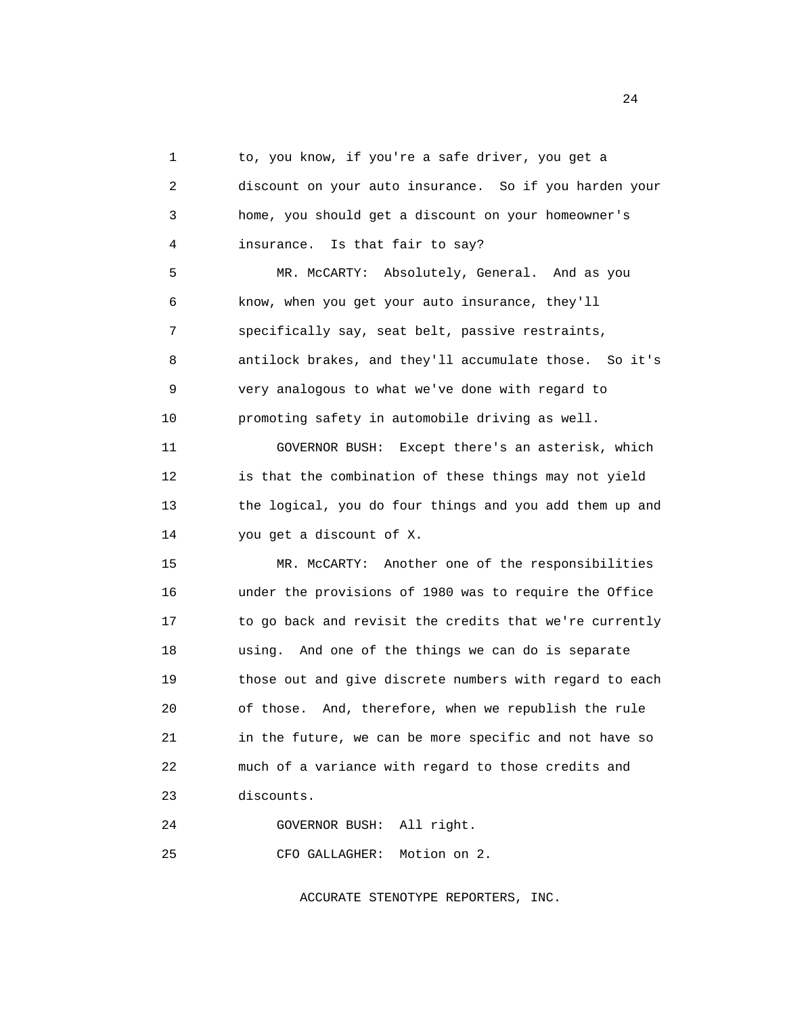1 to, you know, if you're a safe driver, you get a 2 discount on your auto insurance. So if you harden your 3 home, you should get a discount on your homeowner's 4 insurance. Is that fair to say? 5 MR. McCARTY: Absolutely, General. And as you 6 know, when you get your auto insurance, they'll 7 specifically say, seat belt, passive restraints, 8 antilock brakes, and they'll accumulate those. So it's 9 very analogous to what we've done with regard to 10 promoting safety in automobile driving as well. 11 GOVERNOR BUSH: Except there's an asterisk, which 12 is that the combination of these things may not yield 13 the logical, you do four things and you add them up and 14 you get a discount of X. 15 MR. McCARTY: Another one of the responsibilities 16 under the provisions of 1980 was to require the Office 17 to go back and revisit the credits that we're currently 18 using. And one of the things we can do is separate 19 those out and give discrete numbers with regard to each 20 of those. And, therefore, when we republish the rule 21 in the future, we can be more specific and not have so 22 much of a variance with regard to those credits and 23 discounts.

24 GOVERNOR BUSH: All right.

25 CFO GALLAGHER: Motion on 2.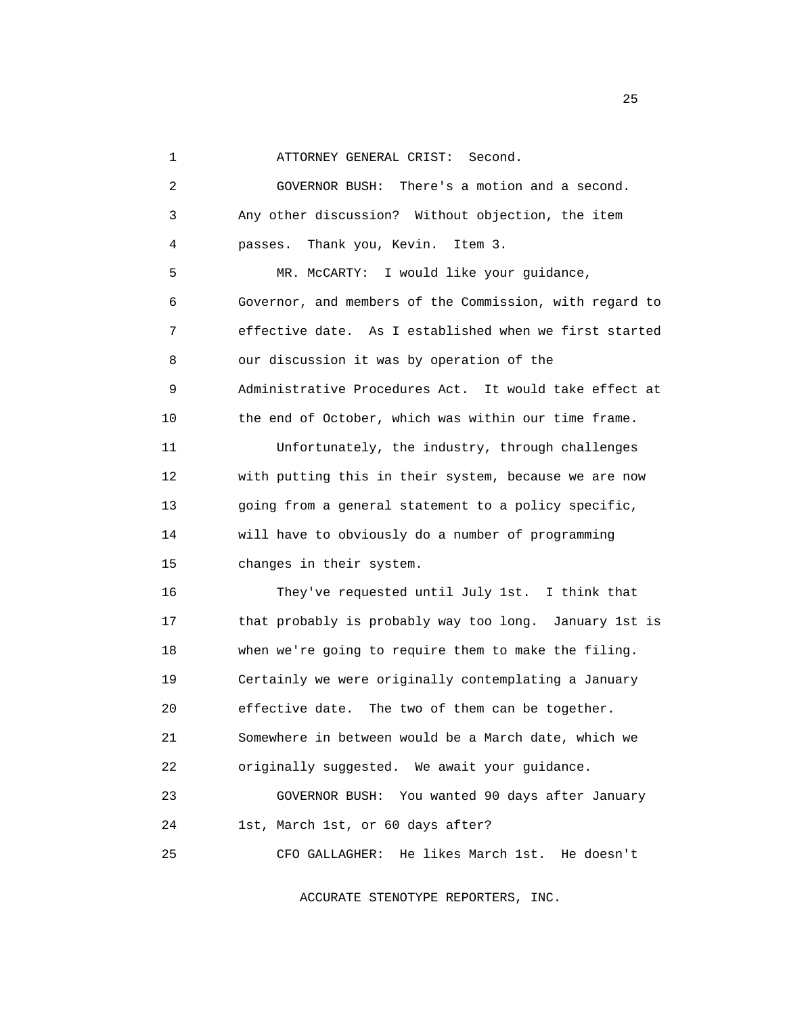1 ATTORNEY GENERAL CRIST: Second.

 2 GOVERNOR BUSH: There's a motion and a second. 3 Any other discussion? Without objection, the item 4 passes. Thank you, Kevin. Item 3. 5 MR. McCARTY: I would like your guidance, 6 Governor, and members of the Commission, with regard to 7 effective date. As I established when we first started 8 our discussion it was by operation of the 9 Administrative Procedures Act. It would take effect at 10 the end of October, which was within our time frame. 11 Unfortunately, the industry, through challenges 12 with putting this in their system, because we are now 13 going from a general statement to a policy specific, 14 will have to obviously do a number of programming 15 changes in their system. 16 They've requested until July 1st. I think that 17 that probably is probably way too long. January 1st is 18 when we're going to require them to make the filing. 19 Certainly we were originally contemplating a January 20 effective date. The two of them can be together. 21 Somewhere in between would be a March date, which we 22 originally suggested. We await your guidance. 23 GOVERNOR BUSH: You wanted 90 days after January 24 1st, March 1st, or 60 days after? 25 CFO GALLAGHER: He likes March 1st. He doesn't

ACCURATE STENOTYPE REPORTERS, INC.

25 and 25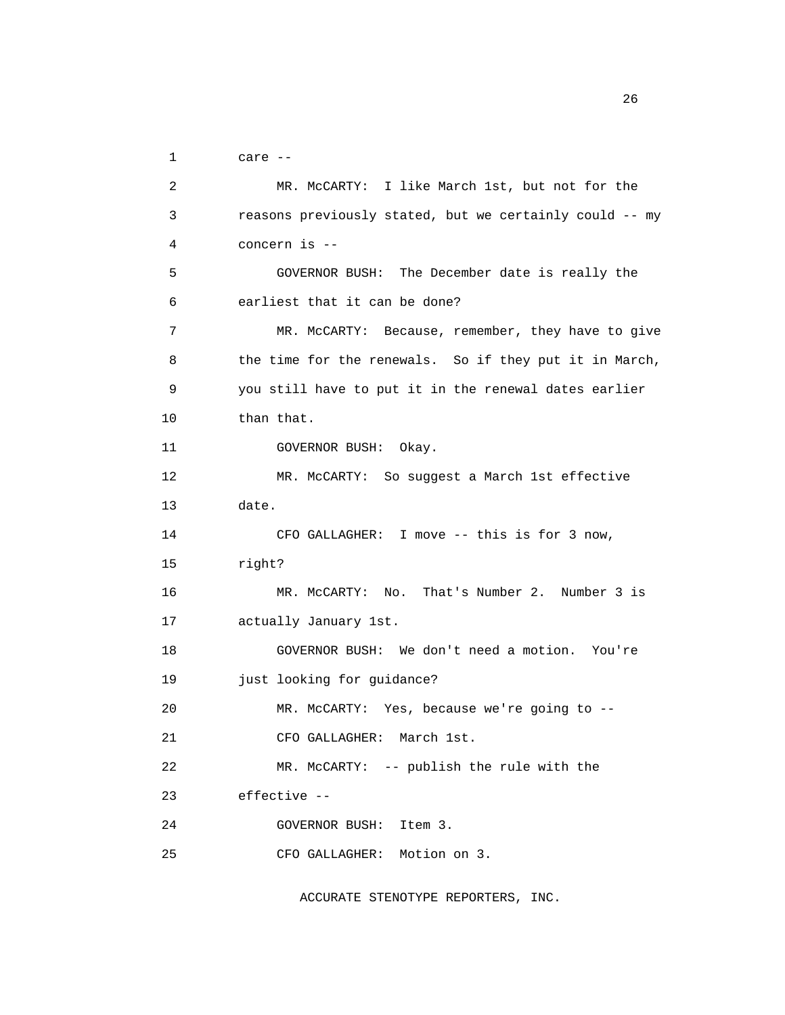1 care --

```
 2 MR. McCARTY: I like March 1st, but not for the 
3 reasons previously stated, but we certainly could -- my 
 4 concern is -- 
5 GOVERNOR BUSH: The December date is really the 
6 earliest that it can be done? 
7 MR. McCARTY: Because, remember, they have to give 
8 the time for the renewals. So if they put it in March, 
9 you still have to put it in the renewal dates earlier 
10 than that. 
11 GOVERNOR BUSH: Okay. 
12 MR. McCARTY: So suggest a March 1st effective 
13 date. 
14 CFO GALLAGHER: I move -- this is for 3 now, 
15 right? 
16 MR. McCARTY: No. That's Number 2. Number 3 is 
17 actually January 1st. 
18 GOVERNOR BUSH: We don't need a motion. You're 
19 just looking for guidance? 
20 MR. McCARTY: Yes, because we're going to -- 
21 CFO GALLAGHER: March 1st. 
22 MR. McCARTY: -- publish the rule with the 
23 effective -- 
24 GOVERNOR BUSH: Item 3. 
25 CFO GALLAGHER: Motion on 3.
```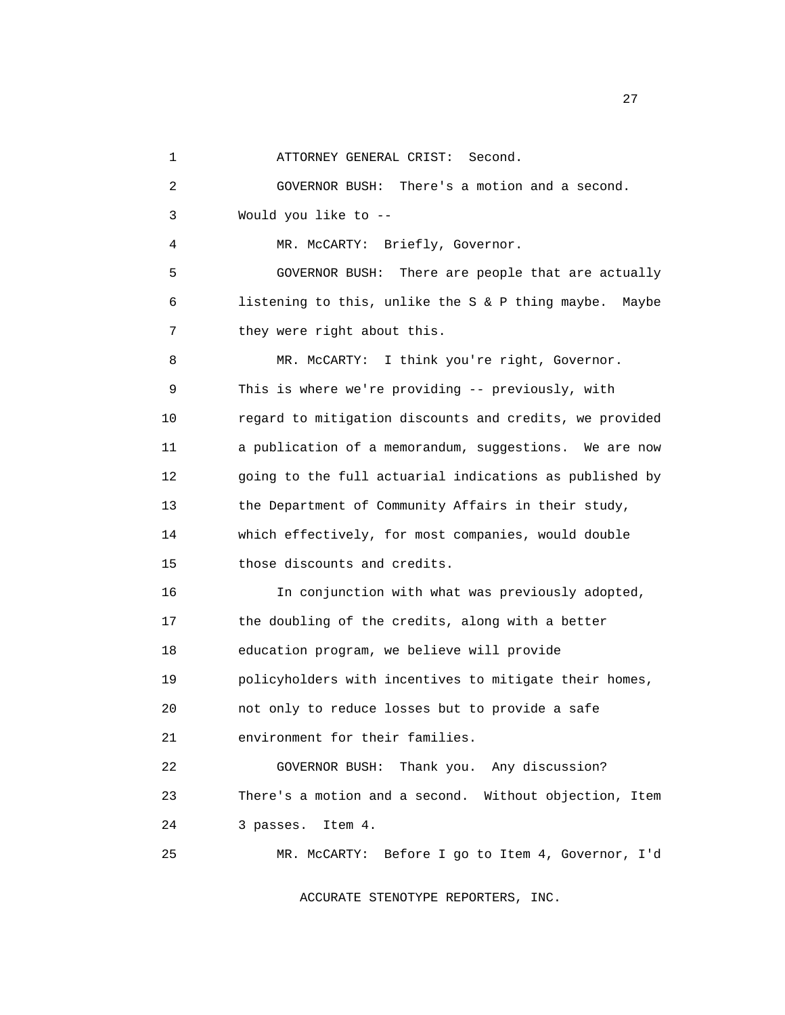1 ATTORNEY GENERAL CRIST: Second.

 2 GOVERNOR BUSH: There's a motion and a second. 3 Would you like to -- 4 MR. McCARTY: Briefly, Governor. 5 GOVERNOR BUSH: There are people that are actually 6 listening to this, unlike the S & P thing maybe. Maybe 7 they were right about this. 8 MR. McCARTY: I think you're right, Governor. 9 This is where we're providing -- previously, with 10 regard to mitigation discounts and credits, we provided 11 a publication of a memorandum, suggestions. We are now 12 going to the full actuarial indications as published by 13 the Department of Community Affairs in their study, 14 which effectively, for most companies, would double 15 those discounts and credits. 16 In conjunction with what was previously adopted, 17 the doubling of the credits, along with a better 18 education program, we believe will provide 19 policyholders with incentives to mitigate their homes, 20 not only to reduce losses but to provide a safe 21 environment for their families. 22 GOVERNOR BUSH: Thank you. Any discussion? 23 There's a motion and a second. Without objection, Item 24 3 passes. Item 4. 25 MR. McCARTY: Before I go to Item 4, Governor, I'd

ACCURATE STENOTYPE REPORTERS, INC.

27 and 27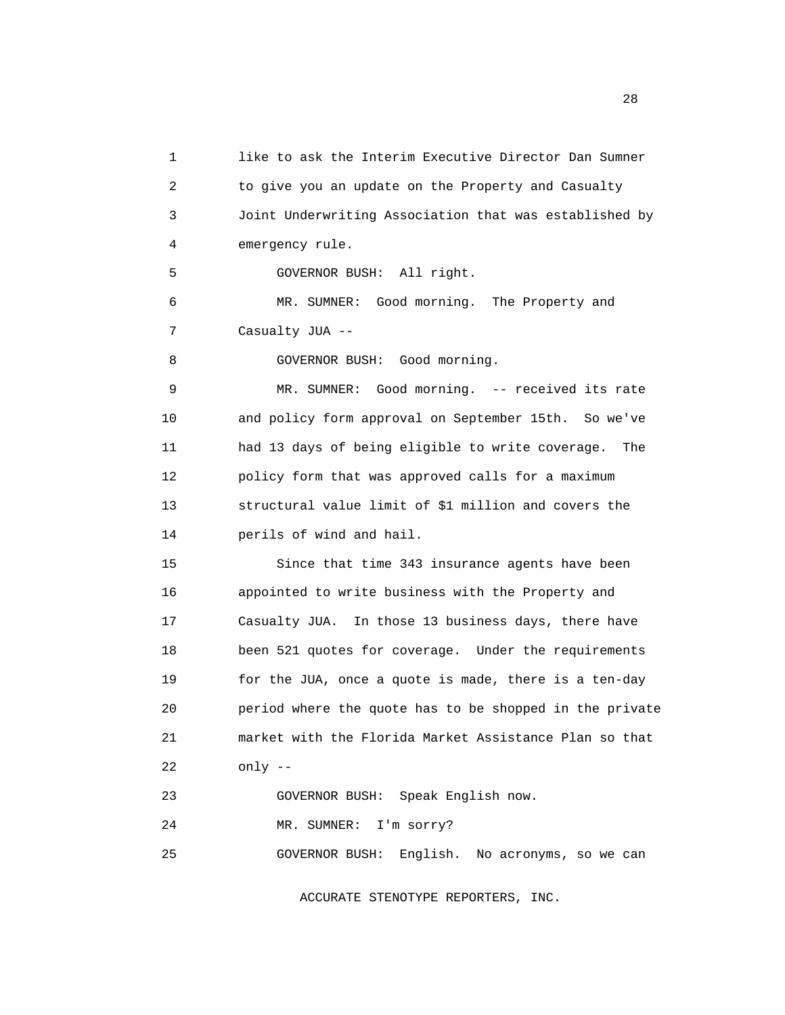1 like to ask the Interim Executive Director Dan Sumner 2 to give you an update on the Property and Casualty 3 Joint Underwriting Association that was established by 4 emergency rule. 5 GOVERNOR BUSH: All right. 6 MR. SUMNER: Good morning. The Property and 7 Casualty JUA -- 8 GOVERNOR BUSH: Good morning. 9 MR. SUMNER: Good morning. -- received its rate 10 and policy form approval on September 15th. So we've 11 had 13 days of being eligible to write coverage. The 12 policy form that was approved calls for a maximum 13 structural value limit of \$1 million and covers the 14 perils of wind and hail. 15 Since that time 343 insurance agents have been 16 appointed to write business with the Property and 17 Casualty JUA. In those 13 business days, there have 18 been 521 quotes for coverage. Under the requirements 19 for the JUA, once a quote is made, there is a ten-day 20 period where the quote has to be shopped in the private 21 market with the Florida Market Assistance Plan so that 22 only -- 23 GOVERNOR BUSH: Speak English now. 24 MR. SUMNER: I'm sorry? 25 GOVERNOR BUSH: English. No acronyms, so we can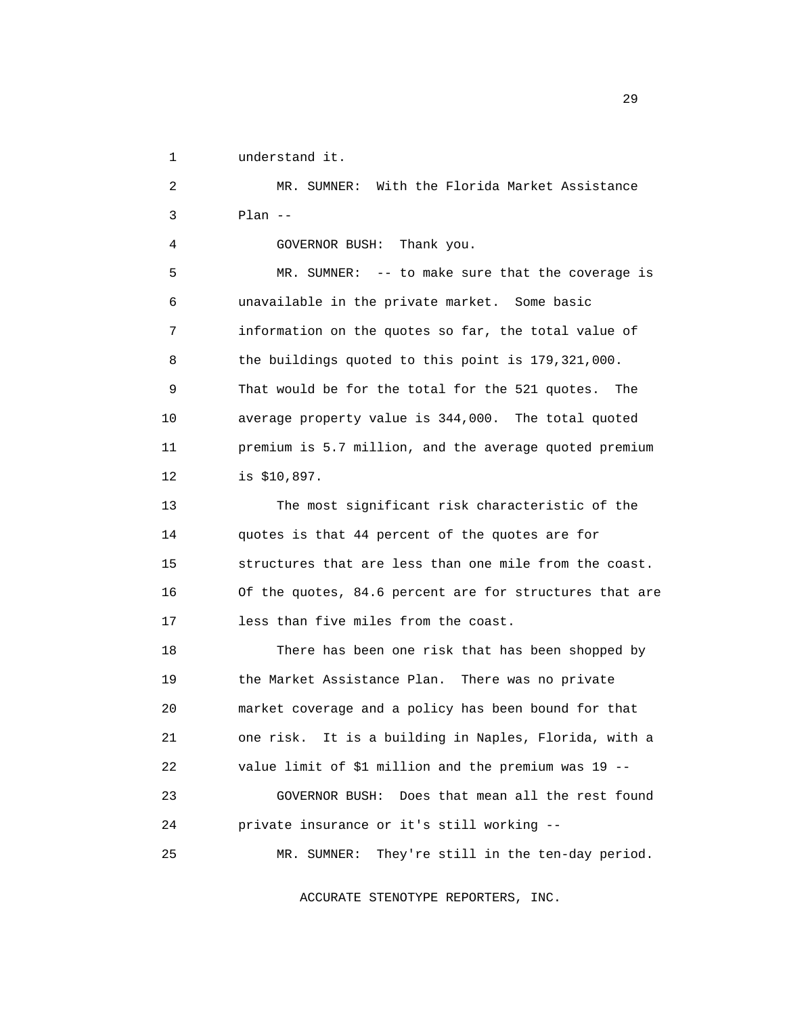1 understand it.

 2 MR. SUMNER: With the Florida Market Assistance 3 Plan -- 4 GOVERNOR BUSH: Thank you. 5 MR. SUMNER: -- to make sure that the coverage is 6 unavailable in the private market. Some basic 7 information on the quotes so far, the total value of 8 the buildings quoted to this point is 179,321,000. 9 That would be for the total for the 521 quotes. The 10 average property value is 344,000. The total quoted 11 premium is 5.7 million, and the average quoted premium 12 is \$10,897. 13 The most significant risk characteristic of the 14 quotes is that 44 percent of the quotes are for 15 structures that are less than one mile from the coast. 16 Of the quotes, 84.6 percent are for structures that are 17 less than five miles from the coast. 18 There has been one risk that has been shopped by 19 the Market Assistance Plan. There was no private 20 market coverage and a policy has been bound for that 21 one risk. It is a building in Naples, Florida, with a 22 value limit of \$1 million and the premium was 19 -- 23 GOVERNOR BUSH: Does that mean all the rest found 24 private insurance or it's still working -- 25 MR. SUMNER: They're still in the ten-day period.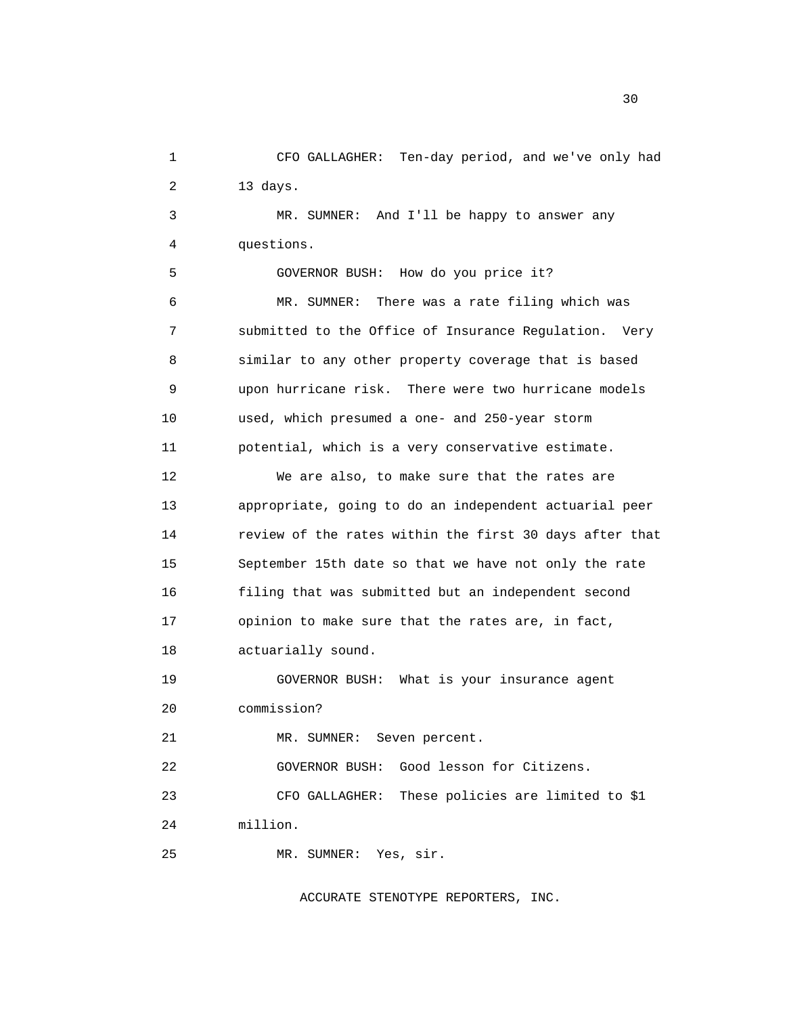1 CFO GALLAGHER: Ten-day period, and we've only had 2 13 days.

 3 MR. SUMNER: And I'll be happy to answer any 4 questions.

 5 GOVERNOR BUSH: How do you price it? 6 MR. SUMNER: There was a rate filing which was 7 submitted to the Office of Insurance Regulation. Very 8 similar to any other property coverage that is based 9 upon hurricane risk. There were two hurricane models 10 used, which presumed a one- and 250-year storm 11 potential, which is a very conservative estimate.

 12 We are also, to make sure that the rates are 13 appropriate, going to do an independent actuarial peer 14 review of the rates within the first 30 days after that 15 September 15th date so that we have not only the rate 16 filing that was submitted but an independent second 17 opinion to make sure that the rates are, in fact, 18 actuarially sound.

 19 GOVERNOR BUSH: What is your insurance agent 20 commission?

21 MR. SUMNER: Seven percent.

22 GOVERNOR BUSH: Good lesson for Citizens.

23 CFO GALLAGHER: These policies are limited to \$1

24 million.

25 MR. SUMNER: Yes, sir.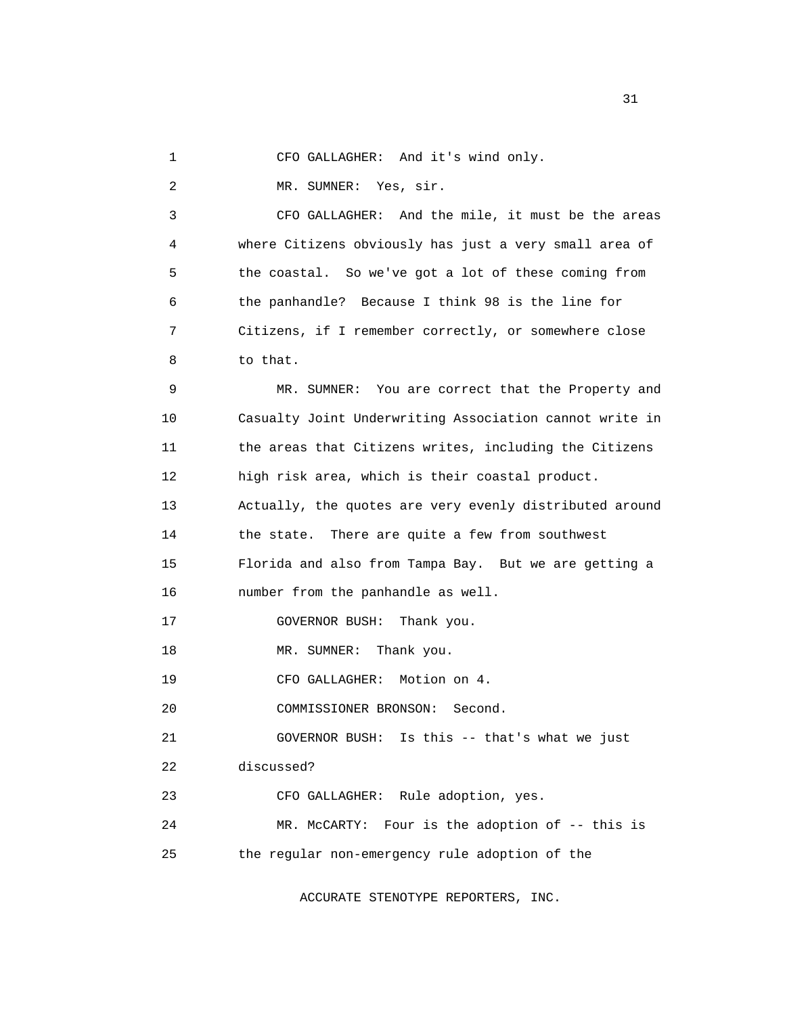|  |  | CFO GALLAGHER: And it's wind only. |
|--|--|------------------------------------|
|--|--|------------------------------------|

2 MR. SUMNER: Yes, sir.

 3 CFO GALLAGHER: And the mile, it must be the areas 4 where Citizens obviously has just a very small area of 5 the coastal. So we've got a lot of these coming from 6 the panhandle? Because I think 98 is the line for 7 Citizens, if I remember correctly, or somewhere close 8 to that.

 9 MR. SUMNER: You are correct that the Property and 10 Casualty Joint Underwriting Association cannot write in 11 the areas that Citizens writes, including the Citizens 12 high risk area, which is their coastal product. 13 Actually, the quotes are very evenly distributed around 14 the state. There are quite a few from southwest 15 Florida and also from Tampa Bay. But we are getting a 16 number from the panhandle as well. 17 **GOVERNOR BUSH:** Thank you. 18 MR. SUMNER: Thank you. 19 CFO GALLAGHER: Motion on 4. 20 COMMISSIONER BRONSON: Second. 21 GOVERNOR BUSH: Is this -- that's what we just 22 discussed? 23 CFO GALLAGHER: Rule adoption, yes. 24 MR. McCARTY: Four is the adoption of -- this is 25 the regular non-emergency rule adoption of the

ACCURATE STENOTYPE REPORTERS, INC.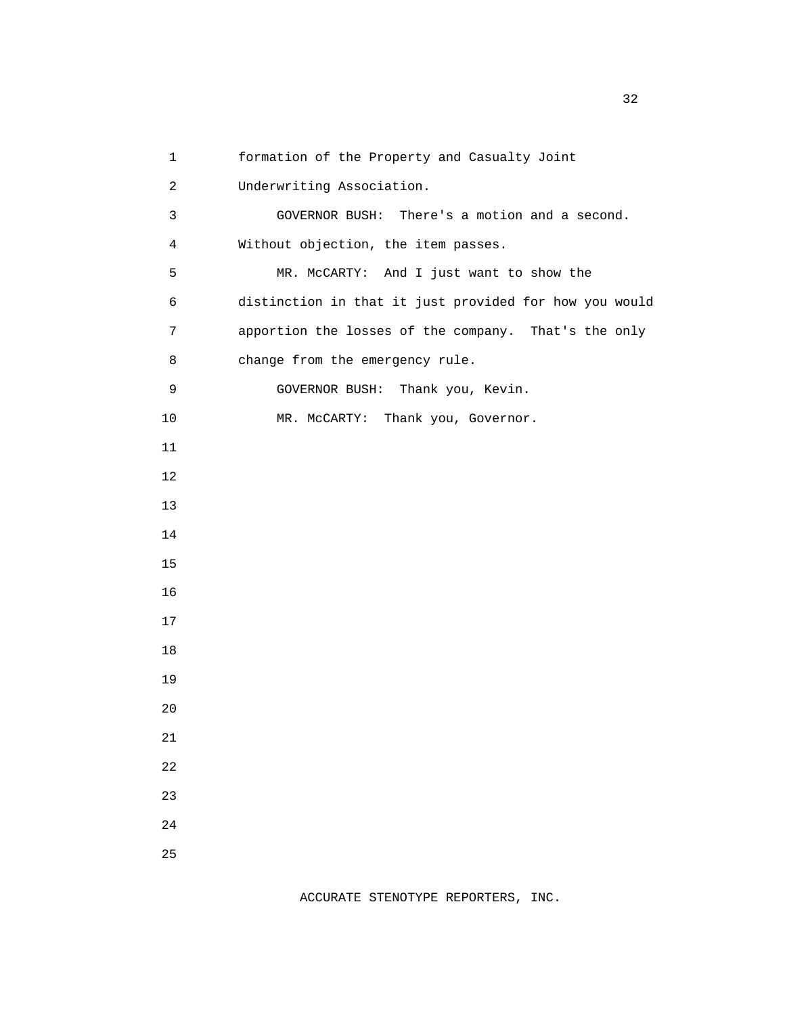1 formation of the Property and Casualty Joint 2 Underwriting Association. 3 GOVERNOR BUSH: There's a motion and a second. 4 Without objection, the item passes. 5 MR. McCARTY: And I just want to show the 6 distinction in that it just provided for how you would 7 apportion the losses of the company. That's the only 8 change from the emergency rule. 9 GOVERNOR BUSH: Thank you, Kevin. 10 MR. McCARTY: Thank you, Governor. 11 12 13 14 15 16 17 18 19 20 21 22 23 24 25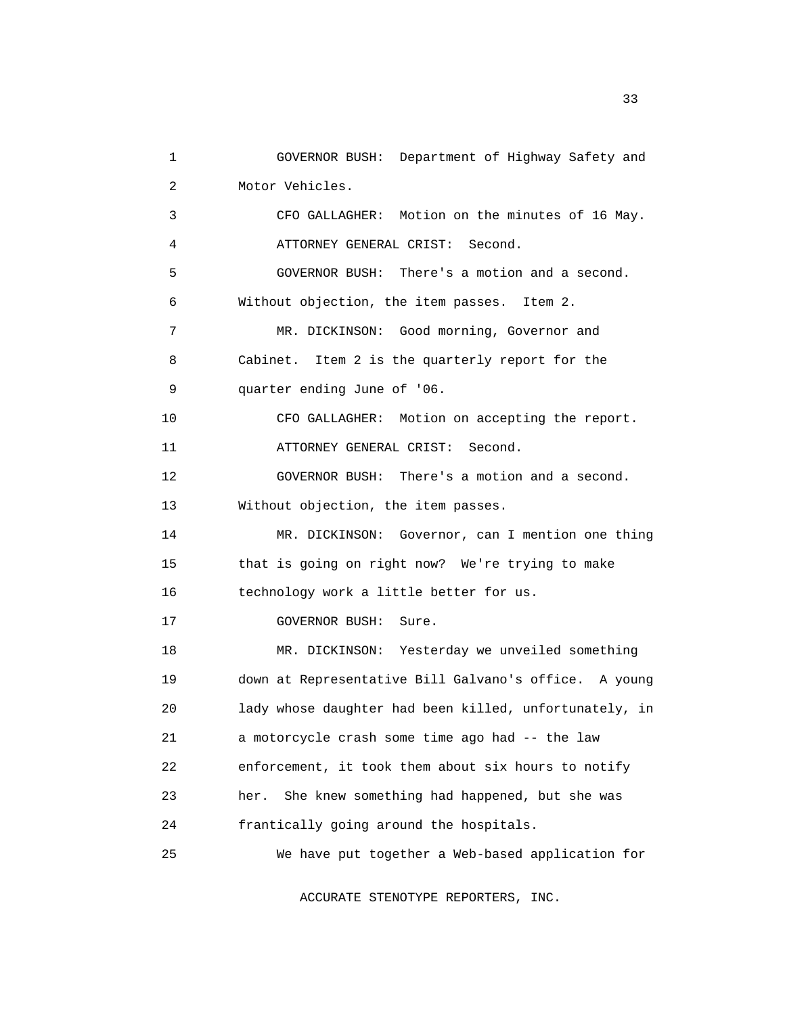1 GOVERNOR BUSH: Department of Highway Safety and 2 Motor Vehicles. 3 CFO GALLAGHER: Motion on the minutes of 16 May. 4 ATTORNEY GENERAL CRIST: Second. 5 GOVERNOR BUSH: There's a motion and a second. 6 Without objection, the item passes. Item 2. 7 MR. DICKINSON: Good morning, Governor and 8 Cabinet. Item 2 is the quarterly report for the 9 quarter ending June of '06. 10 CFO GALLAGHER: Motion on accepting the report. 11 ATTORNEY GENERAL CRIST: Second. 12 GOVERNOR BUSH: There's a motion and a second. 13 Without objection, the item passes. 14 MR. DICKINSON: Governor, can I mention one thing 15 that is going on right now? We're trying to make 16 technology work a little better for us. 17 GOVERNOR BUSH: Sure. 18 MR. DICKINSON: Yesterday we unveiled something 19 down at Representative Bill Galvano's office. A young 20 lady whose daughter had been killed, unfortunately, in 21 a motorcycle crash some time ago had -- the law 22 enforcement, it took them about six hours to notify 23 her. She knew something had happened, but she was 24 frantically going around the hospitals. 25 We have put together a Web-based application for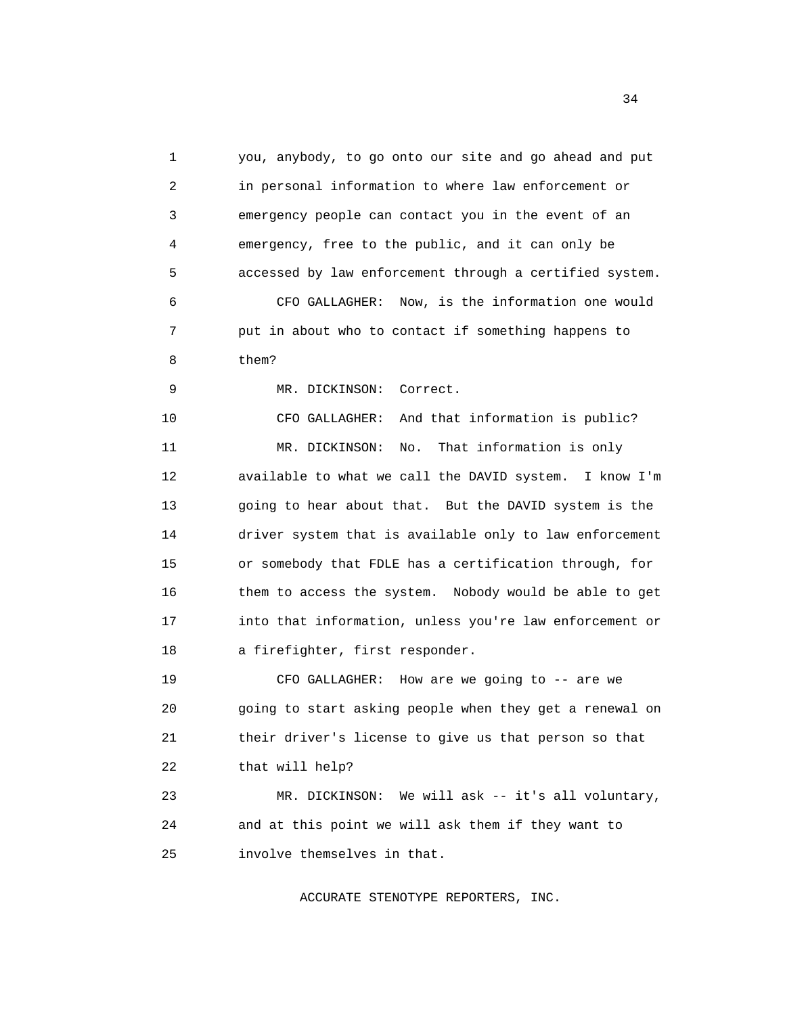1 you, anybody, to go onto our site and go ahead and put 2 in personal information to where law enforcement or 3 emergency people can contact you in the event of an 4 emergency, free to the public, and it can only be 5 accessed by law enforcement through a certified system. 6 CFO GALLAGHER: Now, is the information one would 7 put in about who to contact if something happens to 8 them? 9 MR. DICKINSON: Correct. 10 CFO GALLAGHER: And that information is public? 11 MR. DICKINSON: No. That information is only 12 available to what we call the DAVID system. I know I'm 13 going to hear about that. But the DAVID system is the 14 driver system that is available only to law enforcement 15 or somebody that FDLE has a certification through, for 16 them to access the system. Nobody would be able to get 17 into that information, unless you're law enforcement or 18 a firefighter, first responder. 19 CFO GALLAGHER: How are we going to -- are we 20 going to start asking people when they get a renewal on 21 their driver's license to give us that person so that 22 that will help? 23 MR. DICKINSON: We will ask -- it's all voluntary, 24 and at this point we will ask them if they want to

ACCURATE STENOTYPE REPORTERS, INC.

25 involve themselves in that.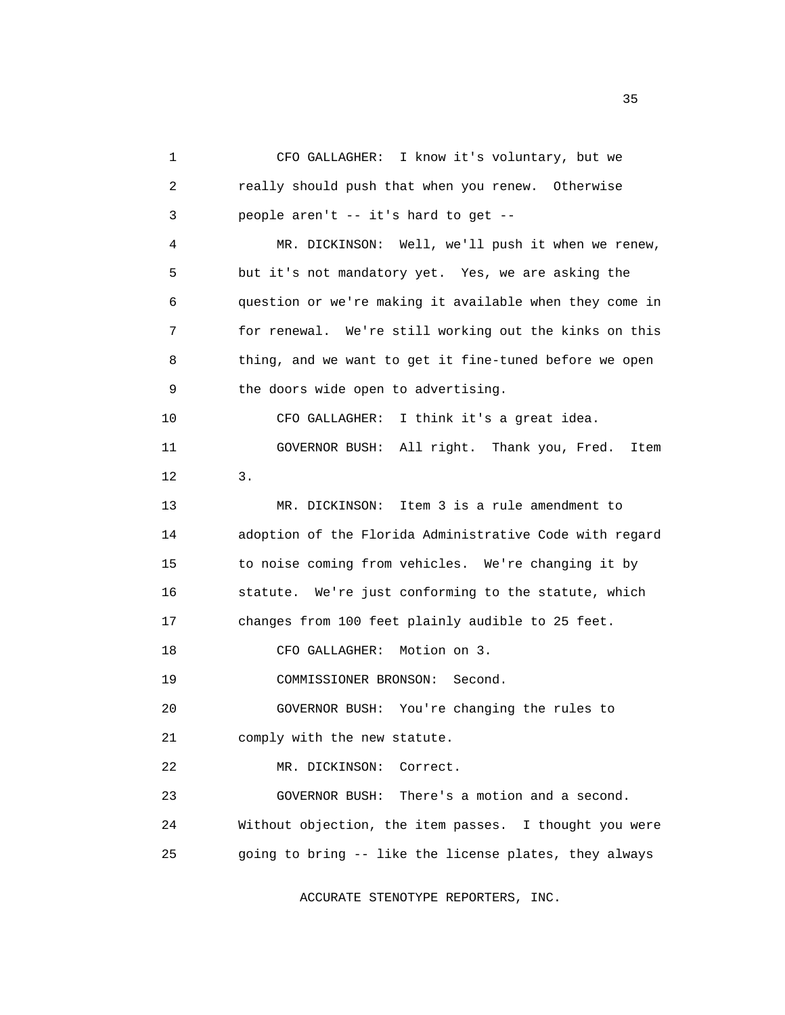1 CFO GALLAGHER: I know it's voluntary, but we 2 really should push that when you renew. Otherwise 3 people aren't -- it's hard to get -- 4 MR. DICKINSON: Well, we'll push it when we renew, 5 but it's not mandatory yet. Yes, we are asking the 6 question or we're making it available when they come in 7 for renewal. We're still working out the kinks on this 8 thing, and we want to get it fine-tuned before we open 9 the doors wide open to advertising. 10 CFO GALLAGHER: I think it's a great idea. 11 GOVERNOR BUSH: All right. Thank you, Fred. Item 12 3. 13 MR. DICKINSON: Item 3 is a rule amendment to 14 adoption of the Florida Administrative Code with regard 15 to noise coming from vehicles. We're changing it by 16 statute. We're just conforming to the statute, which 17 changes from 100 feet plainly audible to 25 feet. 18 CFO GALLAGHER: Motion on 3. 19 COMMISSIONER BRONSON: Second. 20 GOVERNOR BUSH: You're changing the rules to 21 comply with the new statute. 22 MR. DICKINSON: Correct. 23 GOVERNOR BUSH: There's a motion and a second. 24 Without objection, the item passes. I thought you were 25 going to bring -- like the license plates, they always

ACCURATE STENOTYPE REPORTERS, INC.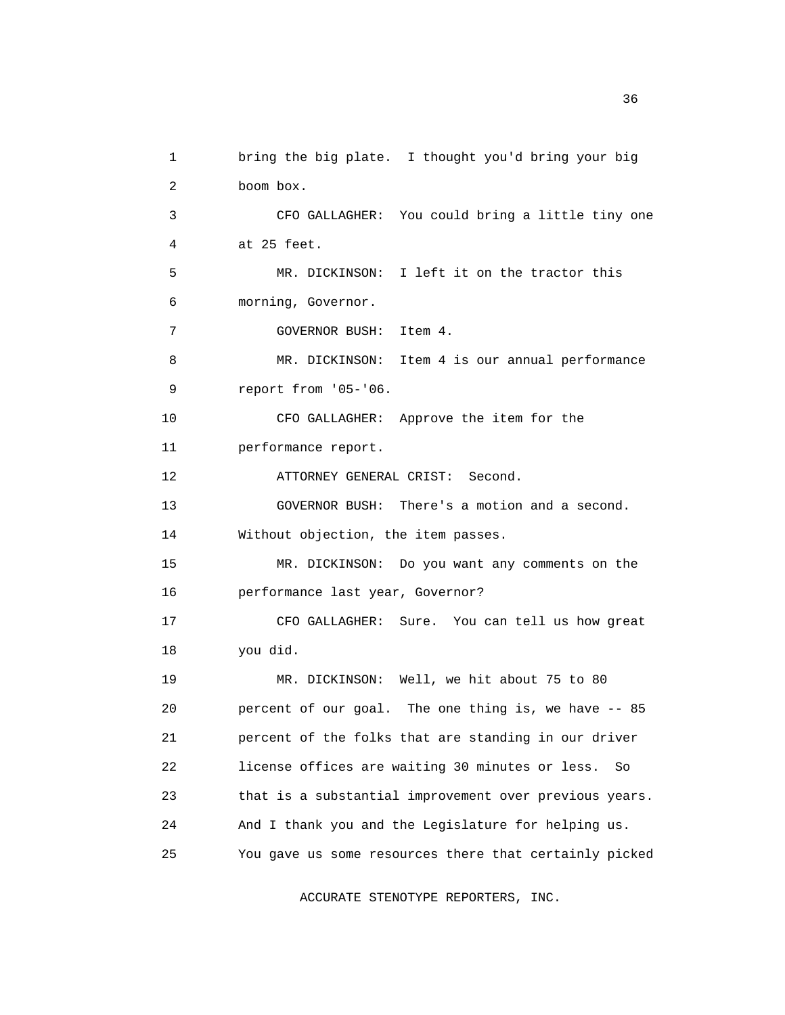1 bring the big plate. I thought you'd bring your big 2 boom box. 3 CFO GALLAGHER: You could bring a little tiny one 4 at 25 feet. 5 MR. DICKINSON: I left it on the tractor this 6 morning, Governor. 7 GOVERNOR BUSH: Item 4. 8 MR. DICKINSON: Item 4 is our annual performance 9 report from '05-'06. 10 CFO GALLAGHER: Approve the item for the 11 performance report. 12 ATTORNEY GENERAL CRIST: Second. 13 GOVERNOR BUSH: There's a motion and a second. 14 Without objection, the item passes. 15 MR. DICKINSON: Do you want any comments on the 16 performance last year, Governor? 17 CFO GALLAGHER: Sure. You can tell us how great 18 you did. 19 MR. DICKINSON: Well, we hit about 75 to 80 20 percent of our goal. The one thing is, we have -- 85 21 percent of the folks that are standing in our driver 22 license offices are waiting 30 minutes or less. So 23 that is a substantial improvement over previous years. 24 And I thank you and the Legislature for helping us. 25 You gave us some resources there that certainly picked

ACCURATE STENOTYPE REPORTERS, INC.

 $36<sup>2</sup>$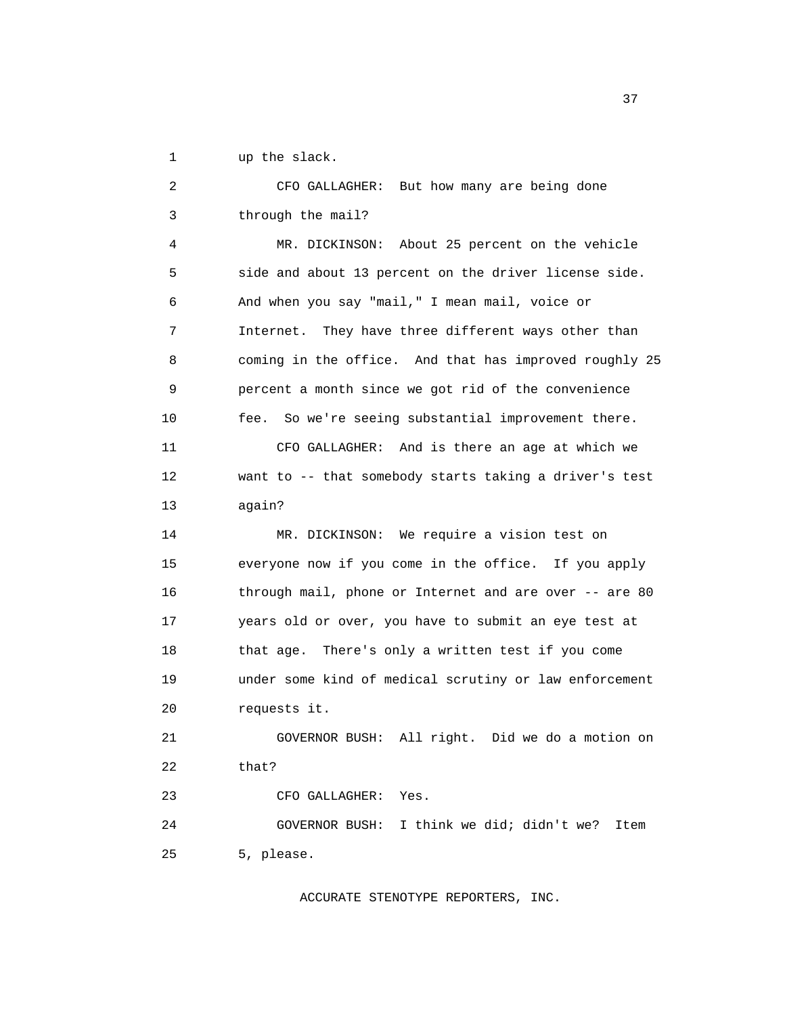1 up the slack.

 2 CFO GALLAGHER: But how many are being done 3 through the mail? 4 MR. DICKINSON: About 25 percent on the vehicle 5 side and about 13 percent on the driver license side. 6 And when you say "mail," I mean mail, voice or 7 Internet. They have three different ways other than 8 coming in the office. And that has improved roughly 25 9 percent a month since we got rid of the convenience 10 fee. So we're seeing substantial improvement there. 11 CFO GALLAGHER: And is there an age at which we 12 want to -- that somebody starts taking a driver's test 13 again? 14 MR. DICKINSON: We require a vision test on 15 everyone now if you come in the office. If you apply 16 through mail, phone or Internet and are over -- are 80 17 years old or over, you have to submit an eye test at 18 that age. There's only a written test if you come 19 under some kind of medical scrutiny or law enforcement 20 requests it. 21 GOVERNOR BUSH: All right. Did we do a motion on 22 that? 23 CFO GALLAGHER: Yes. 24 GOVERNOR BUSH: I think we did; didn't we? Item 25 5, please.

ACCURATE STENOTYPE REPORTERS, INC.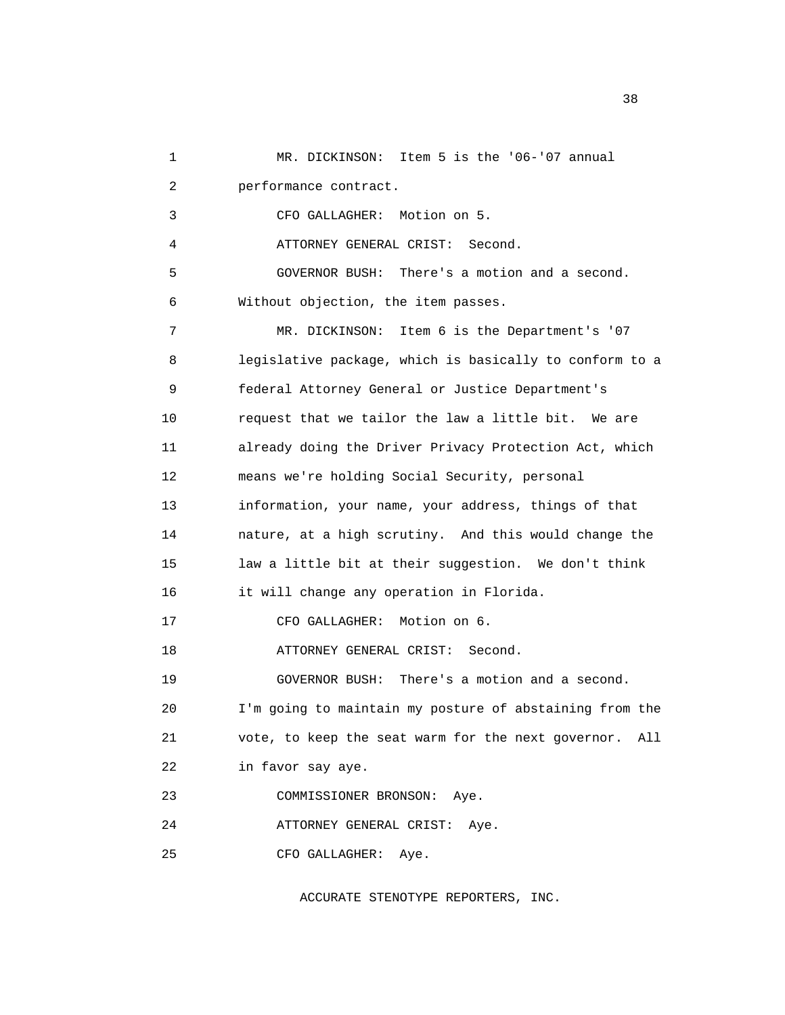1 MR. DICKINSON: Item 5 is the '06-'07 annual 2 performance contract. 3 CFO GALLAGHER: Motion on 5. 4 ATTORNEY GENERAL CRIST: Second. 5 GOVERNOR BUSH: There's a motion and a second. 6 Without objection, the item passes. 7 MR. DICKINSON: Item 6 is the Department's '07 8 legislative package, which is basically to conform to a 9 federal Attorney General or Justice Department's 10 request that we tailor the law a little bit. We are 11 already doing the Driver Privacy Protection Act, which 12 means we're holding Social Security, personal 13 information, your name, your address, things of that 14 nature, at a high scrutiny. And this would change the 15 law a little bit at their suggestion. We don't think 16 it will change any operation in Florida. 17 CFO GALLAGHER: Motion on 6. 18 ATTORNEY GENERAL CRIST: Second. 19 GOVERNOR BUSH: There's a motion and a second. 20 I'm going to maintain my posture of abstaining from the 21 vote, to keep the seat warm for the next governor. All 22 in favor say aye. 23 COMMISSIONER BRONSON: Aye. 24 ATTORNEY GENERAL CRIST: Aye. 25 CFO GALLAGHER: Aye.

ACCURATE STENOTYPE REPORTERS, INC.

and the state of the state of the state of the state of the state of the state of the state of the state of the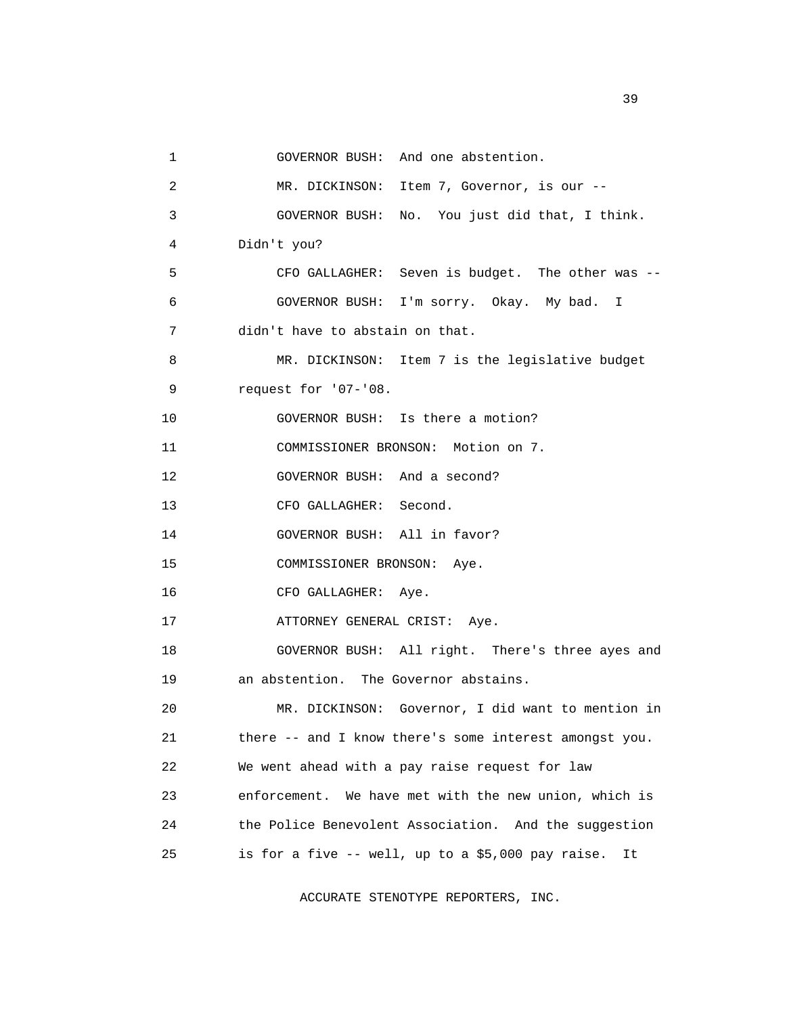```
 1 GOVERNOR BUSH: And one abstention. 
 2 MR. DICKINSON: Item 7, Governor, is our -- 
 3 GOVERNOR BUSH: No. You just did that, I think. 
 4 Didn't you? 
 5 CFO GALLAGHER: Seven is budget. The other was -- 
 6 GOVERNOR BUSH: I'm sorry. Okay. My bad. I 
 7 didn't have to abstain on that. 
8 MR. DICKINSON: Item 7 is the legislative budget
 9 request for '07-'08. 
 10 GOVERNOR BUSH: Is there a motion? 
 11 COMMISSIONER BRONSON: Motion on 7. 
 12 GOVERNOR BUSH: And a second? 
 13 CFO GALLAGHER: Second. 
 14 GOVERNOR BUSH: All in favor? 
 15 COMMISSIONER BRONSON: Aye. 
 16 CFO GALLAGHER: Aye. 
17 ATTORNEY GENERAL CRIST: Aye.
 18 GOVERNOR BUSH: All right. There's three ayes and 
 19 an abstention. The Governor abstains. 
 20 MR. DICKINSON: Governor, I did want to mention in 
 21 there -- and I know there's some interest amongst you. 
 22 We went ahead with a pay raise request for law 
 23 enforcement. We have met with the new union, which is
```
24 the Police Benevolent Association. And the suggestion

25 is for a five -- well, up to a \$5,000 pay raise. It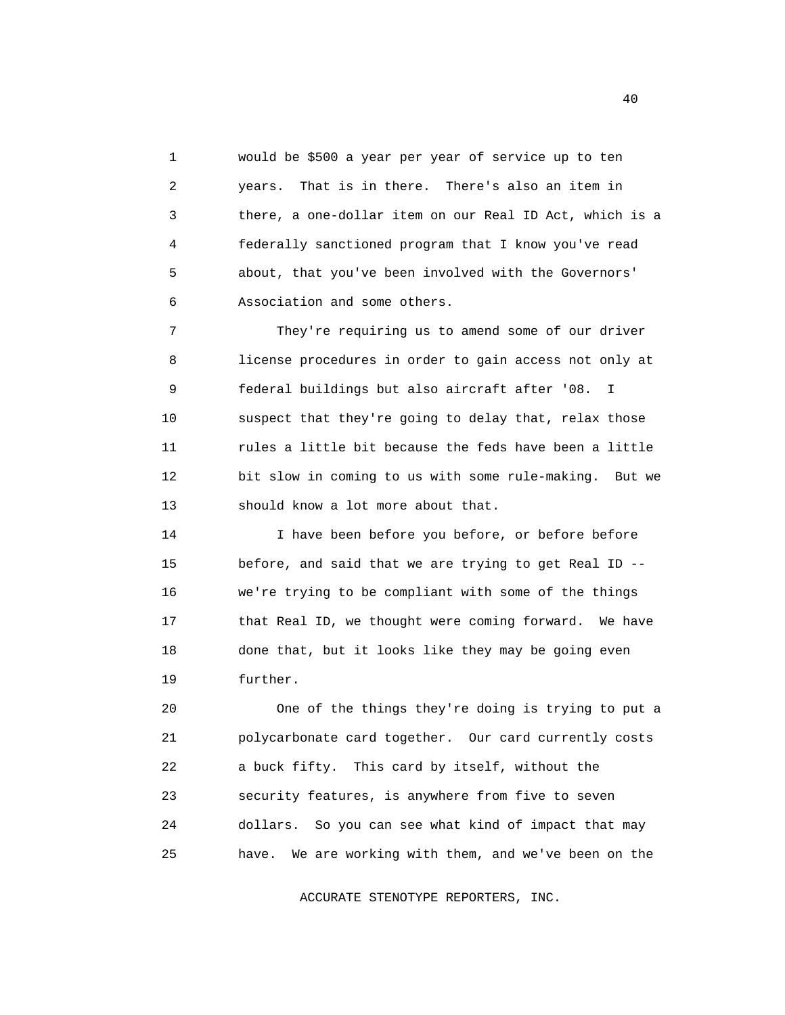1 would be \$500 a year per year of service up to ten 2 years. That is in there. There's also an item in 3 there, a one-dollar item on our Real ID Act, which is a 4 federally sanctioned program that I know you've read 5 about, that you've been involved with the Governors' 6 Association and some others.

 7 They're requiring us to amend some of our driver 8 license procedures in order to gain access not only at 9 federal buildings but also aircraft after '08. I 10 suspect that they're going to delay that, relax those 11 rules a little bit because the feds have been a little 12 bit slow in coming to us with some rule-making. But we 13 should know a lot more about that.

 14 I have been before you before, or before before 15 before, and said that we are trying to get Real ID -- 16 we're trying to be compliant with some of the things 17 that Real ID, we thought were coming forward. We have 18 done that, but it looks like they may be going even 19 further.

 20 One of the things they're doing is trying to put a 21 polycarbonate card together. Our card currently costs 22 a buck fifty. This card by itself, without the 23 security features, is anywhere from five to seven 24 dollars. So you can see what kind of impact that may 25 have. We are working with them, and we've been on the

ACCURATE STENOTYPE REPORTERS, INC.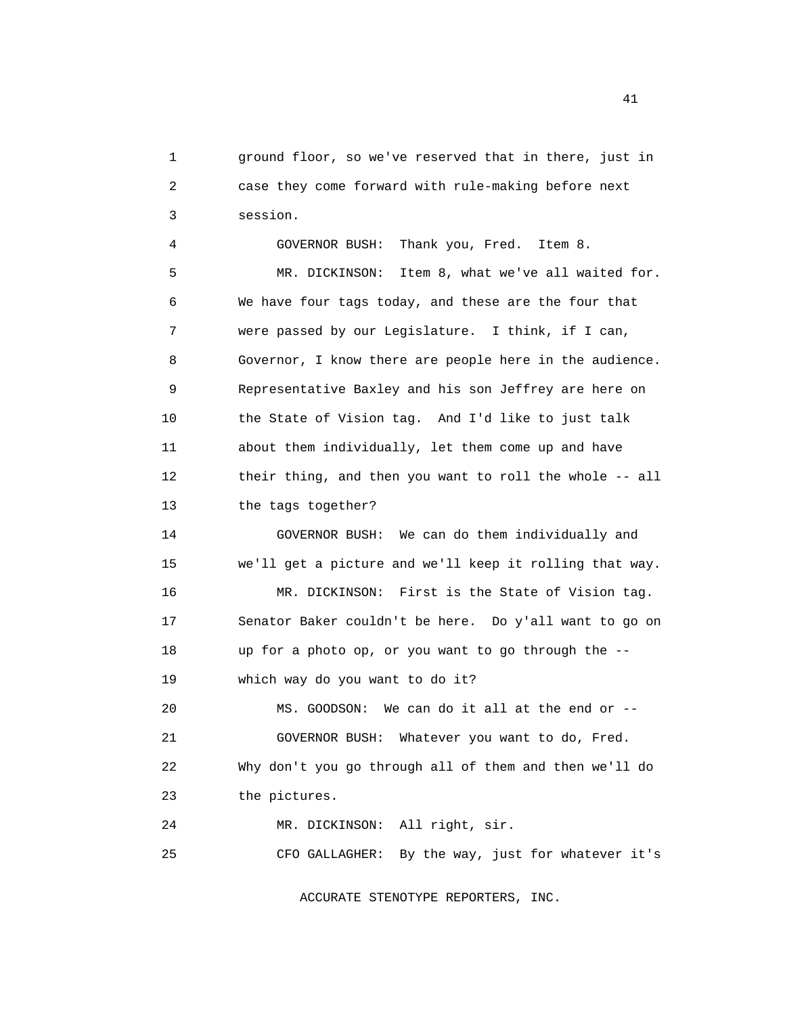1 ground floor, so we've reserved that in there, just in 2 case they come forward with rule-making before next 3 session.

 4 GOVERNOR BUSH: Thank you, Fred. Item 8. 5 MR. DICKINSON: Item 8, what we've all waited for. 6 We have four tags today, and these are the four that 7 were passed by our Legislature. I think, if I can, 8 Governor, I know there are people here in the audience. 9 Representative Baxley and his son Jeffrey are here on 10 the State of Vision tag. And I'd like to just talk 11 about them individually, let them come up and have 12 their thing, and then you want to roll the whole -- all 13 the tags together?

 14 GOVERNOR BUSH: We can do them individually and 15 we'll get a picture and we'll keep it rolling that way. 16 MR. DICKINSON: First is the State of Vision tag. 17 Senator Baker couldn't be here. Do y'all want to go on 18 up for a photo op, or you want to go through the --

19 which way do you want to do it?

 20 MS. GOODSON: We can do it all at the end or -- 21 GOVERNOR BUSH: Whatever you want to do, Fred. 22 Why don't you go through all of them and then we'll do 23 the pictures.

25 CFO GALLAGHER: By the way, just for whatever it's

24 MR. DICKINSON: All right, sir.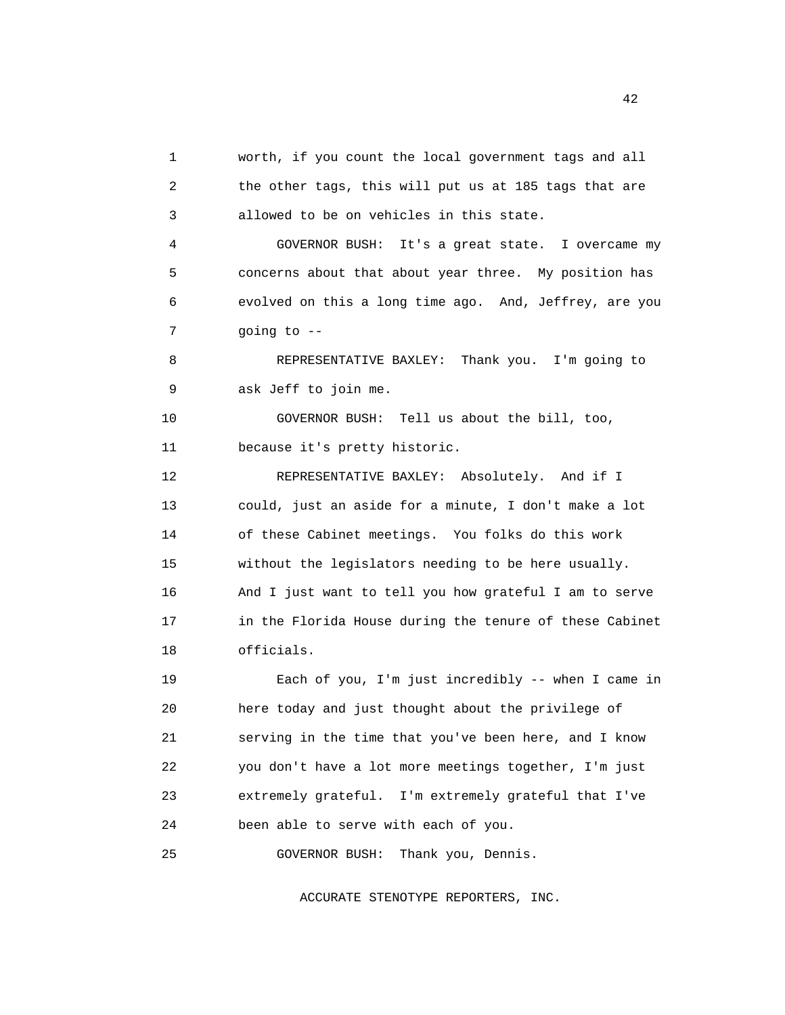1 worth, if you count the local government tags and all 2 the other tags, this will put us at 185 tags that are 3 allowed to be on vehicles in this state. 4 GOVERNOR BUSH: It's a great state. I overcame my 5 concerns about that about year three. My position has 6 evolved on this a long time ago. And, Jeffrey, are you 7 going to -- 8 REPRESENTATIVE BAXLEY: Thank you. I'm going to 9 ask Jeff to join me. 10 GOVERNOR BUSH: Tell us about the bill, too, 11 because it's pretty historic. 12 REPRESENTATIVE BAXLEY: Absolutely. And if I 13 could, just an aside for a minute, I don't make a lot 14 of these Cabinet meetings. You folks do this work 15 without the legislators needing to be here usually. 16 And I just want to tell you how grateful I am to serve 17 in the Florida House during the tenure of these Cabinet 18 officials. 19 Each of you, I'm just incredibly -- when I came in 20 here today and just thought about the privilege of 21 serving in the time that you've been here, and I know 22 you don't have a lot more meetings together, I'm just 23 extremely grateful. I'm extremely grateful that I've 24 been able to serve with each of you. 25 GOVERNOR BUSH: Thank you, Dennis.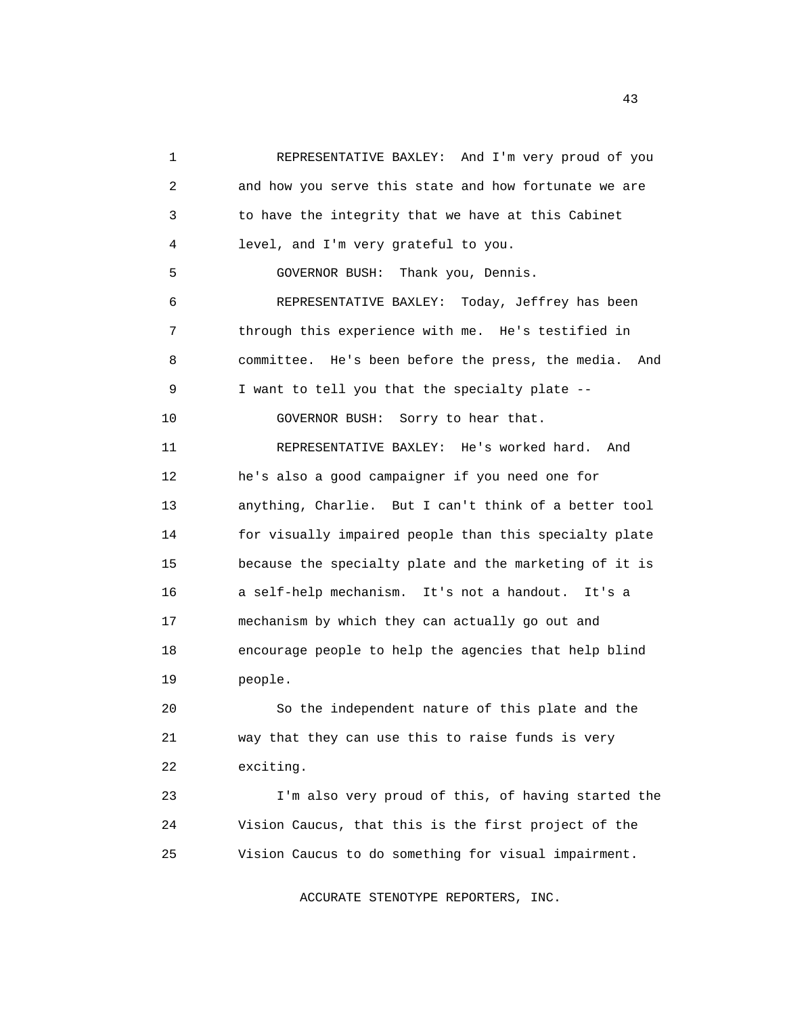1 REPRESENTATIVE BAXLEY: And I'm very proud of you 2 and how you serve this state and how fortunate we are 3 to have the integrity that we have at this Cabinet 4 level, and I'm very grateful to you. 5 GOVERNOR BUSH: Thank you, Dennis. 6 REPRESENTATIVE BAXLEY: Today, Jeffrey has been 7 through this experience with me. He's testified in 8 committee. He's been before the press, the media. And 9 I want to tell you that the specialty plate -- 10 GOVERNOR BUSH: Sorry to hear that. 11 REPRESENTATIVE BAXLEY: He's worked hard. And 12 he's also a good campaigner if you need one for 13 anything, Charlie. But I can't think of a better tool 14 for visually impaired people than this specialty plate 15 because the specialty plate and the marketing of it is 16 a self-help mechanism. It's not a handout. It's a 17 mechanism by which they can actually go out and 18 encourage people to help the agencies that help blind 19 people. 20 So the independent nature of this plate and the 21 way that they can use this to raise funds is very 22 exciting.

 23 I'm also very proud of this, of having started the 24 Vision Caucus, that this is the first project of the 25 Vision Caucus to do something for visual impairment.

ACCURATE STENOTYPE REPORTERS, INC.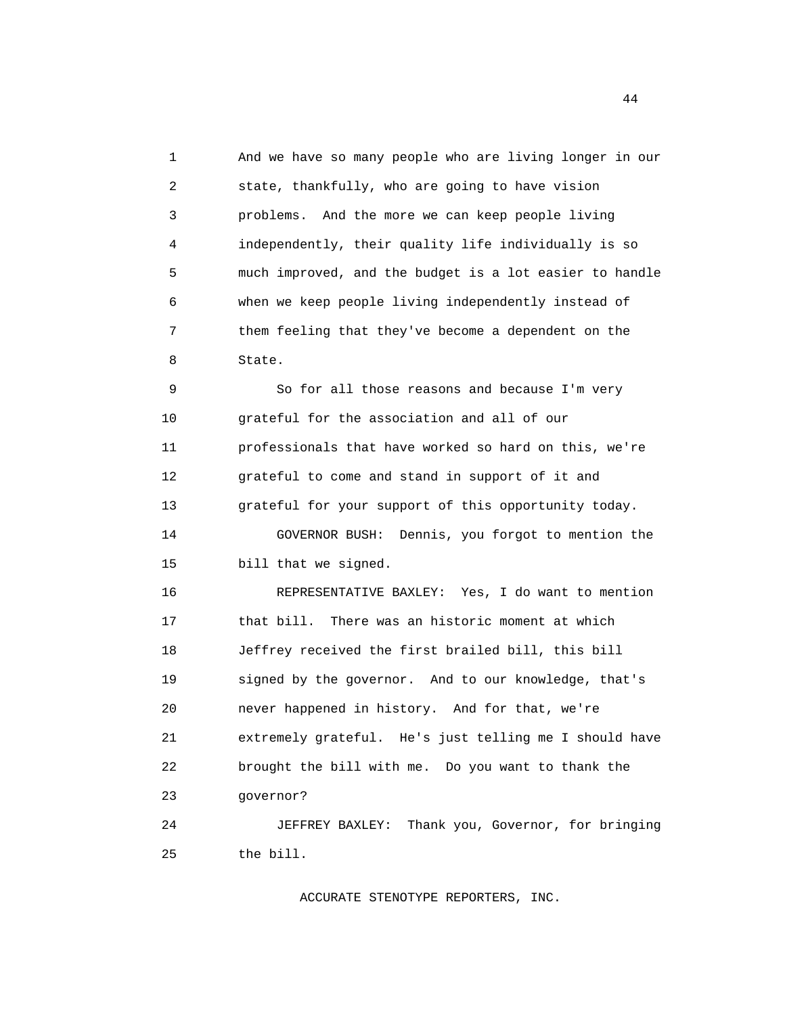1 And we have so many people who are living longer in our 2 state, thankfully, who are going to have vision 3 problems. And the more we can keep people living 4 independently, their quality life individually is so 5 much improved, and the budget is a lot easier to handle 6 when we keep people living independently instead of 7 them feeling that they've become a dependent on the 8 State.

 9 So for all those reasons and because I'm very 10 grateful for the association and all of our 11 professionals that have worked so hard on this, we're 12 grateful to come and stand in support of it and 13 grateful for your support of this opportunity today. 14 GOVERNOR BUSH: Dennis, you forgot to mention the 15 bill that we signed.

 16 REPRESENTATIVE BAXLEY: Yes, I do want to mention 17 that bill. There was an historic moment at which 18 Jeffrey received the first brailed bill, this bill 19 signed by the governor. And to our knowledge, that's 20 never happened in history. And for that, we're 21 extremely grateful. He's just telling me I should have 22 brought the bill with me. Do you want to thank the 23 governor?

 24 JEFFREY BAXLEY: Thank you, Governor, for bringing 25 the bill.

ACCURATE STENOTYPE REPORTERS, INC.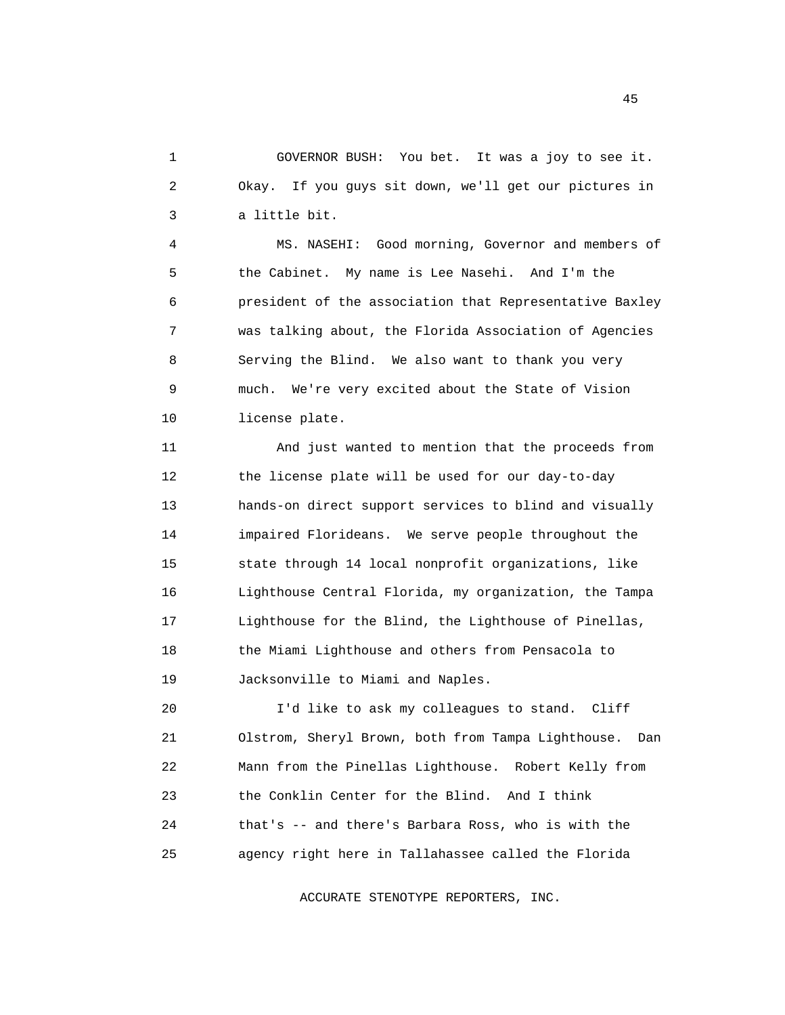1 GOVERNOR BUSH: You bet. It was a joy to see it. 2 Okay. If you guys sit down, we'll get our pictures in 3 a little bit.

 4 MS. NASEHI: Good morning, Governor and members of 5 the Cabinet. My name is Lee Nasehi. And I'm the 6 president of the association that Representative Baxley 7 was talking about, the Florida Association of Agencies 8 Serving the Blind. We also want to thank you very 9 much. We're very excited about the State of Vision 10 license plate.

 11 And just wanted to mention that the proceeds from 12 the license plate will be used for our day-to-day 13 hands-on direct support services to blind and visually 14 impaired Florideans. We serve people throughout the 15 state through 14 local nonprofit organizations, like 16 Lighthouse Central Florida, my organization, the Tampa 17 Lighthouse for the Blind, the Lighthouse of Pinellas, 18 the Miami Lighthouse and others from Pensacola to 19 Jacksonville to Miami and Naples.

 20 I'd like to ask my colleagues to stand. Cliff 21 Olstrom, Sheryl Brown, both from Tampa Lighthouse. Dan 22 Mann from the Pinellas Lighthouse. Robert Kelly from 23 the Conklin Center for the Blind. And I think 24 that's -- and there's Barbara Ross, who is with the 25 agency right here in Tallahassee called the Florida

ACCURATE STENOTYPE REPORTERS, INC.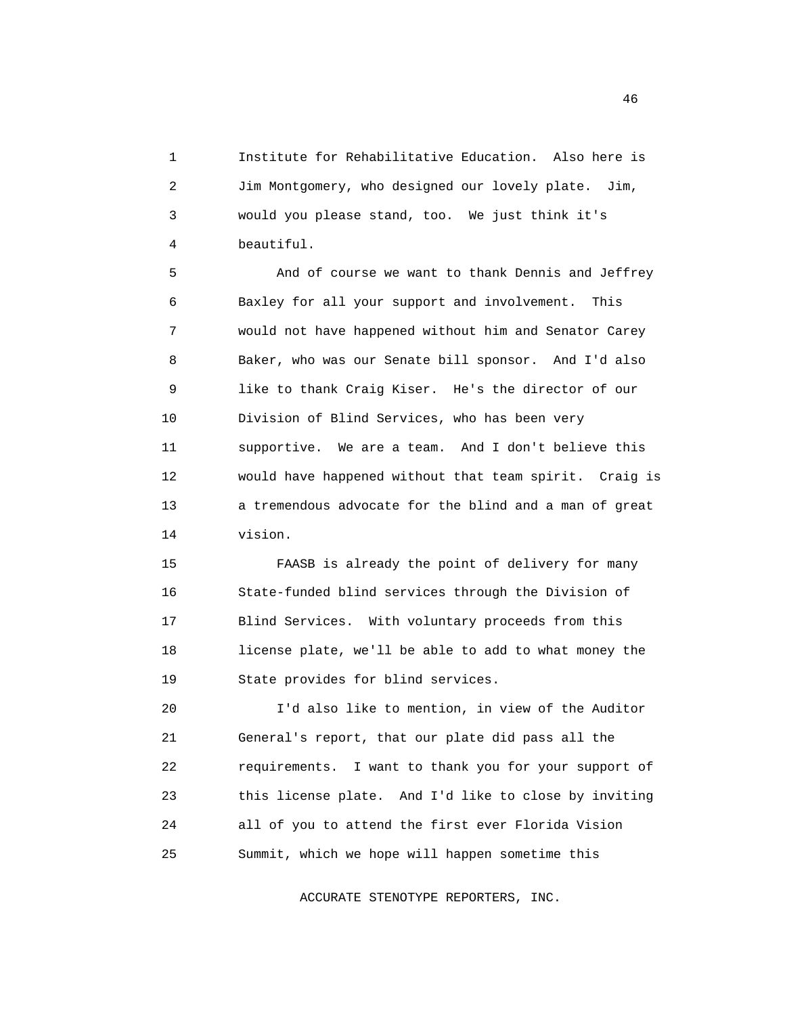1 Institute for Rehabilitative Education. Also here is 2 Jim Montgomery, who designed our lovely plate. Jim, 3 would you please stand, too. We just think it's 4 beautiful.

 5 And of course we want to thank Dennis and Jeffrey 6 Baxley for all your support and involvement. This 7 would not have happened without him and Senator Carey 8 Baker, who was our Senate bill sponsor. And I'd also 9 like to thank Craig Kiser. He's the director of our 10 Division of Blind Services, who has been very 11 supportive. We are a team. And I don't believe this 12 would have happened without that team spirit. Craig is 13 a tremendous advocate for the blind and a man of great 14 vision.

 15 FAASB is already the point of delivery for many 16 State-funded blind services through the Division of 17 Blind Services. With voluntary proceeds from this 18 license plate, we'll be able to add to what money the 19 State provides for blind services.

 20 I'd also like to mention, in view of the Auditor 21 General's report, that our plate did pass all the 22 requirements. I want to thank you for your support of 23 this license plate. And I'd like to close by inviting 24 all of you to attend the first ever Florida Vision 25 Summit, which we hope will happen sometime this

ACCURATE STENOTYPE REPORTERS, INC.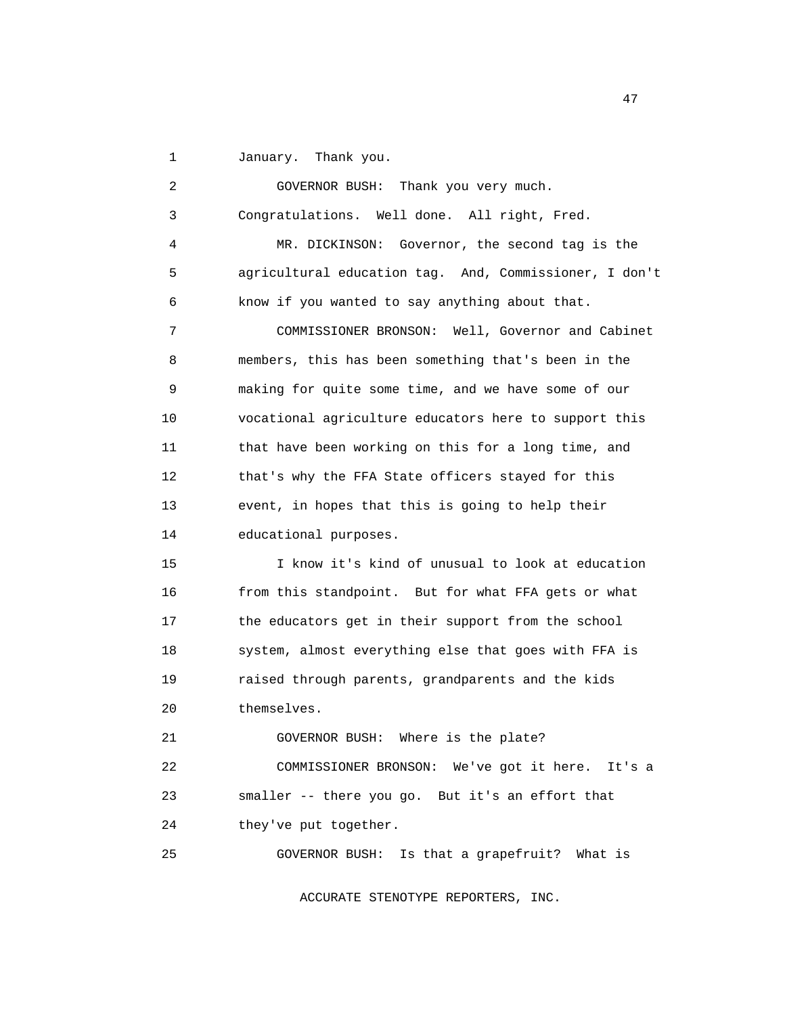1 January. Thank you.

 2 GOVERNOR BUSH: Thank you very much. 3 Congratulations. Well done. All right, Fred. 4 MR. DICKINSON: Governor, the second tag is the 5 agricultural education tag. And, Commissioner, I don't 6 know if you wanted to say anything about that. 7 COMMISSIONER BRONSON: Well, Governor and Cabinet 8 members, this has been something that's been in the 9 making for quite some time, and we have some of our 10 vocational agriculture educators here to support this 11 that have been working on this for a long time, and 12 that's why the FFA State officers stayed for this 13 event, in hopes that this is going to help their 14 educational purposes. 15 I know it's kind of unusual to look at education 16 from this standpoint. But for what FFA gets or what 17 the educators get in their support from the school 18 system, almost everything else that goes with FFA is 19 raised through parents, grandparents and the kids 20 themselves. 21 GOVERNOR BUSH: Where is the plate? 22 COMMISSIONER BRONSON: We've got it here. It's a 23 smaller -- there you go. But it's an effort that 24 they've put together. 25 GOVERNOR BUSH: Is that a grapefruit? What is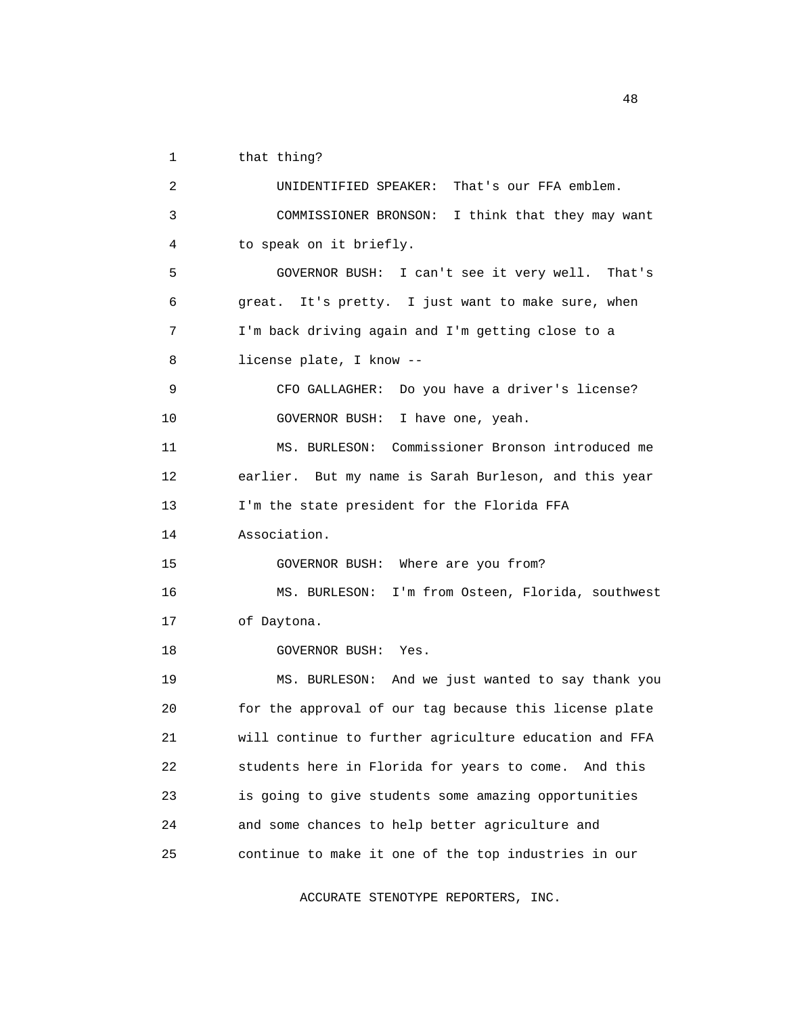1 that thing?

 2 UNIDENTIFIED SPEAKER: That's our FFA emblem. 3 COMMISSIONER BRONSON: I think that they may want 4 to speak on it briefly. 5 GOVERNOR BUSH: I can't see it very well. That's 6 great. It's pretty. I just want to make sure, when 7 I'm back driving again and I'm getting close to a 8 license plate, I know -- 9 CFO GALLAGHER: Do you have a driver's license? 10 GOVERNOR BUSH: I have one, yeah. 11 MS. BURLESON: Commissioner Bronson introduced me 12 earlier. But my name is Sarah Burleson, and this year 13 I'm the state president for the Florida FFA 14 Association. 15 GOVERNOR BUSH: Where are you from? 16 MS. BURLESON: I'm from Osteen, Florida, southwest 17 of Daytona. 18 GOVERNOR BUSH: Yes. 19 MS. BURLESON: And we just wanted to say thank you 20 for the approval of our tag because this license plate 21 will continue to further agriculture education and FFA 22 students here in Florida for years to come. And this 23 is going to give students some amazing opportunities 24 and some chances to help better agriculture and 25 continue to make it one of the top industries in our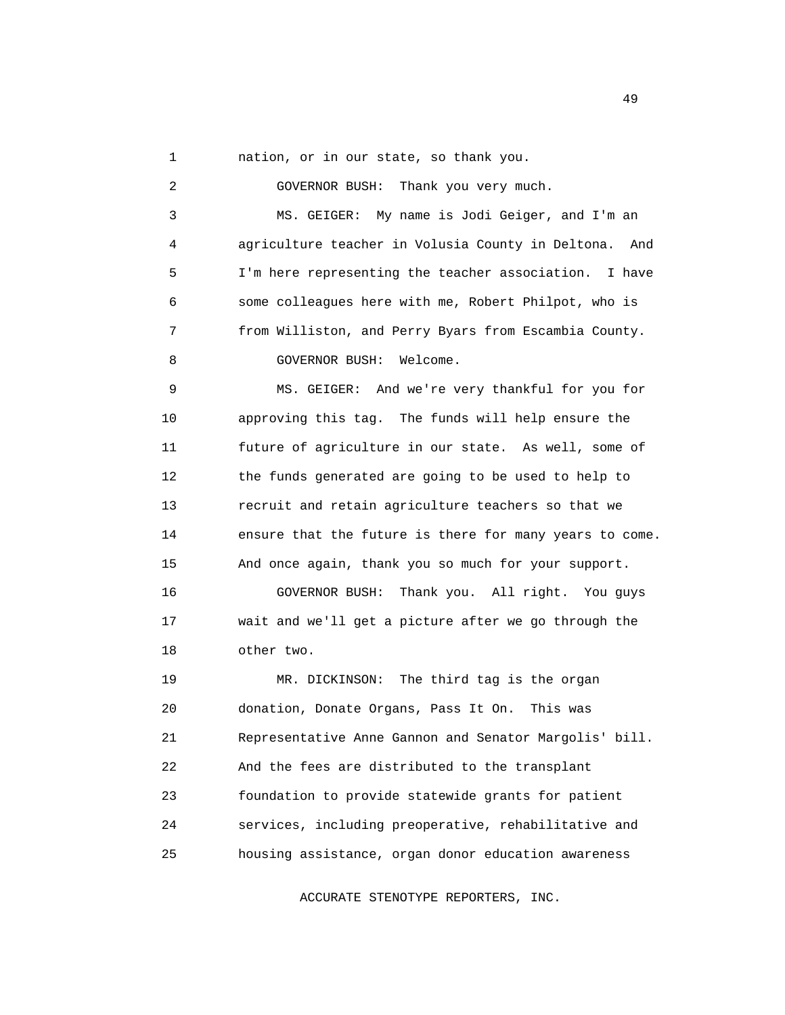1 nation, or in our state, so thank you.

 2 GOVERNOR BUSH: Thank you very much. 3 MS. GEIGER: My name is Jodi Geiger, and I'm an 4 agriculture teacher in Volusia County in Deltona. And 5 I'm here representing the teacher association. I have 6 some colleagues here with me, Robert Philpot, who is 7 from Williston, and Perry Byars from Escambia County. 8 GOVERNOR BUSH: Welcome. 9 MS. GEIGER: And we're very thankful for you for 10 approving this tag. The funds will help ensure the 11 future of agriculture in our state. As well, some of 12 the funds generated are going to be used to help to 13 recruit and retain agriculture teachers so that we 14 ensure that the future is there for many years to come. 15 And once again, thank you so much for your support. 16 GOVERNOR BUSH: Thank you. All right. You guys 17 wait and we'll get a picture after we go through the 18 other two. 19 MR. DICKINSON: The third tag is the organ 20 donation, Donate Organs, Pass It On. This was 21 Representative Anne Gannon and Senator Margolis' bill. 22 And the fees are distributed to the transplant 23 foundation to provide statewide grants for patient 24 services, including preoperative, rehabilitative and

25 housing assistance, organ donor education awareness

ACCURATE STENOTYPE REPORTERS, INC.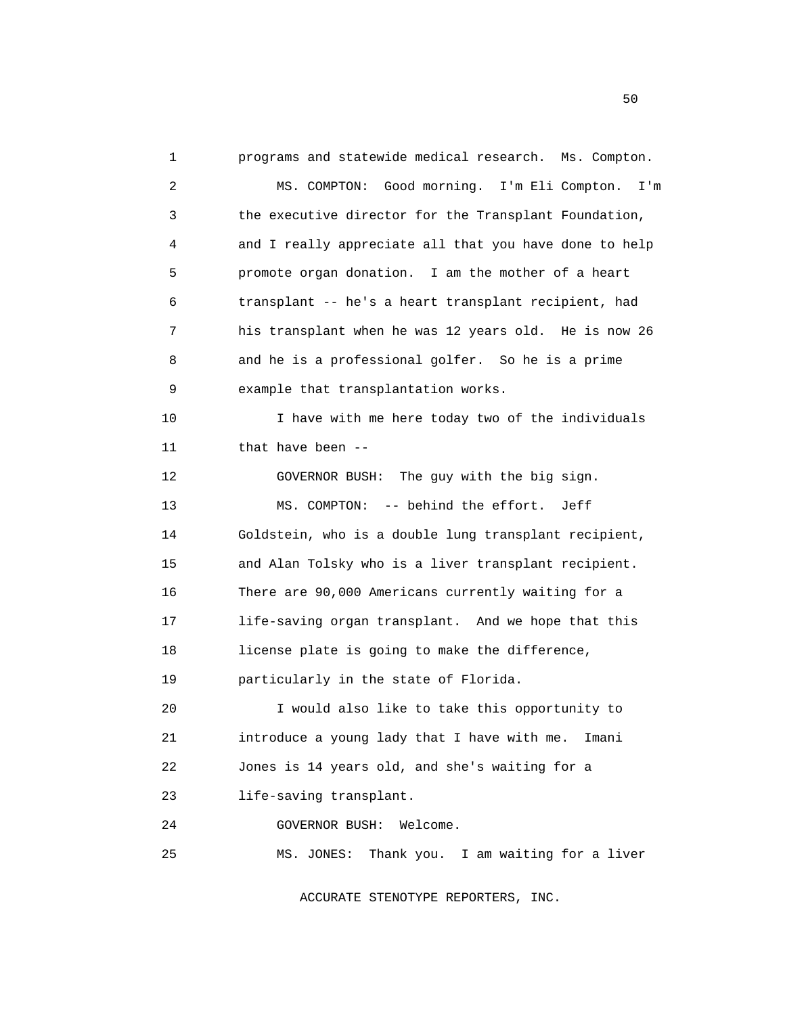1 programs and statewide medical research. Ms. Compton. 2 MS. COMPTON: Good morning. I'm Eli Compton. I'm 3 the executive director for the Transplant Foundation, 4 and I really appreciate all that you have done to help 5 promote organ donation. I am the mother of a heart 6 transplant -- he's a heart transplant recipient, had 7 his transplant when he was 12 years old. He is now 26 8 and he is a professional golfer. So he is a prime 9 example that transplantation works. 10 I have with me here today two of the individuals 11 that have been -- 12 GOVERNOR BUSH: The guy with the big sign. 13 MS. COMPTON: -- behind the effort. Jeff 14 Goldstein, who is a double lung transplant recipient, 15 and Alan Tolsky who is a liver transplant recipient. 16 There are 90,000 Americans currently waiting for a 17 life-saving organ transplant. And we hope that this 18 license plate is going to make the difference, 19 particularly in the state of Florida. 20 I would also like to take this opportunity to 21 introduce a young lady that I have with me. Imani 22 Jones is 14 years old, and she's waiting for a 23 life-saving transplant. 24 GOVERNOR BUSH: Welcome. 25 MS. JONES: Thank you. I am waiting for a liver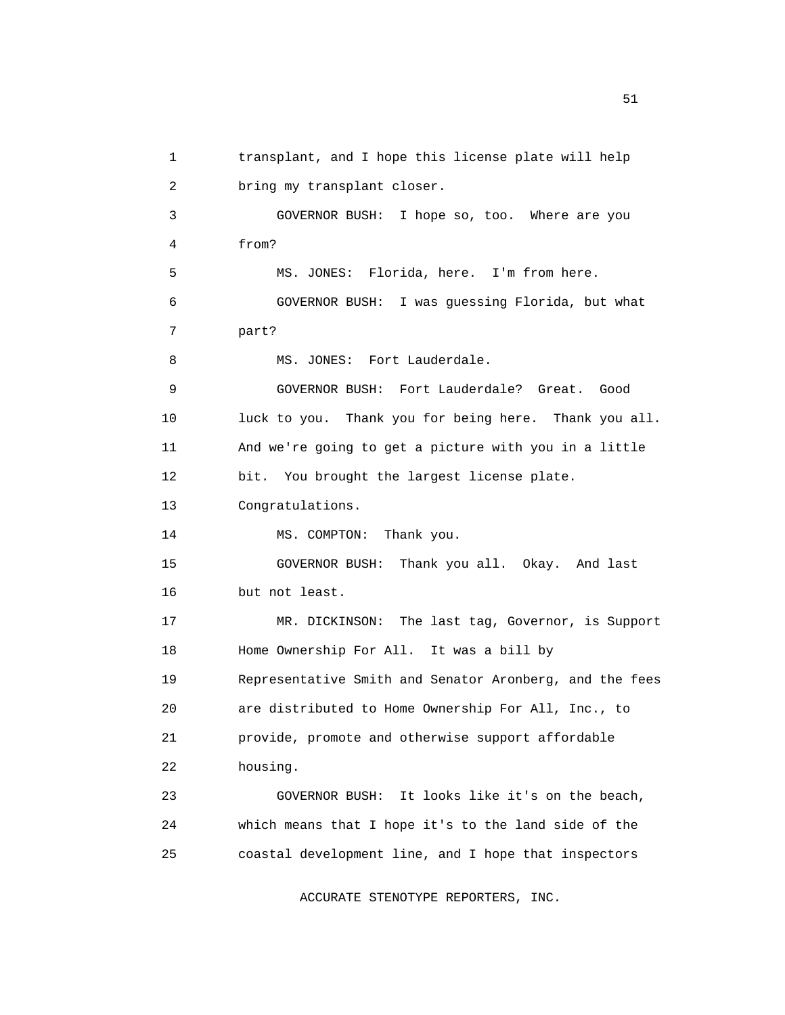1 transplant, and I hope this license plate will help 2 bring my transplant closer. 3 GOVERNOR BUSH: I hope so, too. Where are you 4 from? 5 MS. JONES: Florida, here. I'm from here. 6 GOVERNOR BUSH: I was guessing Florida, but what 7 part? 8 MS. JONES: Fort Lauderdale. 9 GOVERNOR BUSH: Fort Lauderdale? Great. Good 10 luck to you. Thank you for being here. Thank you all. 11 And we're going to get a picture with you in a little 12 bit. You brought the largest license plate. 13 Congratulations. 14 MS. COMPTON: Thank you. 15 GOVERNOR BUSH: Thank you all. Okay. And last 16 but not least. 17 MR. DICKINSON: The last tag, Governor, is Support 18 Home Ownership For All. It was a bill by 19 Representative Smith and Senator Aronberg, and the fees 20 are distributed to Home Ownership For All, Inc., to 21 provide, promote and otherwise support affordable 22 housing. 23 GOVERNOR BUSH: It looks like it's on the beach, 24 which means that I hope it's to the land side of the 25 coastal development line, and I hope that inspectors

ACCURATE STENOTYPE REPORTERS, INC.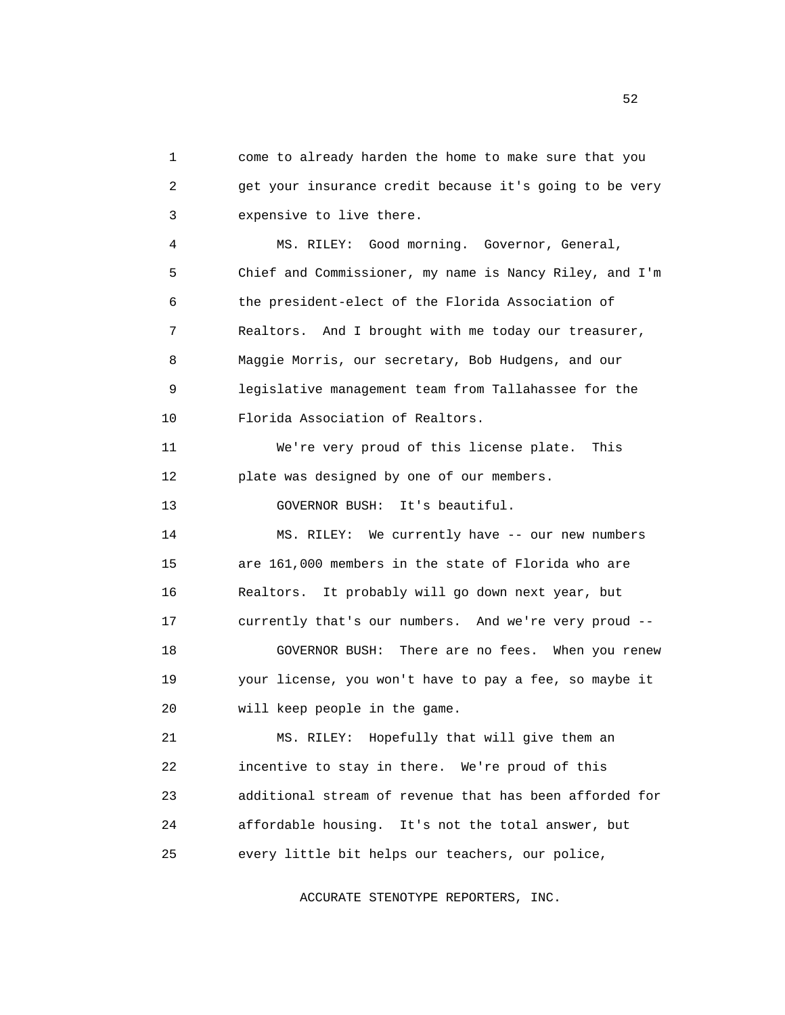1 come to already harden the home to make sure that you 2 get your insurance credit because it's going to be very 3 expensive to live there. 4 MS. RILEY: Good morning. Governor, General, 5 Chief and Commissioner, my name is Nancy Riley, and I'm 6 the president-elect of the Florida Association of 7 Realtors. And I brought with me today our treasurer, 8 Maggie Morris, our secretary, Bob Hudgens, and our 9 legislative management team from Tallahassee for the 10 Florida Association of Realtors. 11 We're very proud of this license plate. This 12 plate was designed by one of our members. 13 GOVERNOR BUSH: It's beautiful. 14 MS. RILEY: We currently have -- our new numbers 15 are 161,000 members in the state of Florida who are

 16 Realtors. It probably will go down next year, but 17 currently that's our numbers. And we're very proud -- 18 GOVERNOR BUSH: There are no fees. When you renew 19 your license, you won't have to pay a fee, so maybe it 20 will keep people in the game.

 21 MS. RILEY: Hopefully that will give them an 22 incentive to stay in there. We're proud of this 23 additional stream of revenue that has been afforded for 24 affordable housing. It's not the total answer, but 25 every little bit helps our teachers, our police,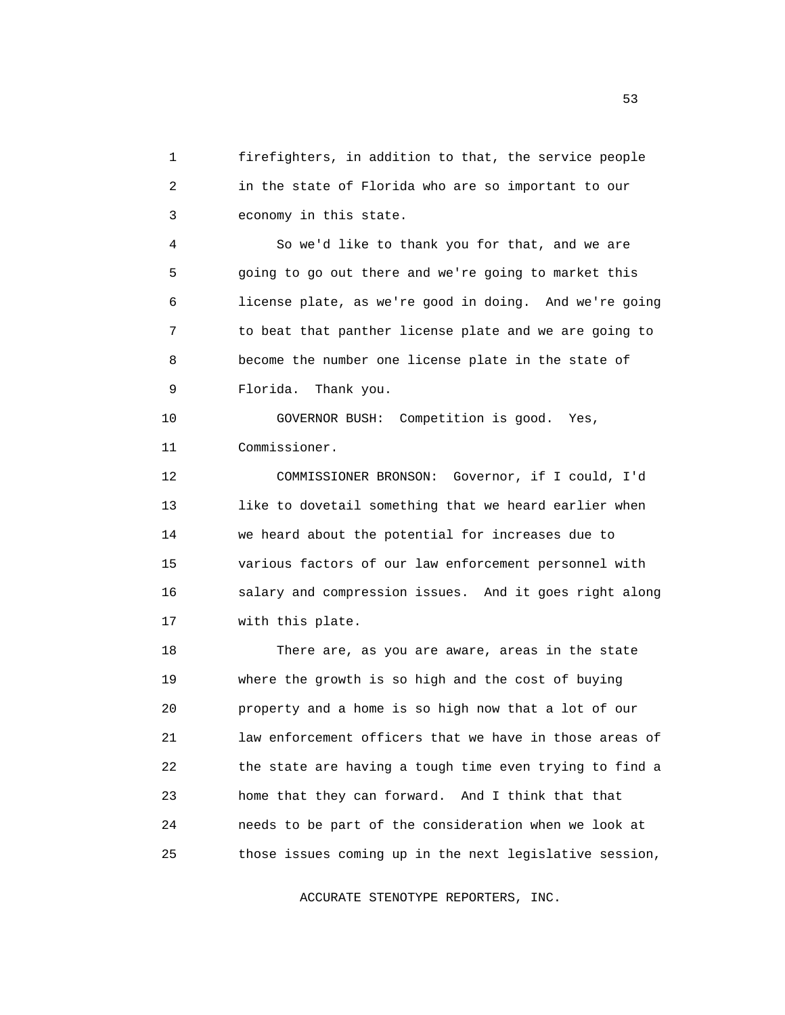1 firefighters, in addition to that, the service people 2 in the state of Florida who are so important to our 3 economy in this state.

 4 So we'd like to thank you for that, and we are 5 going to go out there and we're going to market this 6 license plate, as we're good in doing. And we're going 7 to beat that panther license plate and we are going to 8 become the number one license plate in the state of 9 Florida. Thank you.

 10 GOVERNOR BUSH: Competition is good. Yes, 11 Commissioner.

 12 COMMISSIONER BRONSON: Governor, if I could, I'd 13 like to dovetail something that we heard earlier when 14 we heard about the potential for increases due to 15 various factors of our law enforcement personnel with 16 salary and compression issues. And it goes right along 17 with this plate.

 18 There are, as you are aware, areas in the state 19 where the growth is so high and the cost of buying 20 property and a home is so high now that a lot of our 21 law enforcement officers that we have in those areas of 22 the state are having a tough time even trying to find a 23 home that they can forward. And I think that that 24 needs to be part of the consideration when we look at 25 those issues coming up in the next legislative session,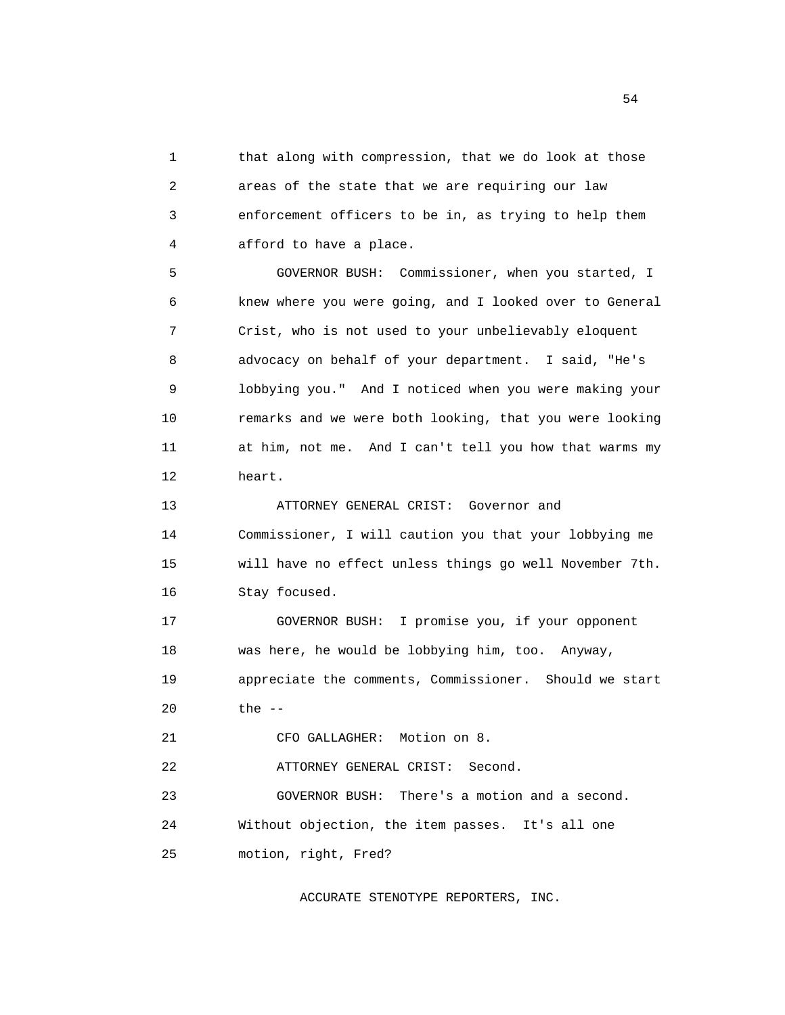1 that along with compression, that we do look at those 2 areas of the state that we are requiring our law 3 enforcement officers to be in, as trying to help them 4 afford to have a place.

 5 GOVERNOR BUSH: Commissioner, when you started, I 6 knew where you were going, and I looked over to General 7 Crist, who is not used to your unbelievably eloquent 8 advocacy on behalf of your department. I said, "He's 9 lobbying you." And I noticed when you were making your 10 remarks and we were both looking, that you were looking 11 at him, not me. And I can't tell you how that warms my 12 heart.

 13 ATTORNEY GENERAL CRIST: Governor and 14 Commissioner, I will caution you that your lobbying me 15 will have no effect unless things go well November 7th. 16 Stay focused.

 17 GOVERNOR BUSH: I promise you, if your opponent 18 was here, he would be lobbying him, too. Anyway, 19 appreciate the comments, Commissioner. Should we start 20 the --

21 CFO GALLAGHER: Motion on 8.

22 ATTORNEY GENERAL CRIST: Second.

 23 GOVERNOR BUSH: There's a motion and a second. 24 Without objection, the item passes. It's all one 25 motion, right, Fred?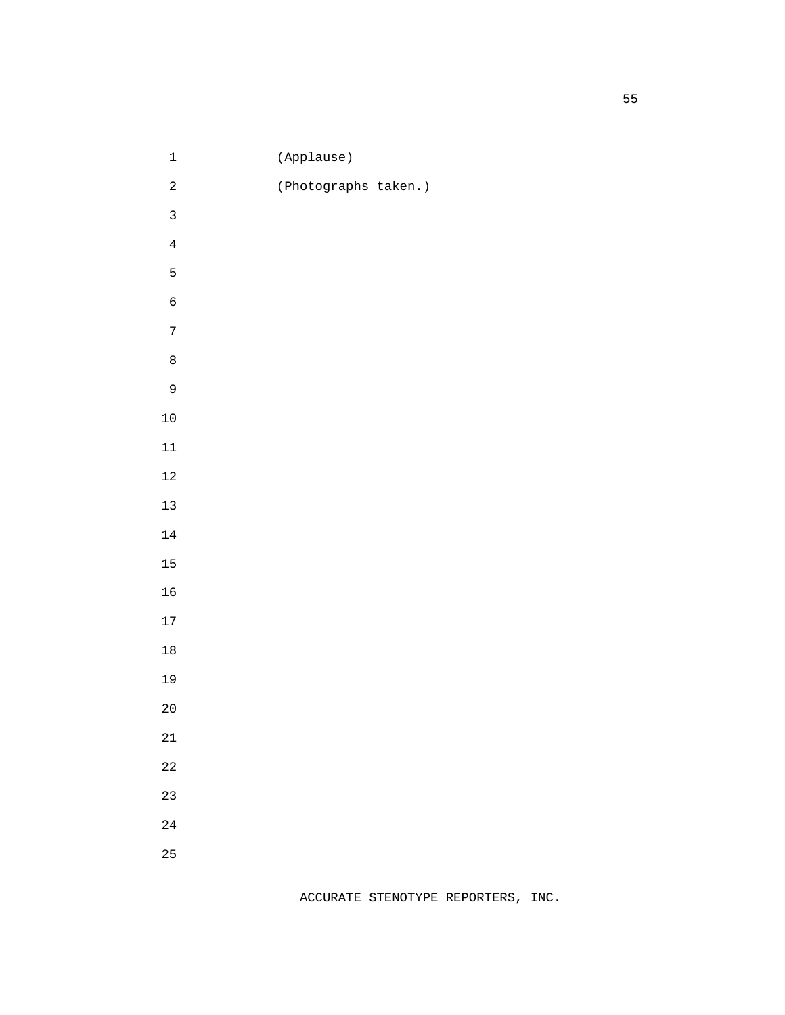| $\mathbf 1$                      | (Applause)           |  |
|----------------------------------|----------------------|--|
| $\overline{a}$                   | (Photographs taken.) |  |
| $\overline{3}$                   |                      |  |
| $\overline{4}$                   |                      |  |
| 5                                |                      |  |
| $\overline{6}$                   |                      |  |
| $\overline{7}$                   |                      |  |
| $\begin{array}{c} 8 \end{array}$ |                      |  |
| 9                                |                      |  |
| $10\,$                           |                      |  |
| $11\,$                           |                      |  |
| $12\,$                           |                      |  |
| $13$                             |                      |  |
| $14\,$                           |                      |  |
| 15                               |                      |  |
| 16                               |                      |  |
| $17\,$                           |                      |  |
| $18\,$                           |                      |  |
| 19                               |                      |  |
| $20$                             |                      |  |
| $21\,$                           |                      |  |
| 22                               |                      |  |
| 23                               |                      |  |
| $2\sqrt{4}$                      |                      |  |
| 25                               |                      |  |
|                                  |                      |  |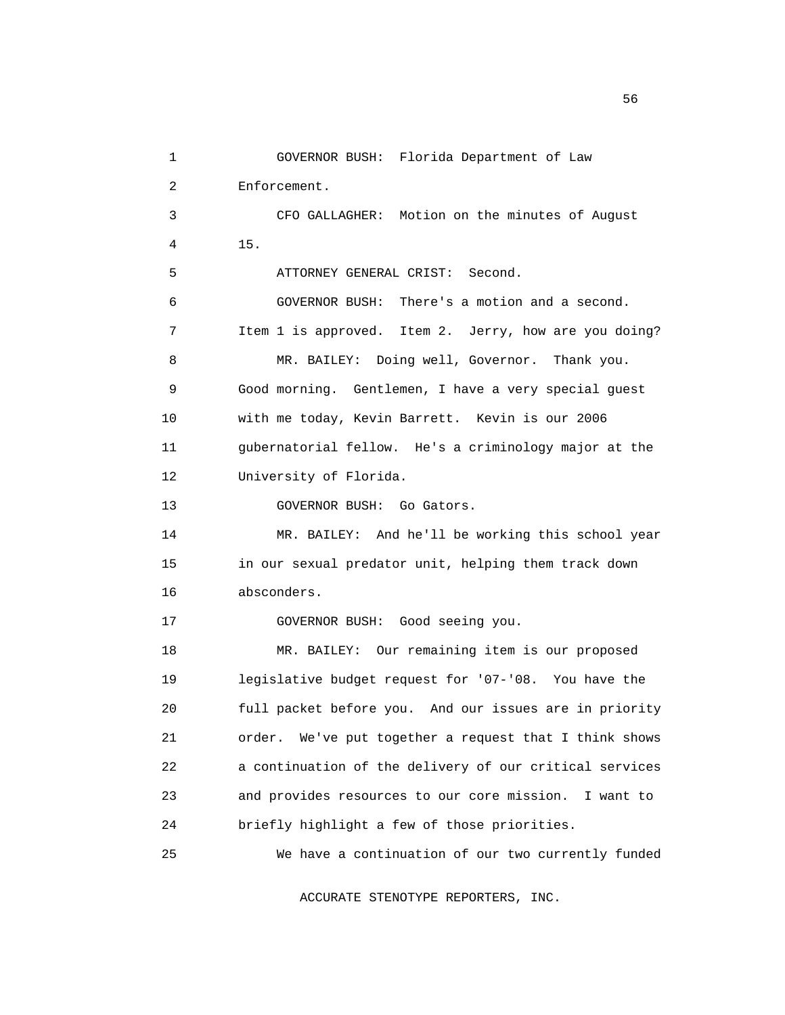1 GOVERNOR BUSH: Florida Department of Law 2 Enforcement. 3 CFO GALLAGHER: Motion on the minutes of August 4 15. 5 ATTORNEY GENERAL CRIST: Second. 6 GOVERNOR BUSH: There's a motion and a second. 7 Item 1 is approved. Item 2. Jerry, how are you doing? 8 MR. BAILEY: Doing well, Governor. Thank you. 9 Good morning. Gentlemen, I have a very special guest 10 with me today, Kevin Barrett. Kevin is our 2006 11 gubernatorial fellow. He's a criminology major at the 12 University of Florida. 13 **GOVERNOR BUSH:** Go Gators. 14 MR. BAILEY: And he'll be working this school year 15 in our sexual predator unit, helping them track down 16 absconders. 17 GOVERNOR BUSH: Good seeing you. 18 MR. BAILEY: Our remaining item is our proposed 19 legislative budget request for '07-'08. You have the 20 full packet before you. And our issues are in priority 21 order. We've put together a request that I think shows 22 a continuation of the delivery of our critical services 23 and provides resources to our core mission. I want to 24 briefly highlight a few of those priorities. 25 We have a continuation of our two currently funded

ACCURATE STENOTYPE REPORTERS, INC.

 $56<sub>5</sub>$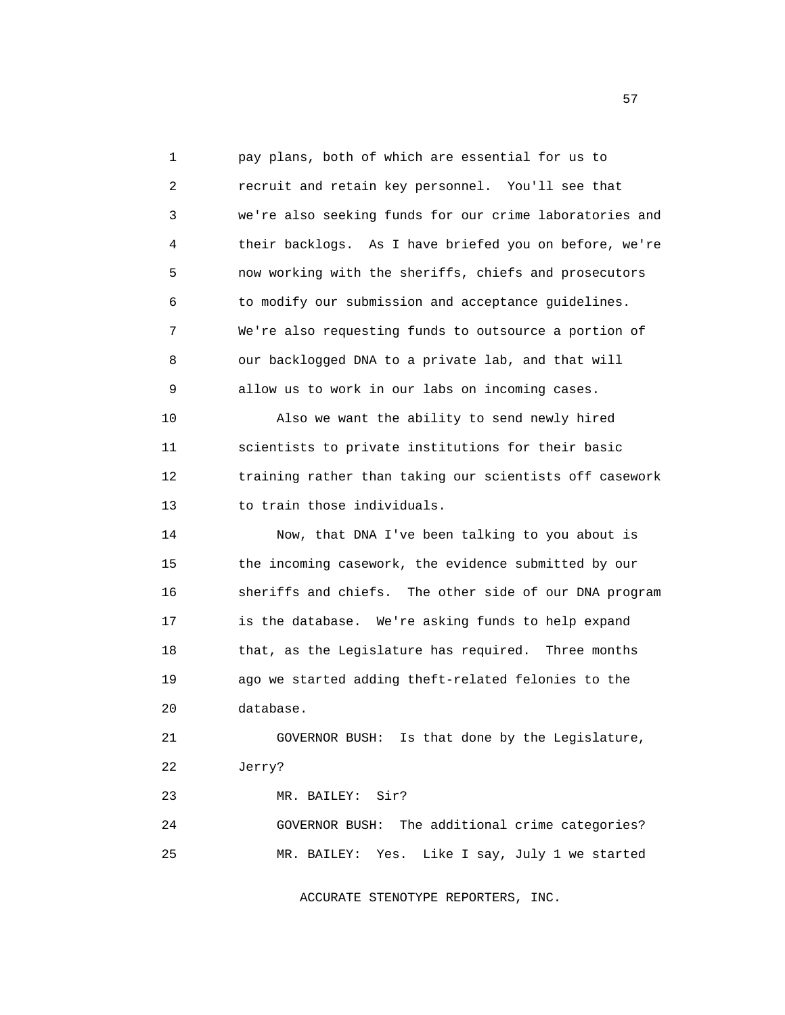1 pay plans, both of which are essential for us to 2 recruit and retain key personnel. You'll see that 3 we're also seeking funds for our crime laboratories and 4 their backlogs. As I have briefed you on before, we're 5 now working with the sheriffs, chiefs and prosecutors 6 to modify our submission and acceptance guidelines. 7 We're also requesting funds to outsource a portion of 8 our backlogged DNA to a private lab, and that will 9 allow us to work in our labs on incoming cases. 10 Also we want the ability to send newly hired 11 scientists to private institutions for their basic 12 training rather than taking our scientists off casework 13 to train those individuals. 14 Now, that DNA I've been talking to you about is

 15 the incoming casework, the evidence submitted by our 16 sheriffs and chiefs. The other side of our DNA program 17 is the database. We're asking funds to help expand 18 that, as the Legislature has required. Three months 19 ago we started adding theft-related felonies to the 20 database.

 21 GOVERNOR BUSH: Is that done by the Legislature, 22 Jerry?

23 MR. BAILEY: Sir?

 24 GOVERNOR BUSH: The additional crime categories? 25 MR. BAILEY: Yes. Like I say, July 1 we started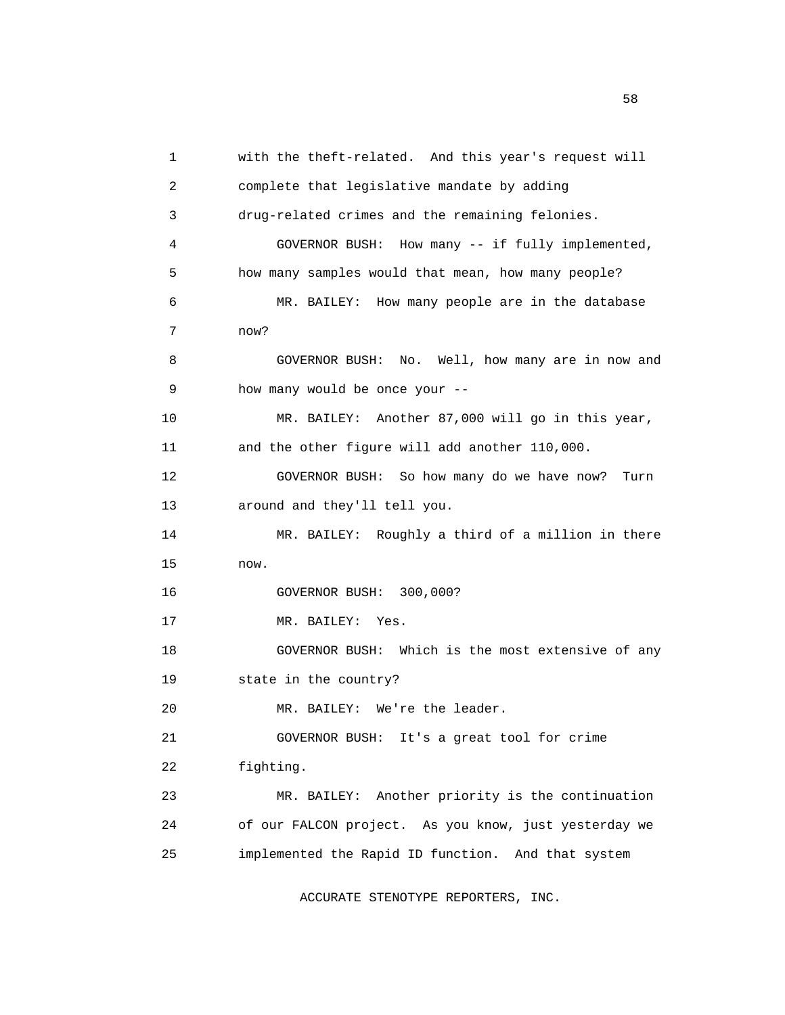1 with the theft-related. And this year's request will 2 complete that legislative mandate by adding 3 drug-related crimes and the remaining felonies. 4 GOVERNOR BUSH: How many -- if fully implemented, 5 how many samples would that mean, how many people? 6 MR. BAILEY: How many people are in the database 7 now? 8 GOVERNOR BUSH: No. Well, how many are in now and 9 how many would be once your -- 10 MR. BAILEY: Another 87,000 will go in this year, 11 and the other figure will add another 110,000. 12 GOVERNOR BUSH: So how many do we have now? Turn 13 around and they'll tell you. 14 MR. BAILEY: Roughly a third of a million in there 15 now. 16 GOVERNOR BUSH: 300,000? 17 MR. BAILEY: Yes. 18 GOVERNOR BUSH: Which is the most extensive of any 19 state in the country? 20 MR. BAILEY: We're the leader. 21 GOVERNOR BUSH: It's a great tool for crime 22 fighting. 23 MR. BAILEY: Another priority is the continuation 24 of our FALCON project. As you know, just yesterday we 25 implemented the Rapid ID function. And that system

ACCURATE STENOTYPE REPORTERS, INC.

the state of the state of the state of the state of the state of the state of the state of the state of the state of the state of the state of the state of the state of the state of the state of the state of the state of t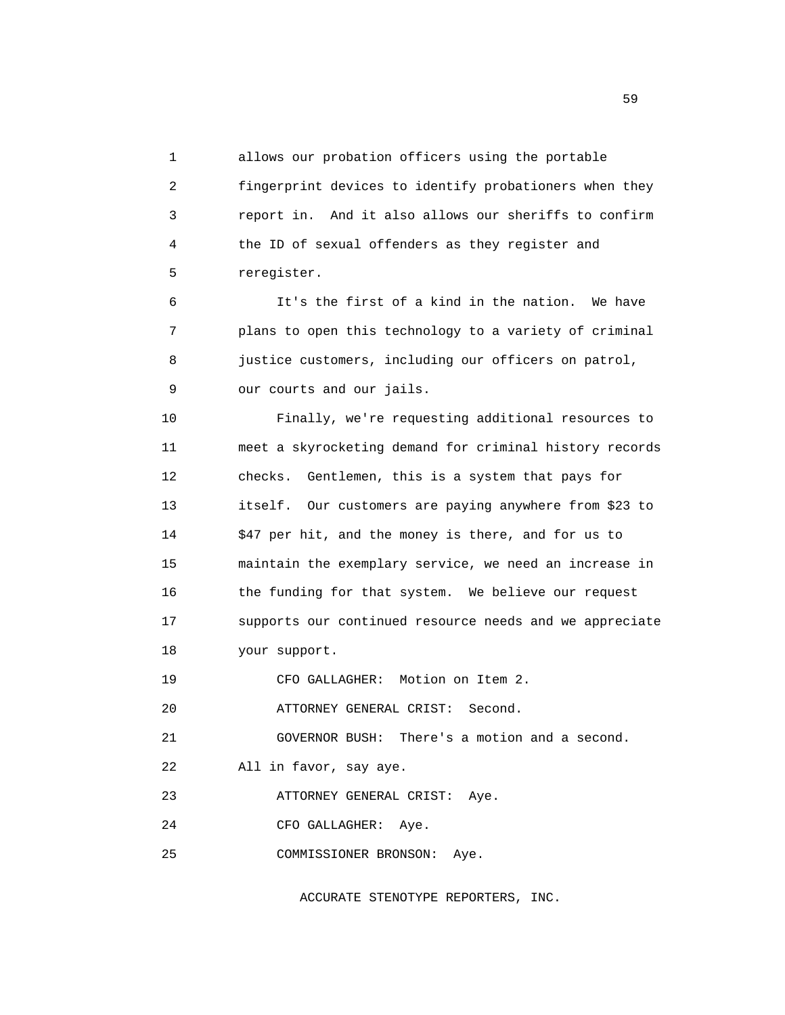1 allows our probation officers using the portable 2 fingerprint devices to identify probationers when they 3 report in. And it also allows our sheriffs to confirm 4 the ID of sexual offenders as they register and 5 reregister.

 6 It's the first of a kind in the nation. We have 7 plans to open this technology to a variety of criminal 8 justice customers, including our officers on patrol, 9 our courts and our jails.

 10 Finally, we're requesting additional resources to 11 meet a skyrocketing demand for criminal history records 12 checks. Gentlemen, this is a system that pays for 13 itself. Our customers are paying anywhere from \$23 to 14 \$47 per hit, and the money is there, and for us to 15 maintain the exemplary service, we need an increase in 16 the funding for that system. We believe our request 17 supports our continued resource needs and we appreciate 18 your support.

19 CFO GALLAGHER: Motion on Item 2.

20 ATTORNEY GENERAL CRIST: Second.

21 GOVERNOR BUSH: There's a motion and a second.

22 All in favor, say aye.

23 ATTORNEY GENERAL CRIST: Aye.

24 CFO GALLAGHER: Aye.

25 COMMISSIONER BRONSON: Aye.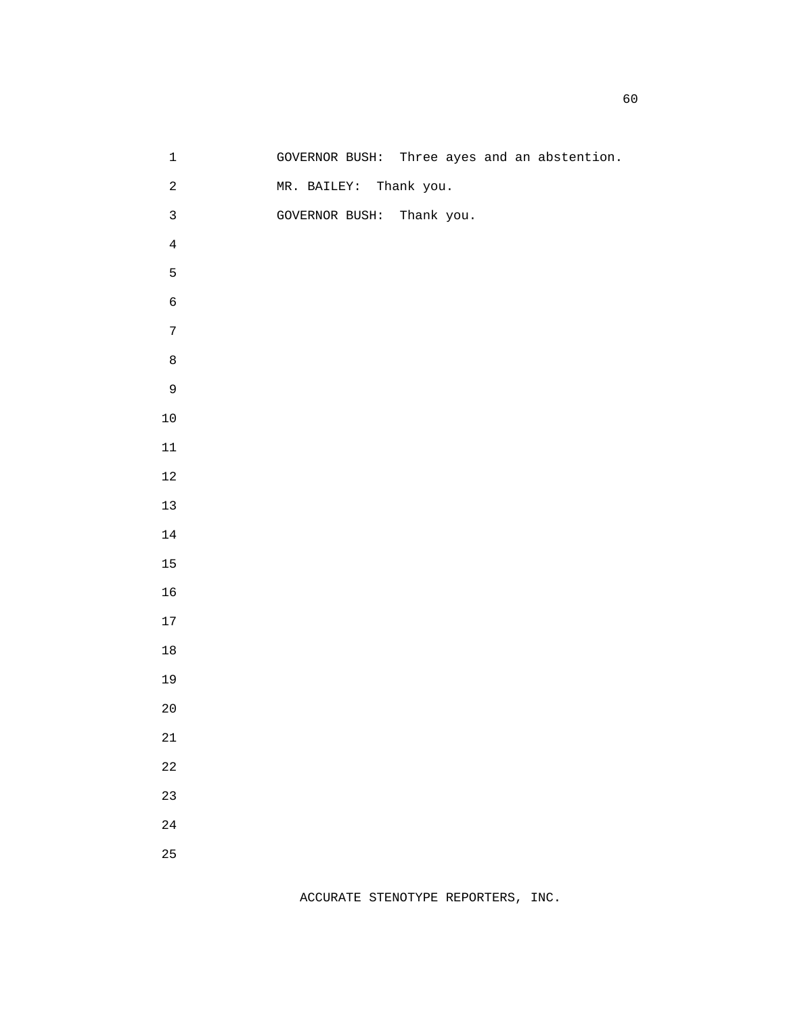| $\mathbf 1$             |                           |            |  | GOVERNOR BUSH: Three ayes and an abstention. |
|-------------------------|---------------------------|------------|--|----------------------------------------------|
| $\overline{\mathbf{c}}$ | MR. BAILEY:               | Thank you. |  |                                              |
| $\mathbf{3}$            | GOVERNOR BUSH: Thank you. |            |  |                                              |
| $\,4$                   |                           |            |  |                                              |
| 5                       |                           |            |  |                                              |
| $\epsilon$              |                           |            |  |                                              |
| $\overline{7}$          |                           |            |  |                                              |
| $\,8\,$                 |                           |            |  |                                              |
| $\mathsf 9$             |                           |            |  |                                              |
| $10\,$                  |                           |            |  |                                              |
| $11\,$                  |                           |            |  |                                              |
| $12\,$                  |                           |            |  |                                              |
| $13\,$                  |                           |            |  |                                              |
| $14\,$                  |                           |            |  |                                              |
| 15                      |                           |            |  |                                              |
| 16                      |                           |            |  |                                              |
| 17                      |                           |            |  |                                              |
| $18\,$                  |                           |            |  |                                              |
| 19                      |                           |            |  |                                              |
| $2\,0$                  |                           |            |  |                                              |
| $21\,$                  |                           |            |  |                                              |
| $2\sqrt{2}$             |                           |            |  |                                              |
| 23                      |                           |            |  |                                              |
| $2\sqrt{4}$             |                           |            |  |                                              |
| 25                      |                           |            |  |                                              |
|                         |                           |            |  |                                              |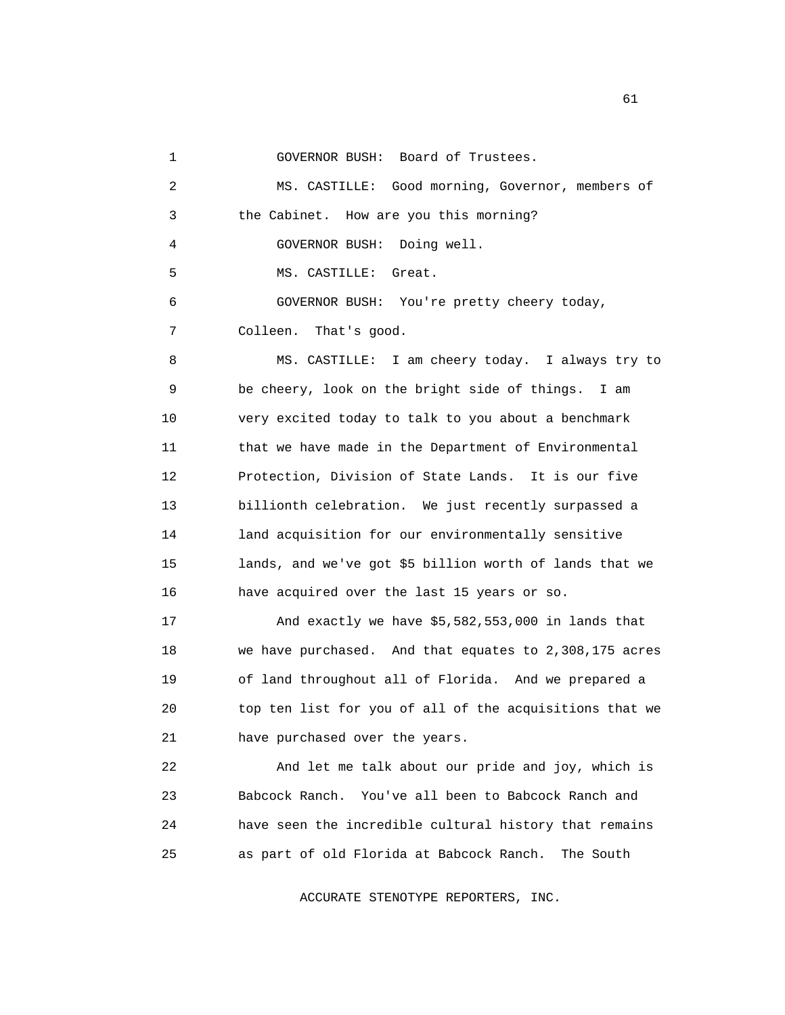1 GOVERNOR BUSH: Board of Trustees.

 2 MS. CASTILLE: Good morning, Governor, members of 3 the Cabinet. How are you this morning? 4 GOVERNOR BUSH: Doing well. 5 MS. CASTILLE: Great. 6 GOVERNOR BUSH: You're pretty cheery today, 7 Colleen. That's good. 8 MS. CASTILLE: I am cheery today. I always try to 9 be cheery, look on the bright side of things. I am 10 very excited today to talk to you about a benchmark 11 that we have made in the Department of Environmental 12 Protection, Division of State Lands. It is our five 13 billionth celebration. We just recently surpassed a 14 land acquisition for our environmentally sensitive 15 lands, and we've got \$5 billion worth of lands that we 16 have acquired over the last 15 years or so. 17 And exactly we have \$5,582,553,000 in lands that 18 we have purchased. And that equates to 2,308,175 acres 19 of land throughout all of Florida. And we prepared a 20 top ten list for you of all of the acquisitions that we 21 have purchased over the years. 22 And let me talk about our pride and joy, which is 23 Babcock Ranch. You've all been to Babcock Ranch and 24 have seen the incredible cultural history that remains 25 as part of old Florida at Babcock Ranch. The South

ACCURATE STENOTYPE REPORTERS, INC.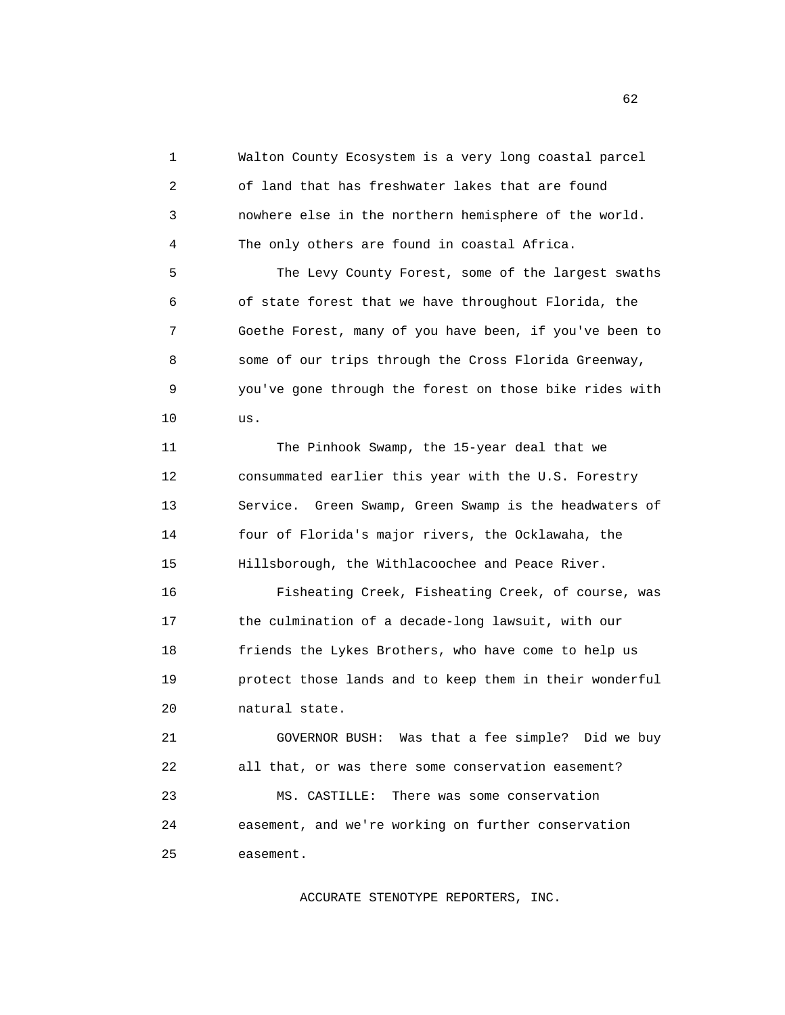1 Walton County Ecosystem is a very long coastal parcel 2 of land that has freshwater lakes that are found 3 nowhere else in the northern hemisphere of the world. 4 The only others are found in coastal Africa.

 5 The Levy County Forest, some of the largest swaths 6 of state forest that we have throughout Florida, the 7 Goethe Forest, many of you have been, if you've been to 8 some of our trips through the Cross Florida Greenway, 9 you've gone through the forest on those bike rides with 10 us.

 11 The Pinhook Swamp, the 15-year deal that we 12 consummated earlier this year with the U.S. Forestry 13 Service. Green Swamp, Green Swamp is the headwaters of 14 four of Florida's major rivers, the Ocklawaha, the 15 Hillsborough, the Withlacoochee and Peace River.

 16 Fisheating Creek, Fisheating Creek, of course, was 17 the culmination of a decade-long lawsuit, with our 18 friends the Lykes Brothers, who have come to help us 19 protect those lands and to keep them in their wonderful 20 natural state.

 21 GOVERNOR BUSH: Was that a fee simple? Did we buy 22 all that, or was there some conservation easement? 23 MS. CASTILLE: There was some conservation 24 easement, and we're working on further conservation 25 easement.

ACCURATE STENOTYPE REPORTERS, INC.

 $\sim$  62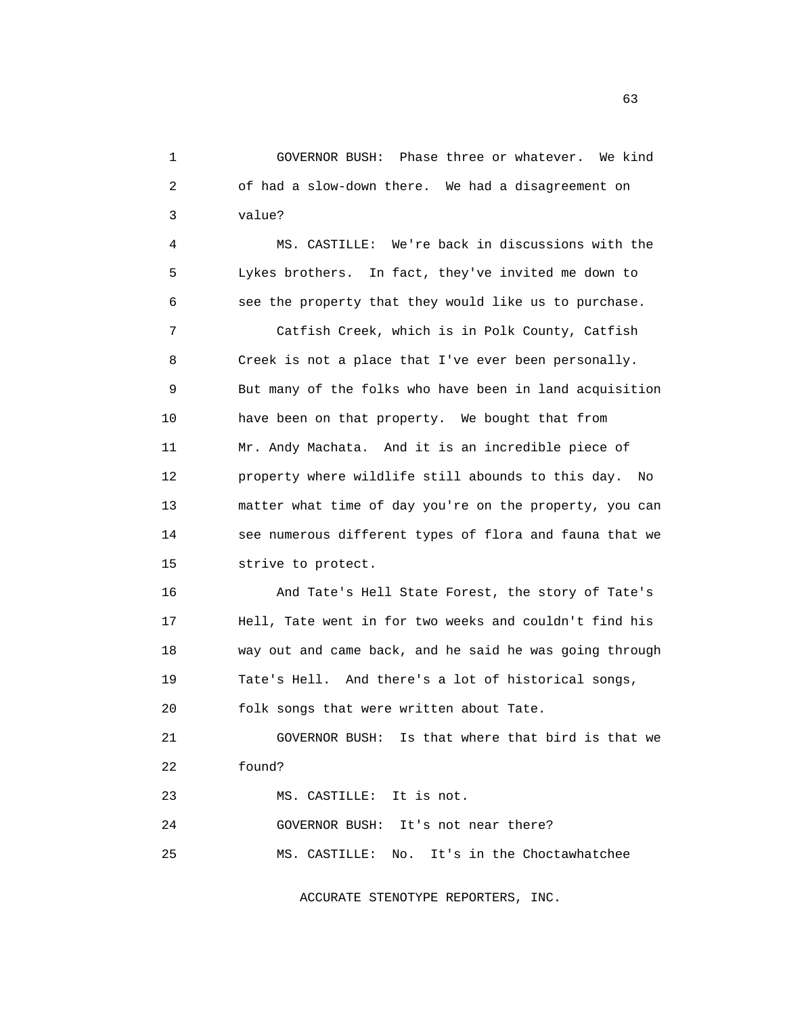1 GOVERNOR BUSH: Phase three or whatever. We kind 2 of had a slow-down there. We had a disagreement on 3 value?

 4 MS. CASTILLE: We're back in discussions with the 5 Lykes brothers. In fact, they've invited me down to 6 see the property that they would like us to purchase.

 7 Catfish Creek, which is in Polk County, Catfish 8 Creek is not a place that I've ever been personally. 9 But many of the folks who have been in land acquisition 10 have been on that property. We bought that from 11 Mr. Andy Machata. And it is an incredible piece of 12 property where wildlife still abounds to this day. No 13 matter what time of day you're on the property, you can 14 see numerous different types of flora and fauna that we 15 strive to protect.

 16 And Tate's Hell State Forest, the story of Tate's 17 Hell, Tate went in for two weeks and couldn't find his 18 way out and came back, and he said he was going through 19 Tate's Hell. And there's a lot of historical songs, 20 folk songs that were written about Tate.

21 GOVERNOR BUSH: Is that where that bird is that we

22 found?

23 MS. CASTILLE: It is not.

 24 GOVERNOR BUSH: It's not near there? 25 MS. CASTILLE: No. It's in the Choctawhatchee

ACCURATE STENOTYPE REPORTERS, INC.

 $\sim$  63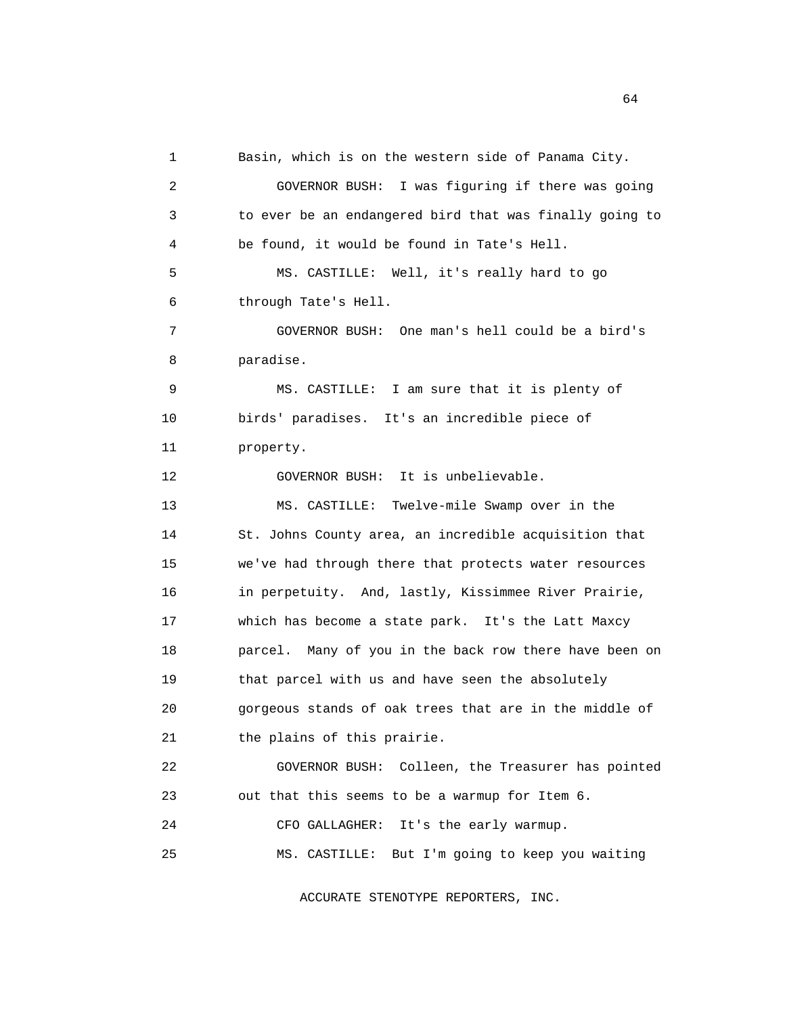1 Basin, which is on the western side of Panama City. 2 GOVERNOR BUSH: I was figuring if there was going 3 to ever be an endangered bird that was finally going to 4 be found, it would be found in Tate's Hell. 5 MS. CASTILLE: Well, it's really hard to go 6 through Tate's Hell. 7 GOVERNOR BUSH: One man's hell could be a bird's 8 paradise. 9 MS. CASTILLE: I am sure that it is plenty of 10 birds' paradises. It's an incredible piece of 11 property. 12 GOVERNOR BUSH: It is unbelievable. 13 MS. CASTILLE: Twelve-mile Swamp over in the 14 St. Johns County area, an incredible acquisition that 15 we've had through there that protects water resources 16 in perpetuity. And, lastly, Kissimmee River Prairie, 17 which has become a state park. It's the Latt Maxcy 18 parcel. Many of you in the back row there have been on 19 that parcel with us and have seen the absolutely 20 gorgeous stands of oak trees that are in the middle of 21 the plains of this prairie. 22 GOVERNOR BUSH: Colleen, the Treasurer has pointed 23 out that this seems to be a warmup for Item 6. 24 CFO GALLAGHER: It's the early warmup. 25 MS. CASTILLE: But I'm going to keep you waiting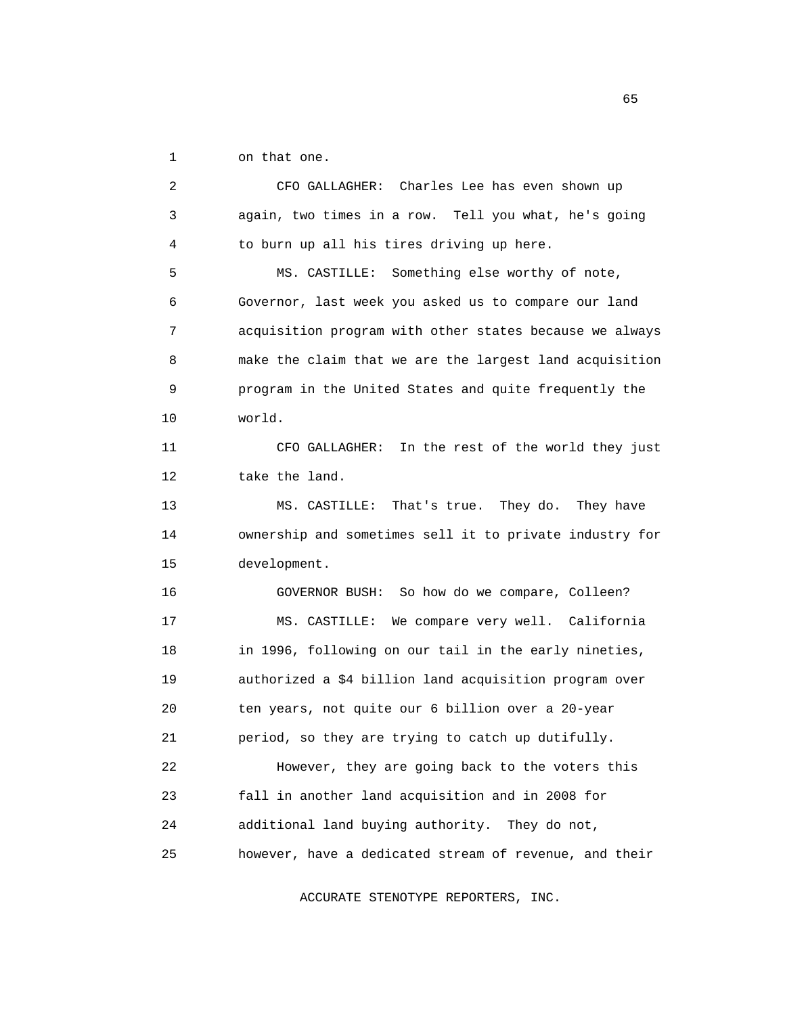1 on that one.

 2 CFO GALLAGHER: Charles Lee has even shown up 3 again, two times in a row. Tell you what, he's going 4 to burn up all his tires driving up here. 5 MS. CASTILLE: Something else worthy of note, 6 Governor, last week you asked us to compare our land 7 acquisition program with other states because we always 8 make the claim that we are the largest land acquisition 9 program in the United States and quite frequently the 10 world. 11 CFO GALLAGHER: In the rest of the world they just 12 take the land. 13 MS. CASTILLE: That's true. They do. They have 14 ownership and sometimes sell it to private industry for 15 development. 16 GOVERNOR BUSH: So how do we compare, Colleen? 17 MS. CASTILLE: We compare very well. California 18 in 1996, following on our tail in the early nineties, 19 authorized a \$4 billion land acquisition program over 20 ten years, not quite our 6 billion over a 20-year 21 period, so they are trying to catch up dutifully. 22 However, they are going back to the voters this 23 fall in another land acquisition and in 2008 for 24 additional land buying authority. They do not, 25 however, have a dedicated stream of revenue, and their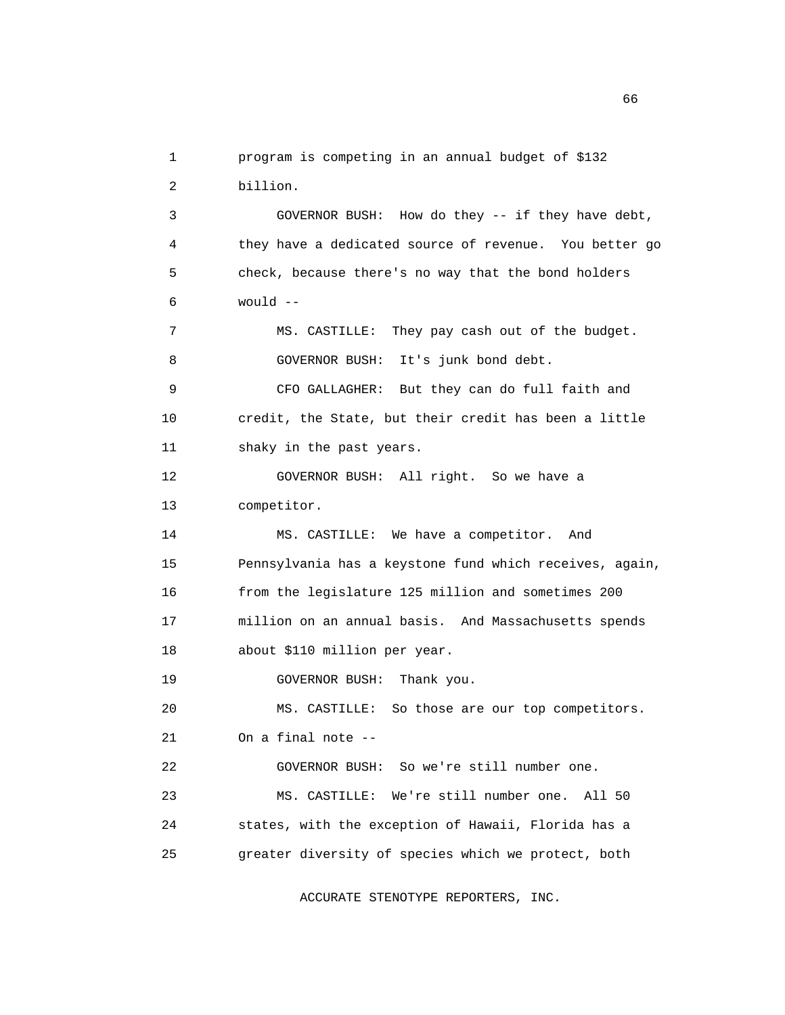1 program is competing in an annual budget of \$132 2 billion. 3 GOVERNOR BUSH: How do they -- if they have debt, 4 they have a dedicated source of revenue. You better go 5 check, because there's no way that the bond holders 6 would -- 7 MS. CASTILLE: They pay cash out of the budget. 8 GOVERNOR BUSH: It's junk bond debt. 9 CFO GALLAGHER: But they can do full faith and 10 credit, the State, but their credit has been a little 11 shaky in the past years. 12 GOVERNOR BUSH: All right. So we have a 13 competitor. 14 MS. CASTILLE: We have a competitor. And 15 Pennsylvania has a keystone fund which receives, again, 16 from the legislature 125 million and sometimes 200 17 million on an annual basis. And Massachusetts spends 18 about \$110 million per year. 19 GOVERNOR BUSH: Thank you. 20 MS. CASTILLE: So those are our top competitors. 21 On a final note -- 22 GOVERNOR BUSH: So we're still number one. 23 MS. CASTILLE: We're still number one. All 50 24 states, with the exception of Hawaii, Florida has a 25 greater diversity of species which we protect, both

ACCURATE STENOTYPE REPORTERS, INC.

 $\sim$  66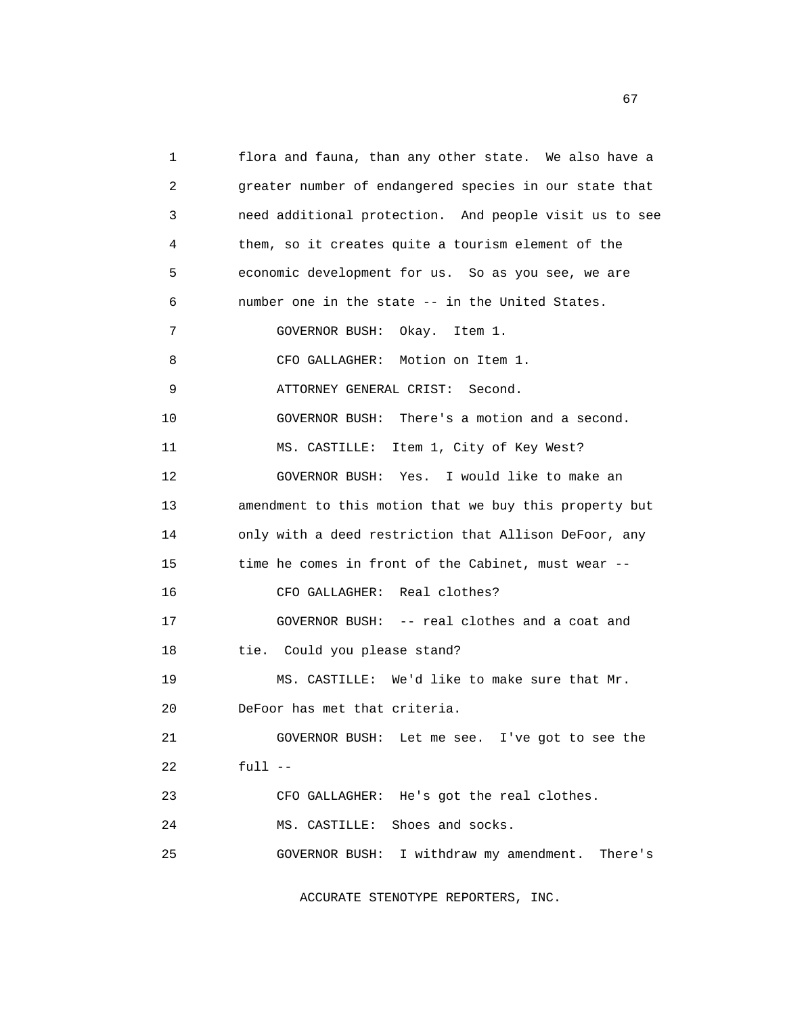1 flora and fauna, than any other state. We also have a 2 greater number of endangered species in our state that 3 need additional protection. And people visit us to see 4 them, so it creates quite a tourism element of the 5 economic development for us. So as you see, we are 6 number one in the state -- in the United States. 7 GOVERNOR BUSH: Okay. Item 1. 8 CFO GALLAGHER: Motion on Item 1. 9 ATTORNEY GENERAL CRIST: Second. 10 GOVERNOR BUSH: There's a motion and a second. 11 MS. CASTILLE: Item 1, City of Key West? 12 GOVERNOR BUSH: Yes. I would like to make an 13 amendment to this motion that we buy this property but 14 only with a deed restriction that Allison DeFoor, any 15 time he comes in front of the Cabinet, must wear -- 16 CFO GALLAGHER: Real clothes? 17 GOVERNOR BUSH: -- real clothes and a coat and 18 tie. Could you please stand? 19 MS. CASTILLE: We'd like to make sure that Mr. 20 DeFoor has met that criteria. 21 GOVERNOR BUSH: Let me see. I've got to see the 22 full -- 23 CFO GALLAGHER: He's got the real clothes. 24 MS. CASTILLE: Shoes and socks. 25 GOVERNOR BUSH: I withdraw my amendment. There's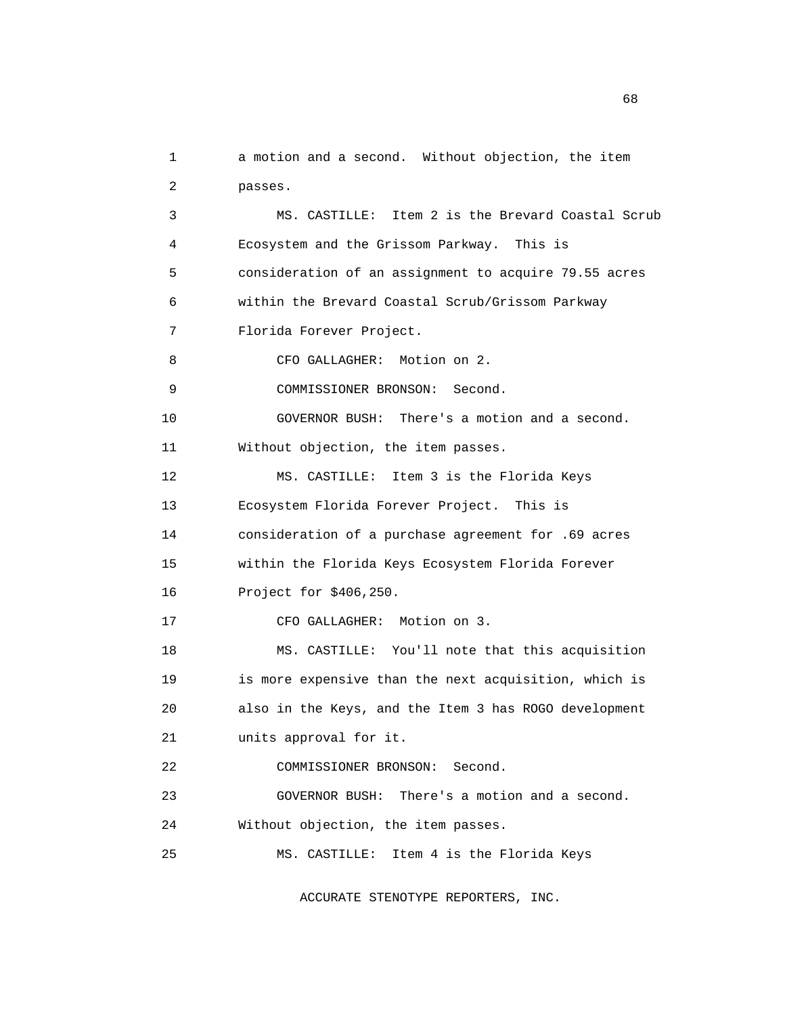1 a motion and a second. Without objection, the item 2 passes. 3 MS. CASTILLE: Item 2 is the Brevard Coastal Scrub 4 Ecosystem and the Grissom Parkway. This is 5 consideration of an assignment to acquire 79.55 acres 6 within the Brevard Coastal Scrub/Grissom Parkway 7 Florida Forever Project. 8 CFO GALLAGHER: Motion on 2. 9 COMMISSIONER BRONSON: Second. 10 GOVERNOR BUSH: There's a motion and a second. 11 Without objection, the item passes. 12 MS. CASTILLE: Item 3 is the Florida Keys 13 Ecosystem Florida Forever Project. This is 14 consideration of a purchase agreement for .69 acres 15 within the Florida Keys Ecosystem Florida Forever 16 Project for \$406,250. 17 CFO GALLAGHER: Motion on 3. 18 MS. CASTILLE: You'll note that this acquisition 19 is more expensive than the next acquisition, which is 20 also in the Keys, and the Item 3 has ROGO development 21 units approval for it. 22 COMMISSIONER BRONSON: Second. 23 GOVERNOR BUSH: There's a motion and a second. 24 Without objection, the item passes. 25 MS. CASTILLE: Item 4 is the Florida Keys

ACCURATE STENOTYPE REPORTERS, INC.

 $\sim$  68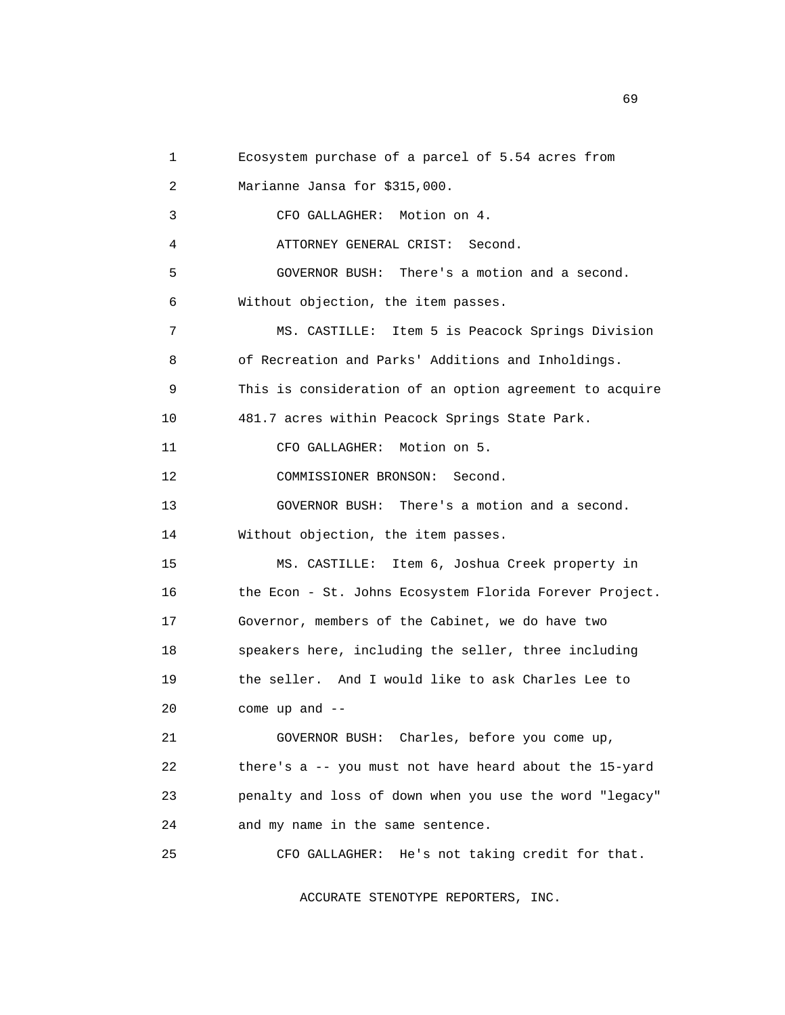```
 1 Ecosystem purchase of a parcel of 5.54 acres from 
 2 Marianne Jansa for $315,000. 
 3 CFO GALLAGHER: Motion on 4. 
  4 ATTORNEY GENERAL CRIST: Second. 
 5 GOVERNOR BUSH: There's a motion and a second. 
 6 Without objection, the item passes. 
 7 MS. CASTILLE: Item 5 is Peacock Springs Division 
 8 of Recreation and Parks' Additions and Inholdings. 
 9 This is consideration of an option agreement to acquire 
 10 481.7 acres within Peacock Springs State Park. 
 11 CFO GALLAGHER: Motion on 5. 
 12 COMMISSIONER BRONSON: Second. 
 13 GOVERNOR BUSH: There's a motion and a second. 
 14 Without objection, the item passes. 
 15 MS. CASTILLE: Item 6, Joshua Creek property in 
 16 the Econ - St. Johns Ecosystem Florida Forever Project. 
 17 Governor, members of the Cabinet, we do have two 
 18 speakers here, including the seller, three including 
 19 the seller. And I would like to ask Charles Lee to 
 20 come up and -- 
 21 GOVERNOR BUSH: Charles, before you come up, 
 22 there's a -- you must not have heard about the 15-yard 
 23 penalty and loss of down when you use the word "legacy" 
 24 and my name in the same sentence. 
 25 CFO GALLAGHER: He's not taking credit for that.
```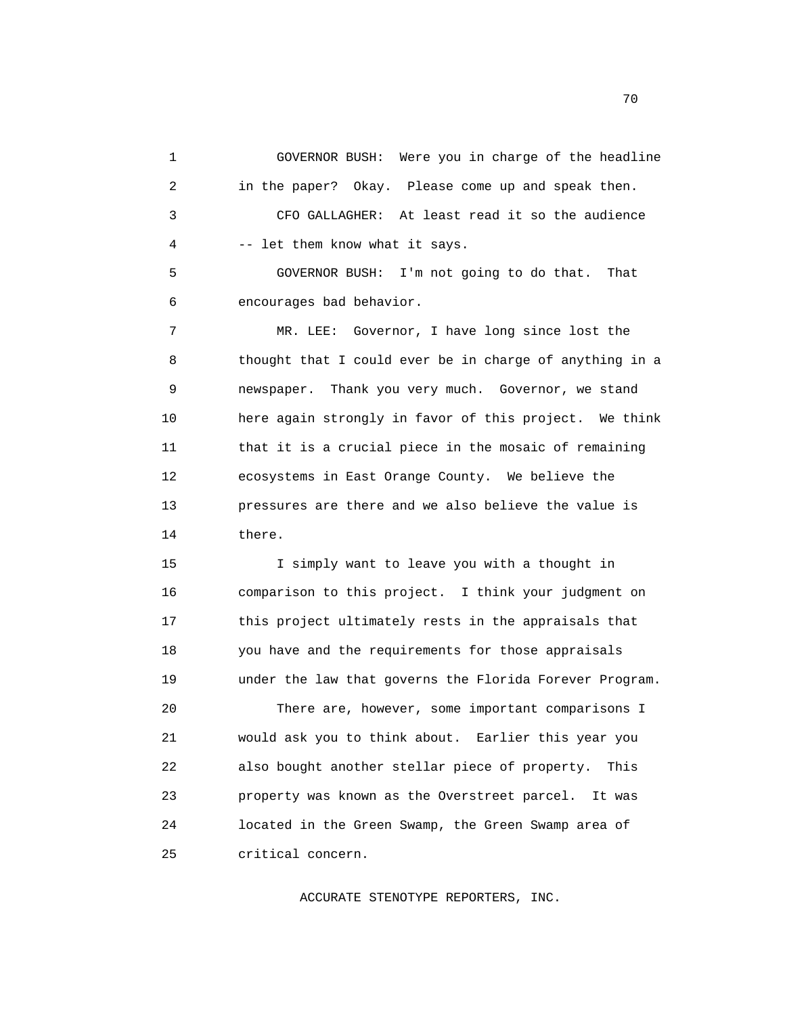1 GOVERNOR BUSH: Were you in charge of the headline 2 in the paper? Okay. Please come up and speak then. 3 CFO GALLAGHER: At least read it so the audience 4 -- let them know what it says.

 5 GOVERNOR BUSH: I'm not going to do that. That 6 encourages bad behavior.

 7 MR. LEE: Governor, I have long since lost the 8 thought that I could ever be in charge of anything in a 9 newspaper. Thank you very much. Governor, we stand 10 here again strongly in favor of this project. We think 11 that it is a crucial piece in the mosaic of remaining 12 ecosystems in East Orange County. We believe the 13 pressures are there and we also believe the value is 14 there.

 15 I simply want to leave you with a thought in 16 comparison to this project. I think your judgment on 17 this project ultimately rests in the appraisals that 18 you have and the requirements for those appraisals 19 under the law that governs the Florida Forever Program.

 20 There are, however, some important comparisons I 21 would ask you to think about. Earlier this year you 22 also bought another stellar piece of property. This 23 property was known as the Overstreet parcel. It was 24 located in the Green Swamp, the Green Swamp area of 25 critical concern.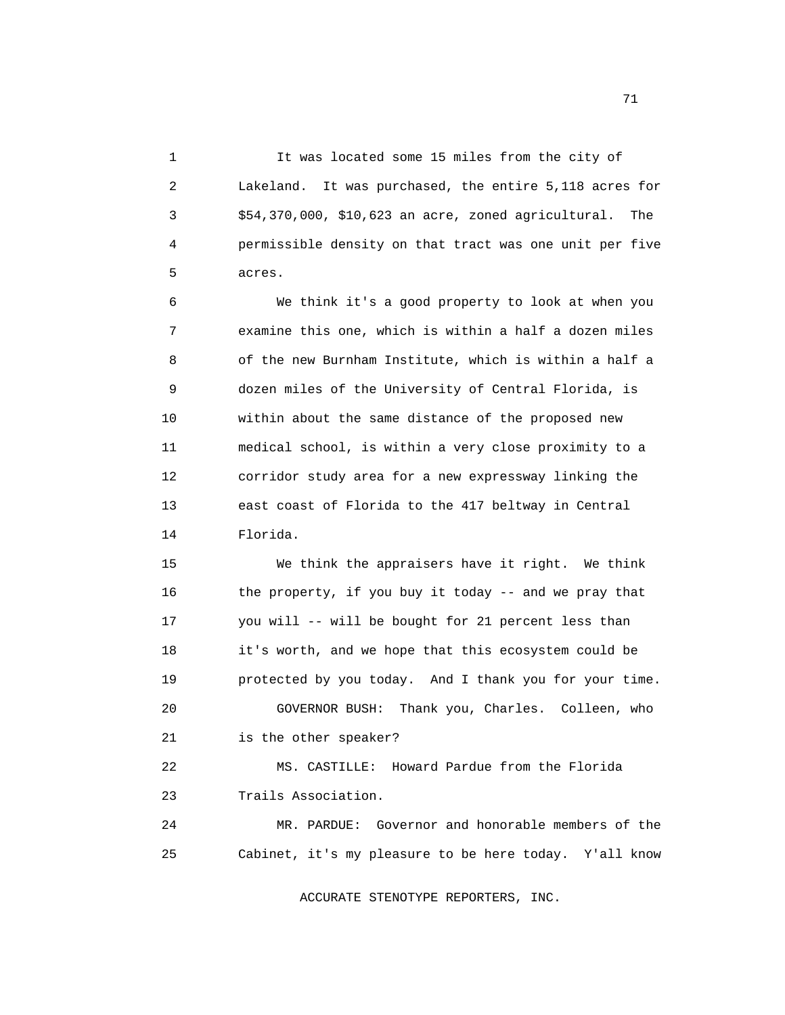1 It was located some 15 miles from the city of 2 Lakeland. It was purchased, the entire 5,118 acres for 3 \$54,370,000, \$10,623 an acre, zoned agricultural. The 4 permissible density on that tract was one unit per five 5 acres.

 6 We think it's a good property to look at when you 7 examine this one, which is within a half a dozen miles 8 of the new Burnham Institute, which is within a half a 9 dozen miles of the University of Central Florida, is 10 within about the same distance of the proposed new 11 medical school, is within a very close proximity to a 12 corridor study area for a new expressway linking the 13 east coast of Florida to the 417 beltway in Central 14 Florida.

 15 We think the appraisers have it right. We think 16 the property, if you buy it today -- and we pray that 17 you will -- will be bought for 21 percent less than 18 it's worth, and we hope that this ecosystem could be 19 protected by you today. And I thank you for your time. 20 GOVERNOR BUSH: Thank you, Charles. Colleen, who 21 is the other speaker?

 22 MS. CASTILLE: Howard Pardue from the Florida 23 Trails Association.

 24 MR. PARDUE: Governor and honorable members of the 25 Cabinet, it's my pleasure to be here today. Y'all know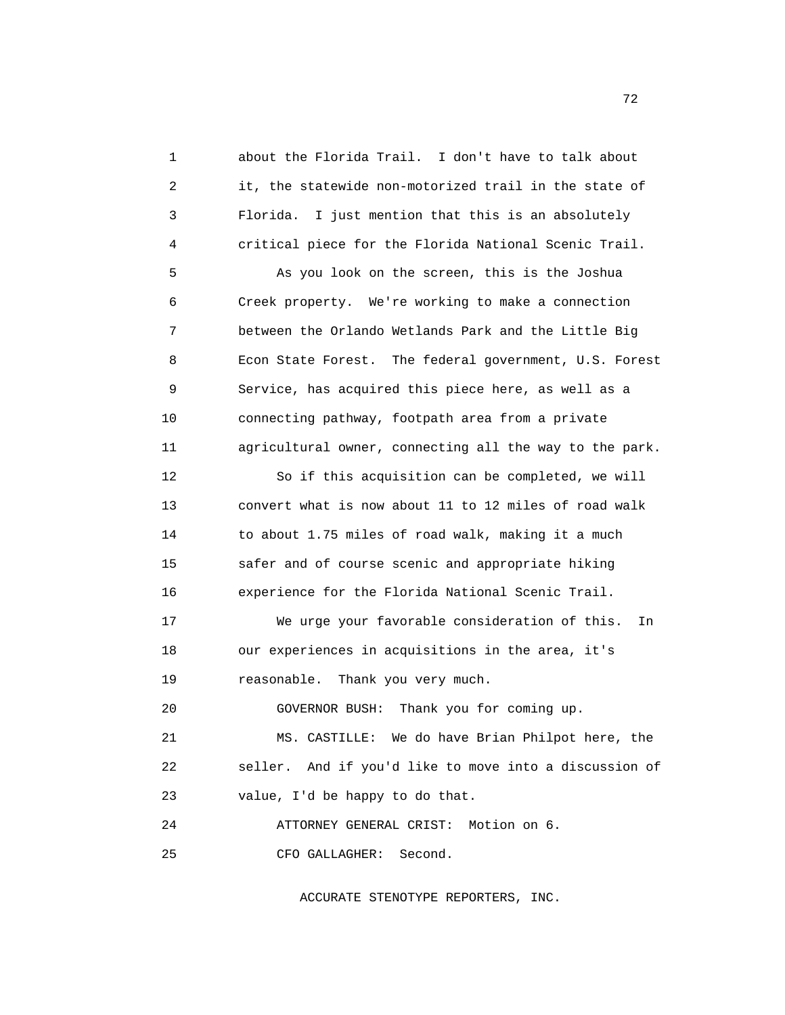1 about the Florida Trail. I don't have to talk about 2 it, the statewide non-motorized trail in the state of 3 Florida. I just mention that this is an absolutely 4 critical piece for the Florida National Scenic Trail.

 5 As you look on the screen, this is the Joshua 6 Creek property. We're working to make a connection 7 between the Orlando Wetlands Park and the Little Big 8 Econ State Forest. The federal government, U.S. Forest 9 Service, has acquired this piece here, as well as a 10 connecting pathway, footpath area from a private 11 agricultural owner, connecting all the way to the park.

 12 So if this acquisition can be completed, we will 13 convert what is now about 11 to 12 miles of road walk 14 to about 1.75 miles of road walk, making it a much 15 safer and of course scenic and appropriate hiking 16 experience for the Florida National Scenic Trail.

 17 We urge your favorable consideration of this. In 18 our experiences in acquisitions in the area, it's 19 reasonable. Thank you very much.

20 GOVERNOR BUSH: Thank you for coming up.

 21 MS. CASTILLE: We do have Brian Philpot here, the 22 seller. And if you'd like to move into a discussion of 23 value, I'd be happy to do that.

 24 ATTORNEY GENERAL CRIST: Motion on 6. 25 CFO GALLAGHER: Second.

ACCURATE STENOTYPE REPORTERS, INC.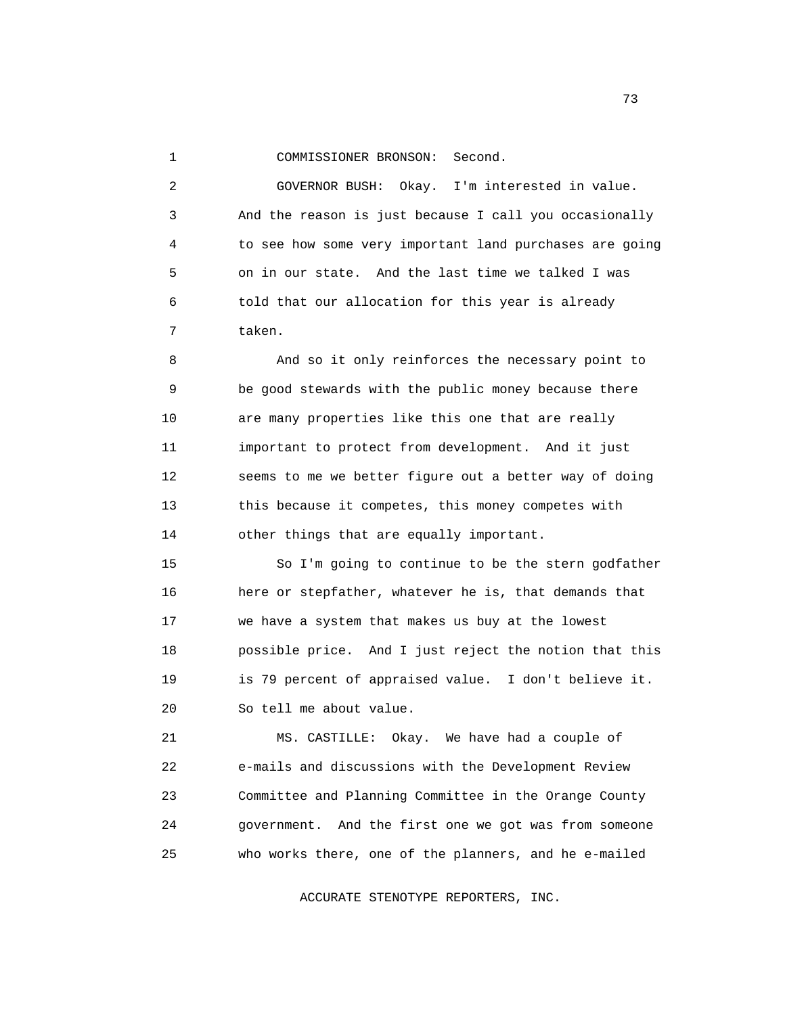## 1 COMMISSIONER BRONSON: Second.

 2 GOVERNOR BUSH: Okay. I'm interested in value. 3 And the reason is just because I call you occasionally 4 to see how some very important land purchases are going 5 on in our state. And the last time we talked I was 6 told that our allocation for this year is already 7 taken.

 8 And so it only reinforces the necessary point to 9 be good stewards with the public money because there 10 are many properties like this one that are really 11 important to protect from development. And it just 12 seems to me we better figure out a better way of doing 13 this because it competes, this money competes with 14 other things that are equally important.

 15 So I'm going to continue to be the stern godfather 16 here or stepfather, whatever he is, that demands that 17 we have a system that makes us buy at the lowest 18 possible price. And I just reject the notion that this 19 is 79 percent of appraised value. I don't believe it. 20 So tell me about value.

 21 MS. CASTILLE: Okay. We have had a couple of 22 e-mails and discussions with the Development Review 23 Committee and Planning Committee in the Orange County 24 government. And the first one we got was from someone 25 who works there, one of the planners, and he e-mailed

ACCURATE STENOTYPE REPORTERS, INC.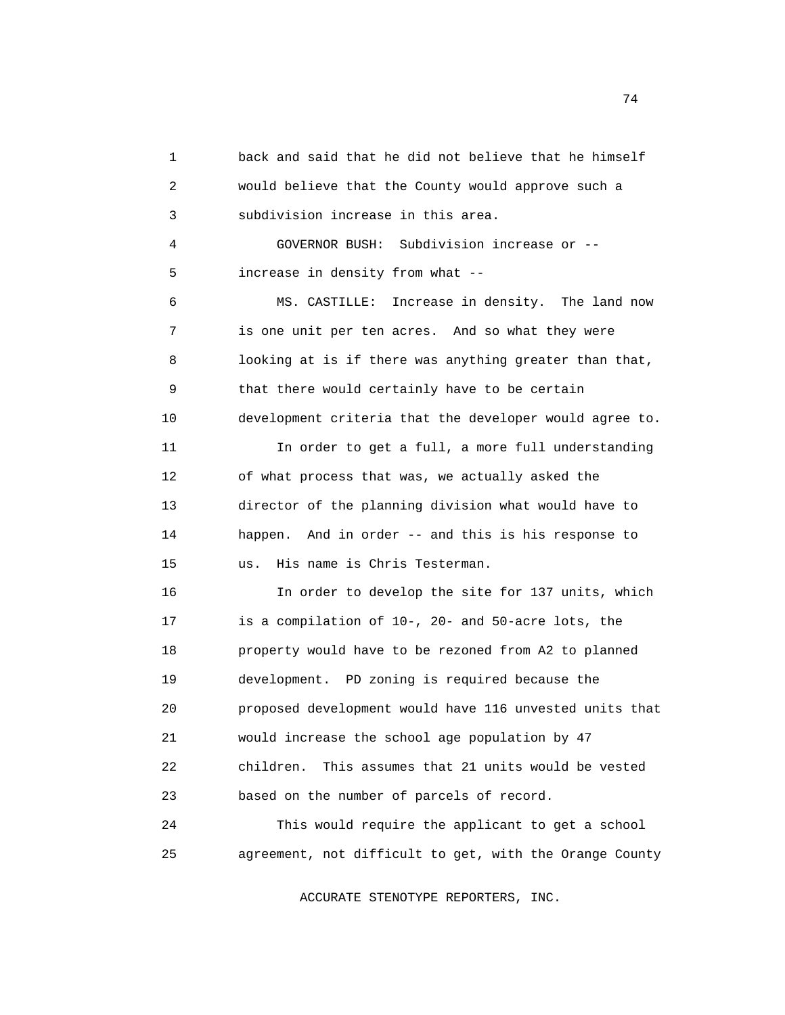1 back and said that he did not believe that he himself 2 would believe that the County would approve such a 3 subdivision increase in this area. 4 GOVERNOR BUSH: Subdivision increase or -- 5 increase in density from what -- 6 MS. CASTILLE: Increase in density. The land now 7 is one unit per ten acres. And so what they were 8 looking at is if there was anything greater than that, 9 that there would certainly have to be certain 10 development criteria that the developer would agree to. 11 In order to get a full, a more full understanding 12 of what process that was, we actually asked the 13 director of the planning division what would have to 14 happen. And in order -- and this is his response to 15 us. His name is Chris Testerman. 16 In order to develop the site for 137 units, which 17 is a compilation of 10-, 20- and 50-acre lots, the 18 property would have to be rezoned from A2 to planned 19 development. PD zoning is required because the 20 proposed development would have 116 unvested units that 21 would increase the school age population by 47 22 children. This assumes that 21 units would be vested 23 based on the number of parcels of record. 24 This would require the applicant to get a school 25 agreement, not difficult to get, with the Orange County

ACCURATE STENOTYPE REPORTERS, INC.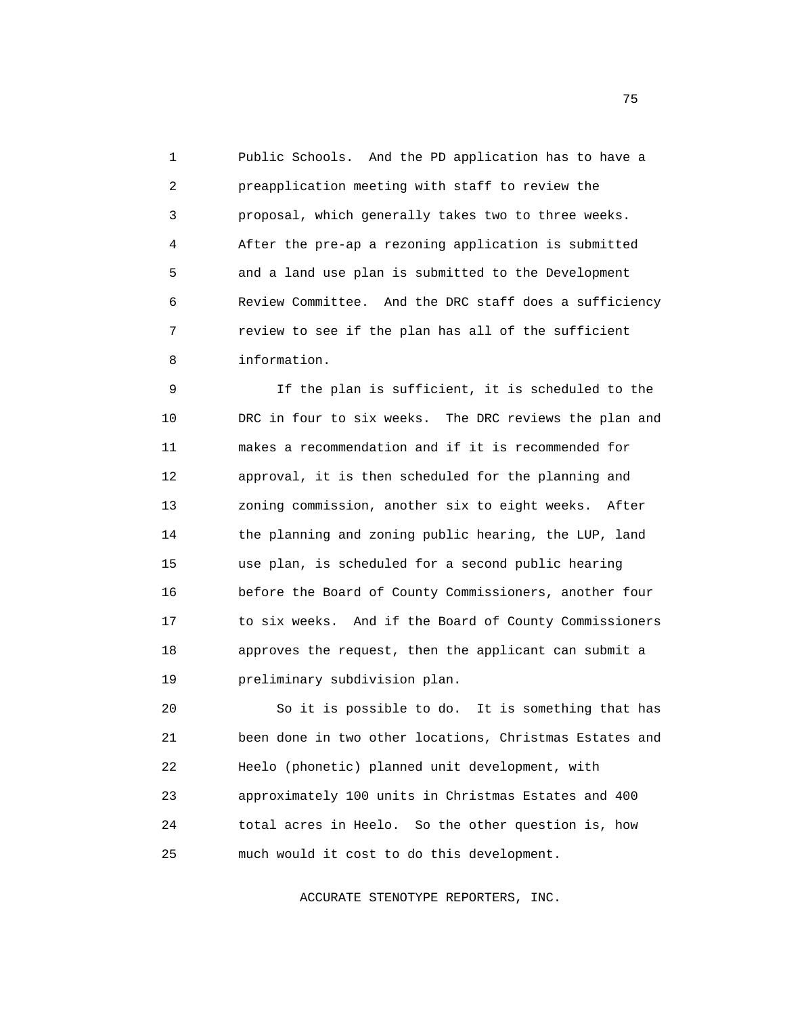1 Public Schools. And the PD application has to have a 2 preapplication meeting with staff to review the 3 proposal, which generally takes two to three weeks. 4 After the pre-ap a rezoning application is submitted 5 and a land use plan is submitted to the Development 6 Review Committee. And the DRC staff does a sufficiency 7 review to see if the plan has all of the sufficient 8 information.

 9 If the plan is sufficient, it is scheduled to the 10 DRC in four to six weeks. The DRC reviews the plan and 11 makes a recommendation and if it is recommended for 12 approval, it is then scheduled for the planning and 13 zoning commission, another six to eight weeks. After 14 the planning and zoning public hearing, the LUP, land 15 use plan, is scheduled for a second public hearing 16 before the Board of County Commissioners, another four 17 to six weeks. And if the Board of County Commissioners 18 approves the request, then the applicant can submit a 19 preliminary subdivision plan.

 20 So it is possible to do. It is something that has 21 been done in two other locations, Christmas Estates and 22 Heelo (phonetic) planned unit development, with 23 approximately 100 units in Christmas Estates and 400 24 total acres in Heelo. So the other question is, how 25 much would it cost to do this development.

ACCURATE STENOTYPE REPORTERS, INC.

not a construct the contract of the construction of the contract of the construction of the contract of the contract of the contract of the contract of the contract of the contract of the contract of the contract of the co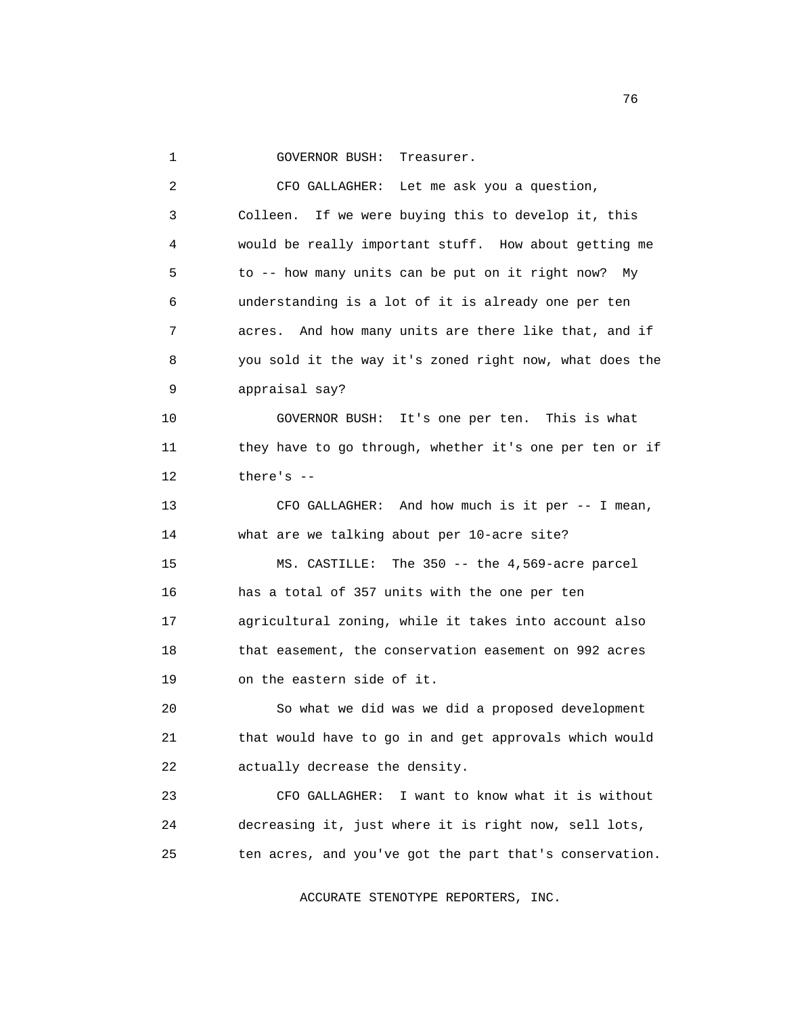1 GOVERNOR BUSH: Treasurer.

 2 CFO GALLAGHER: Let me ask you a question, 3 Colleen. If we were buying this to develop it, this 4 would be really important stuff. How about getting me 5 to -- how many units can be put on it right now? My 6 understanding is a lot of it is already one per ten 7 acres. And how many units are there like that, and if 8 you sold it the way it's zoned right now, what does the 9 appraisal say? 10 GOVERNOR BUSH: It's one per ten. This is what 11 they have to go through, whether it's one per ten or if 12 there's -- 13 CFO GALLAGHER: And how much is it per -- I mean, 14 what are we talking about per 10-acre site? 15 MS. CASTILLE: The 350 -- the 4,569-acre parcel 16 has a total of 357 units with the one per ten 17 agricultural zoning, while it takes into account also 18 that easement, the conservation easement on 992 acres 19 on the eastern side of it. 20 So what we did was we did a proposed development 21 that would have to go in and get approvals which would 22 actually decrease the density. 23 CFO GALLAGHER: I want to know what it is without 24 decreasing it, just where it is right now, sell lots, 25 ten acres, and you've got the part that's conservation.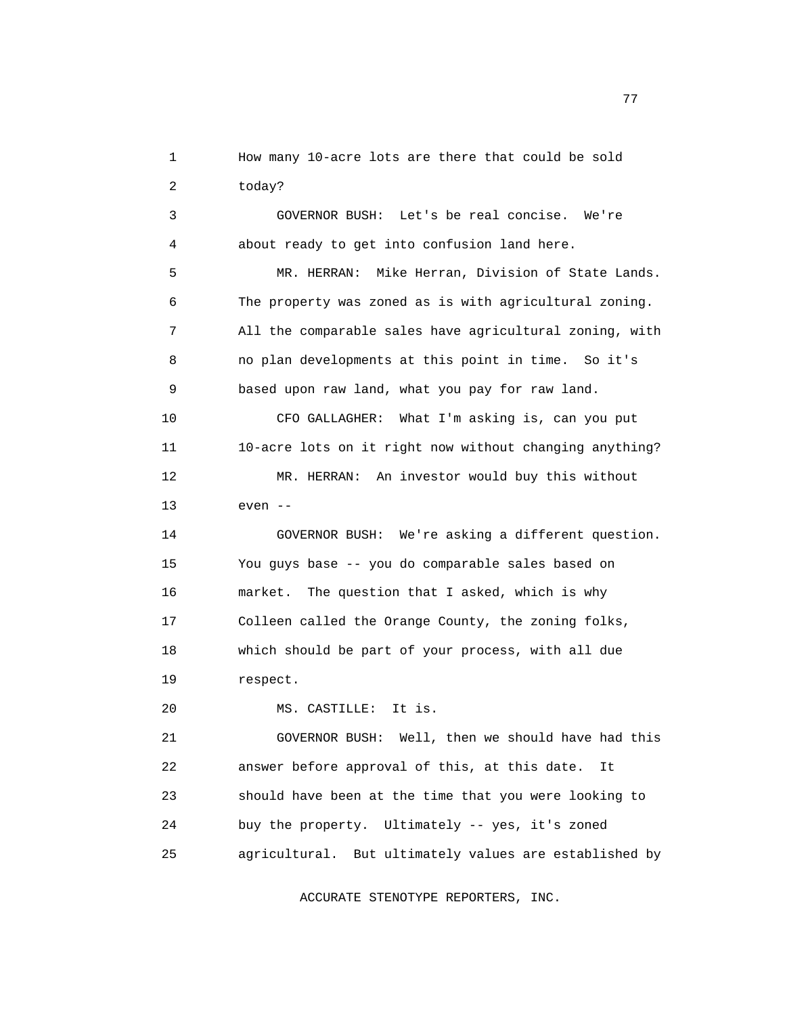1 How many 10-acre lots are there that could be sold 2 today?

 3 GOVERNOR BUSH: Let's be real concise. We're 4 about ready to get into confusion land here.

 5 MR. HERRAN: Mike Herran, Division of State Lands. 6 The property was zoned as is with agricultural zoning. 7 All the comparable sales have agricultural zoning, with 8 no plan developments at this point in time. So it's 9 based upon raw land, what you pay for raw land.

 10 CFO GALLAGHER: What I'm asking is, can you put 11 10-acre lots on it right now without changing anything? 12 MR. HERRAN: An investor would buy this without 13 even --

 14 GOVERNOR BUSH: We're asking a different question. 15 You guys base -- you do comparable sales based on 16 market. The question that I asked, which is why 17 Colleen called the Orange County, the zoning folks, 18 which should be part of your process, with all due 19 respect.

20 MS. CASTILLE: It is.

 21 GOVERNOR BUSH: Well, then we should have had this 22 answer before approval of this, at this date. It 23 should have been at the time that you were looking to 24 buy the property. Ultimately -- yes, it's zoned 25 agricultural. But ultimately values are established by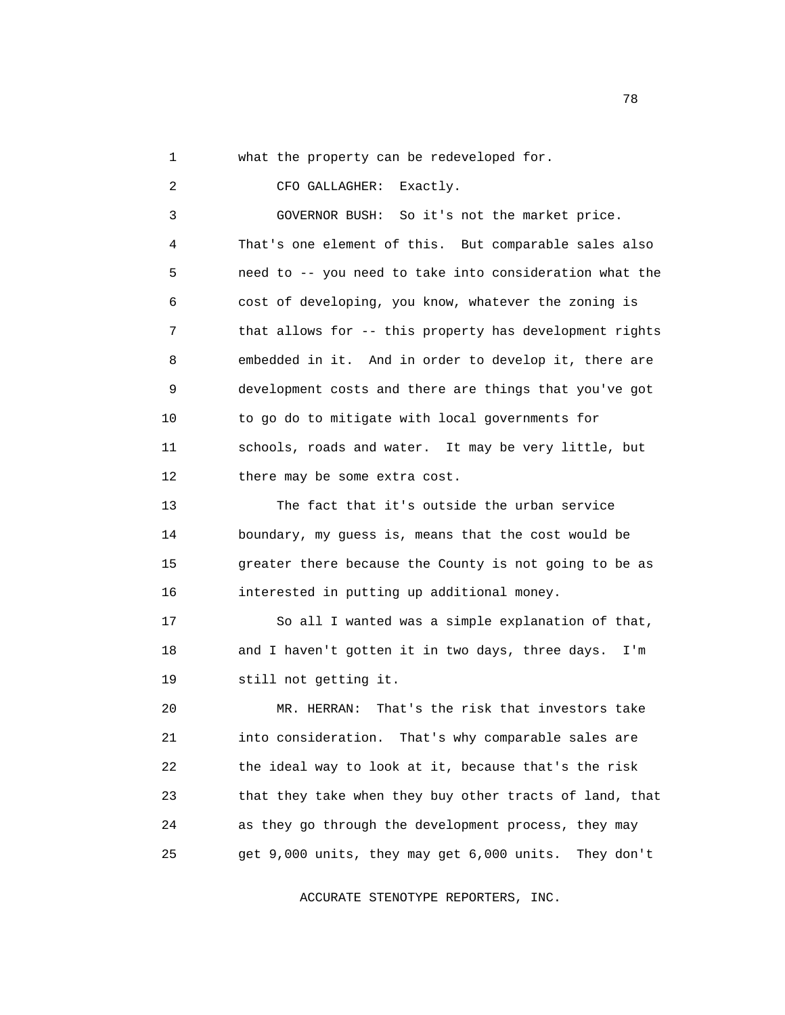1 what the property can be redeveloped for.

2 CFO GALLAGHER: Exactly.

 3 GOVERNOR BUSH: So it's not the market price. 4 That's one element of this. But comparable sales also 5 need to -- you need to take into consideration what the 6 cost of developing, you know, whatever the zoning is 7 that allows for -- this property has development rights 8 embedded in it. And in order to develop it, there are 9 development costs and there are things that you've got 10 to go do to mitigate with local governments for 11 schools, roads and water. It may be very little, but 12 there may be some extra cost.

 13 The fact that it's outside the urban service 14 boundary, my guess is, means that the cost would be 15 greater there because the County is not going to be as 16 interested in putting up additional money.

 17 So all I wanted was a simple explanation of that, 18 and I haven't gotten it in two days, three days. I'm 19 still not getting it.

 20 MR. HERRAN: That's the risk that investors take 21 into consideration. That's why comparable sales are 22 the ideal way to look at it, because that's the risk 23 that they take when they buy other tracts of land, that 24 as they go through the development process, they may 25 get 9,000 units, they may get 6,000 units. They don't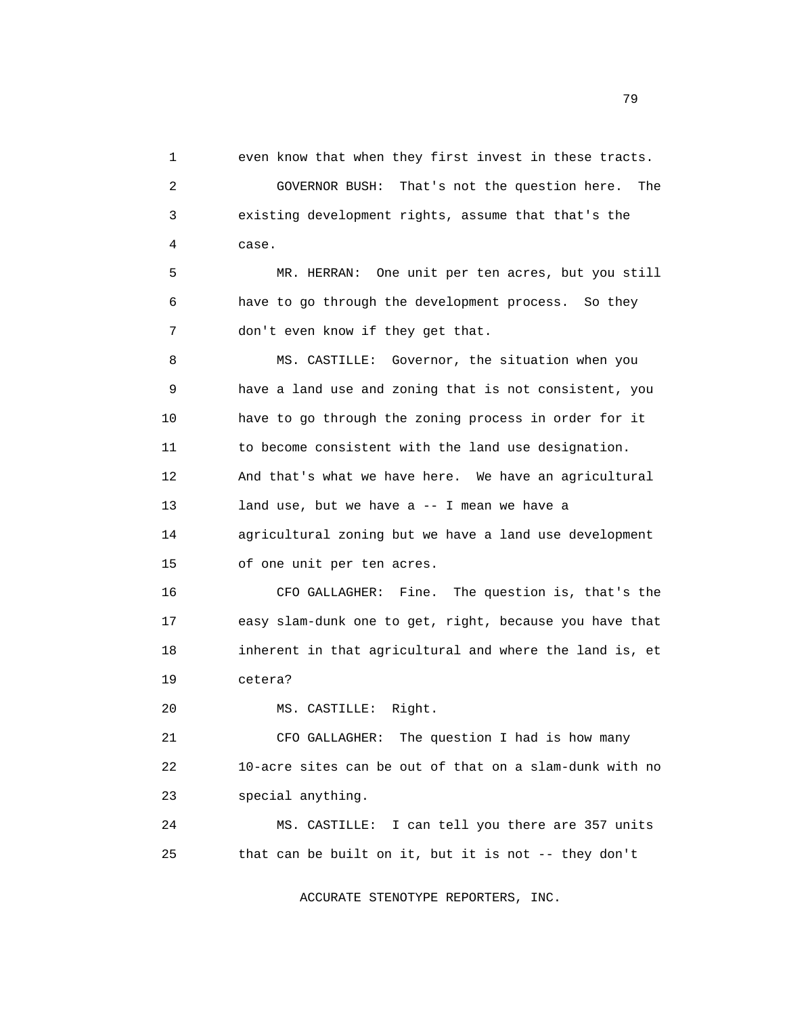1 even know that when they first invest in these tracts. 2 GOVERNOR BUSH: That's not the question here. The 3 existing development rights, assume that that's the 4 case. 5 MR. HERRAN: One unit per ten acres, but you still 6 have to go through the development process. So they 7 don't even know if they get that. 8 MS. CASTILLE: Governor, the situation when you 9 have a land use and zoning that is not consistent, you 10 have to go through the zoning process in order for it 11 to become consistent with the land use designation. 12 And that's what we have here. We have an agricultural 13 land use, but we have a -- I mean we have a 14 agricultural zoning but we have a land use development 15 of one unit per ten acres. 16 CFO GALLAGHER: Fine. The question is, that's the 17 easy slam-dunk one to get, right, because you have that 18 inherent in that agricultural and where the land is, et 19 cetera? 20 MS. CASTILLE: Right. 21 CFO GALLAGHER: The question I had is how many 22 10-acre sites can be out of that on a slam-dunk with no 23 special anything.

 24 MS. CASTILLE: I can tell you there are 357 units 25 that can be built on it, but it is not -- they don't

ACCURATE STENOTYPE REPORTERS, INC.

n and the state of the state of the state of the state of the state of the state of the state of the state of the state of the state of the state of the state of the state of the state of the state of the state of the stat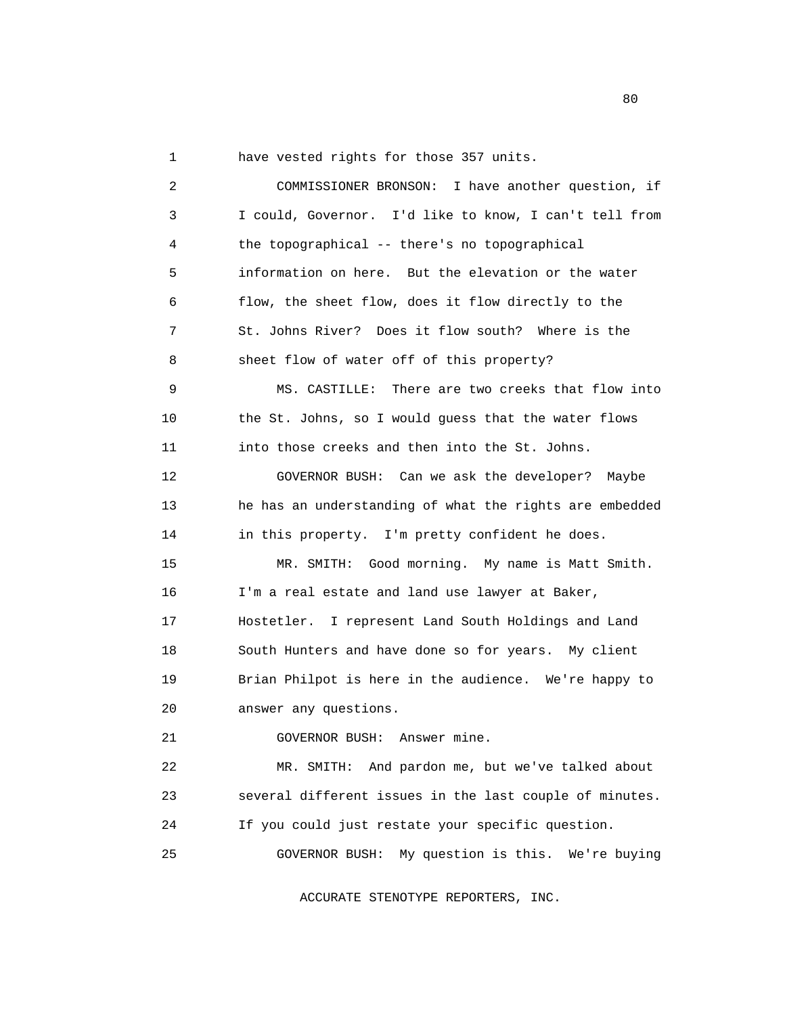1 have vested rights for those 357 units.

 2 COMMISSIONER BRONSON: I have another question, if 3 I could, Governor. I'd like to know, I can't tell from 4 the topographical -- there's no topographical 5 information on here. But the elevation or the water 6 flow, the sheet flow, does it flow directly to the 7 St. Johns River? Does it flow south? Where is the 8 sheet flow of water off of this property? 9 MS. CASTILLE: There are two creeks that flow into 10 the St. Johns, so I would guess that the water flows 11 into those creeks and then into the St. Johns. 12 GOVERNOR BUSH: Can we ask the developer? Maybe 13 he has an understanding of what the rights are embedded 14 in this property. I'm pretty confident he does. 15 MR. SMITH: Good morning. My name is Matt Smith. 16 I'm a real estate and land use lawyer at Baker, 17 Hostetler. I represent Land South Holdings and Land 18 South Hunters and have done so for years. My client 19 Brian Philpot is here in the audience. We're happy to 20 answer any questions. 21 GOVERNOR BUSH: Answer mine. 22 MR. SMITH: And pardon me, but we've talked about 23 several different issues in the last couple of minutes. 24 If you could just restate your specific question. 25 GOVERNOR BUSH: My question is this. We're buying

ACCURATE STENOTYPE REPORTERS, INC.

experience of the state of the state of the state of the state of the state of the state of the state of the s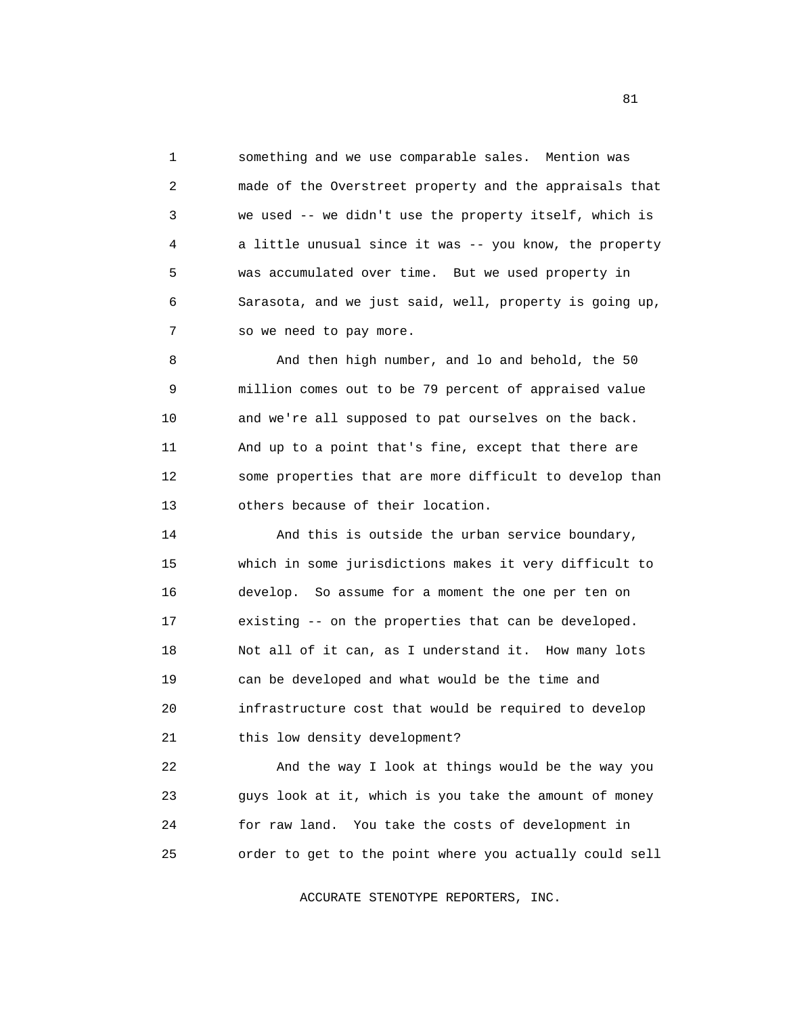1 something and we use comparable sales. Mention was 2 made of the Overstreet property and the appraisals that 3 we used -- we didn't use the property itself, which is 4 a little unusual since it was -- you know, the property 5 was accumulated over time. But we used property in 6 Sarasota, and we just said, well, property is going up, 7 so we need to pay more.

 8 And then high number, and lo and behold, the 50 9 million comes out to be 79 percent of appraised value 10 and we're all supposed to pat ourselves on the back. 11 And up to a point that's fine, except that there are 12 some properties that are more difficult to develop than 13 others because of their location.

14 And this is outside the urban service boundary, 15 which in some jurisdictions makes it very difficult to 16 develop. So assume for a moment the one per ten on 17 existing -- on the properties that can be developed. 18 Not all of it can, as I understand it. How many lots 19 can be developed and what would be the time and 20 infrastructure cost that would be required to develop 21 this low density development?

 22 And the way I look at things would be the way you 23 guys look at it, which is you take the amount of money 24 for raw land. You take the costs of development in 25 order to get to the point where you actually could sell

ACCURATE STENOTYPE REPORTERS, INC.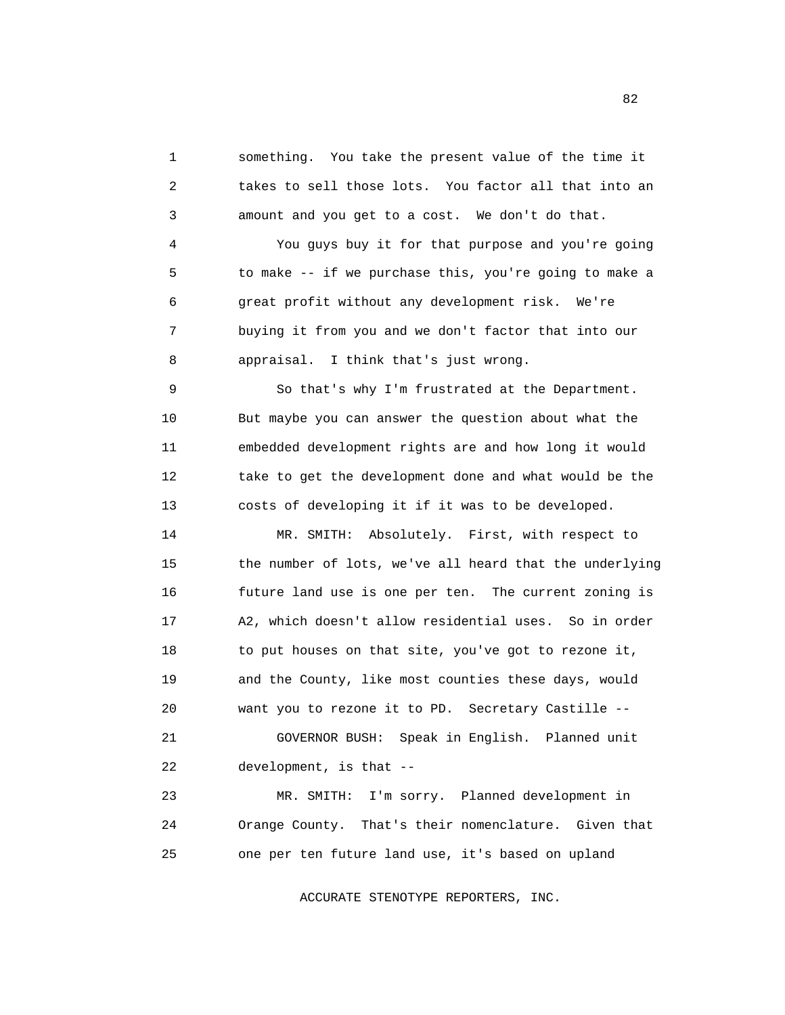1 something. You take the present value of the time it 2 takes to sell those lots. You factor all that into an 3 amount and you get to a cost. We don't do that.

 4 You guys buy it for that purpose and you're going 5 to make -- if we purchase this, you're going to make a 6 great profit without any development risk. We're 7 buying it from you and we don't factor that into our 8 appraisal. I think that's just wrong.

 9 So that's why I'm frustrated at the Department. 10 But maybe you can answer the question about what the 11 embedded development rights are and how long it would 12 take to get the development done and what would be the 13 costs of developing it if it was to be developed.

 14 MR. SMITH: Absolutely. First, with respect to 15 the number of lots, we've all heard that the underlying 16 future land use is one per ten. The current zoning is 17 A2, which doesn't allow residential uses. So in order 18 to put houses on that site, you've got to rezone it, 19 and the County, like most counties these days, would 20 want you to rezone it to PD. Secretary Castille -- 21 GOVERNOR BUSH: Speak in English. Planned unit 22 development, is that -- 23 MR. SMITH: I'm sorry. Planned development in

 24 Orange County. That's their nomenclature. Given that 25 one per ten future land use, it's based on upland

ACCURATE STENOTYPE REPORTERS, INC.

82 and the state of the state of the state of the state of the state of the state of the state of the state of the state of the state of the state of the state of the state of the state of the state of the state of the sta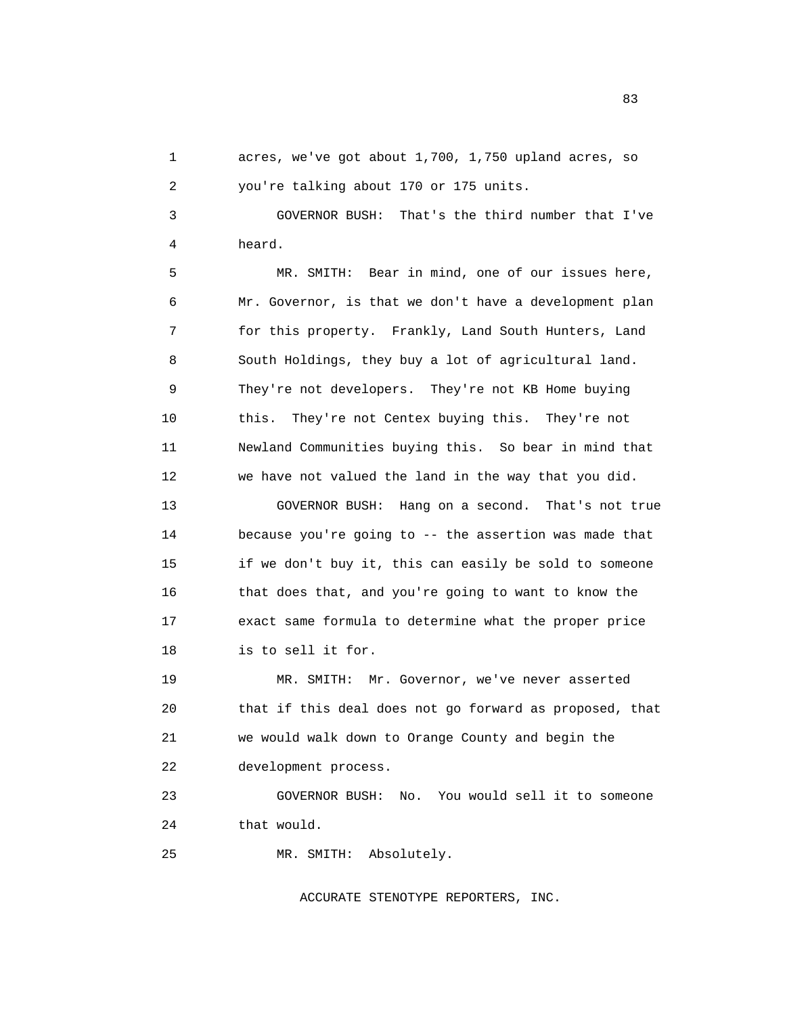1 acres, we've got about 1,700, 1,750 upland acres, so 2 you're talking about 170 or 175 units.

 3 GOVERNOR BUSH: That's the third number that I've 4 heard.

 5 MR. SMITH: Bear in mind, one of our issues here, 6 Mr. Governor, is that we don't have a development plan 7 for this property. Frankly, Land South Hunters, Land 8 South Holdings, they buy a lot of agricultural land. 9 They're not developers. They're not KB Home buying 10 this. They're not Centex buying this. They're not 11 Newland Communities buying this. So bear in mind that 12 we have not valued the land in the way that you did.

 13 GOVERNOR BUSH: Hang on a second. That's not true 14 because you're going to -- the assertion was made that 15 if we don't buy it, this can easily be sold to someone 16 that does that, and you're going to want to know the 17 exact same formula to determine what the proper price 18 is to sell it for.

 19 MR. SMITH: Mr. Governor, we've never asserted 20 that if this deal does not go forward as proposed, that 21 we would walk down to Orange County and begin the 22 development process.

 23 GOVERNOR BUSH: No. You would sell it to someone 24 that would.

25 MR. SMITH: Absolutely.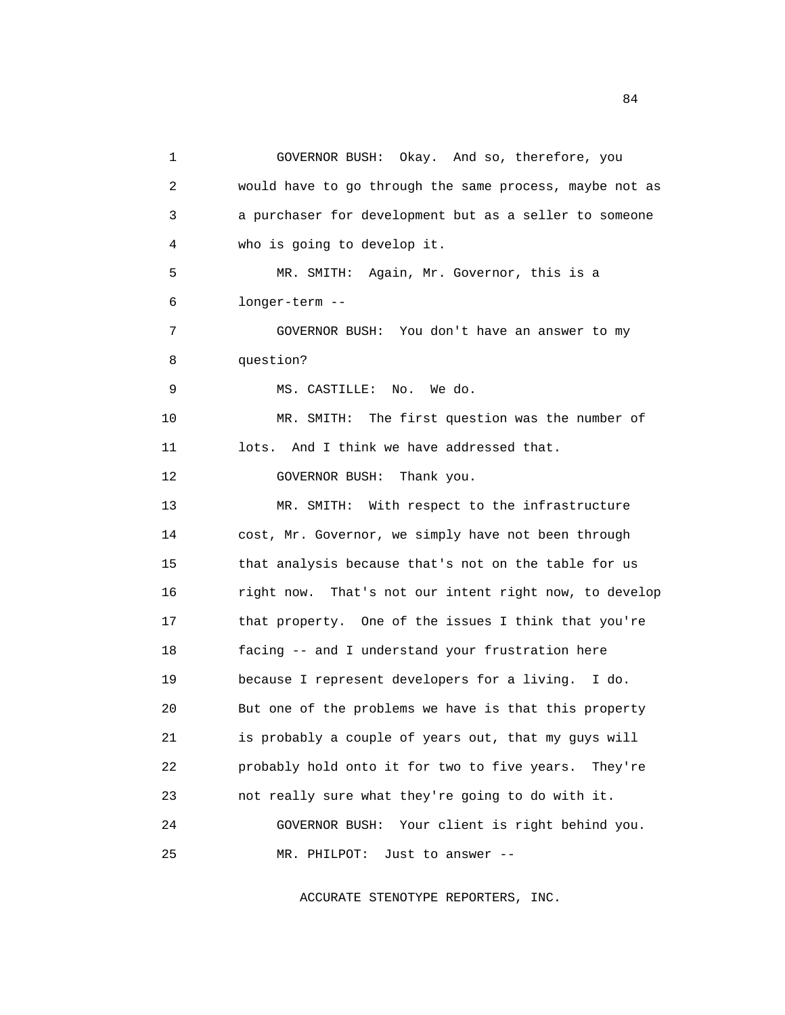1 GOVERNOR BUSH: Okay. And so, therefore, you 2 would have to go through the same process, maybe not as 3 a purchaser for development but as a seller to someone 4 who is going to develop it. 5 MR. SMITH: Again, Mr. Governor, this is a 6 longer-term -- 7 GOVERNOR BUSH: You don't have an answer to my 8 question? 9 MS. CASTILLE: No. We do. 10 MR. SMITH: The first question was the number of 11 lots. And I think we have addressed that. 12 **GOVERNOR BUSH:** Thank you. 13 MR. SMITH: With respect to the infrastructure 14 cost, Mr. Governor, we simply have not been through 15 that analysis because that's not on the table for us 16 right now. That's not our intent right now, to develop 17 that property. One of the issues I think that you're 18 facing -- and I understand your frustration here 19 because I represent developers for a living. I do. 20 But one of the problems we have is that this property 21 is probably a couple of years out, that my guys will 22 probably hold onto it for two to five years. They're 23 not really sure what they're going to do with it. 24 GOVERNOR BUSH: Your client is right behind you. 25 MR. PHILPOT: Just to answer --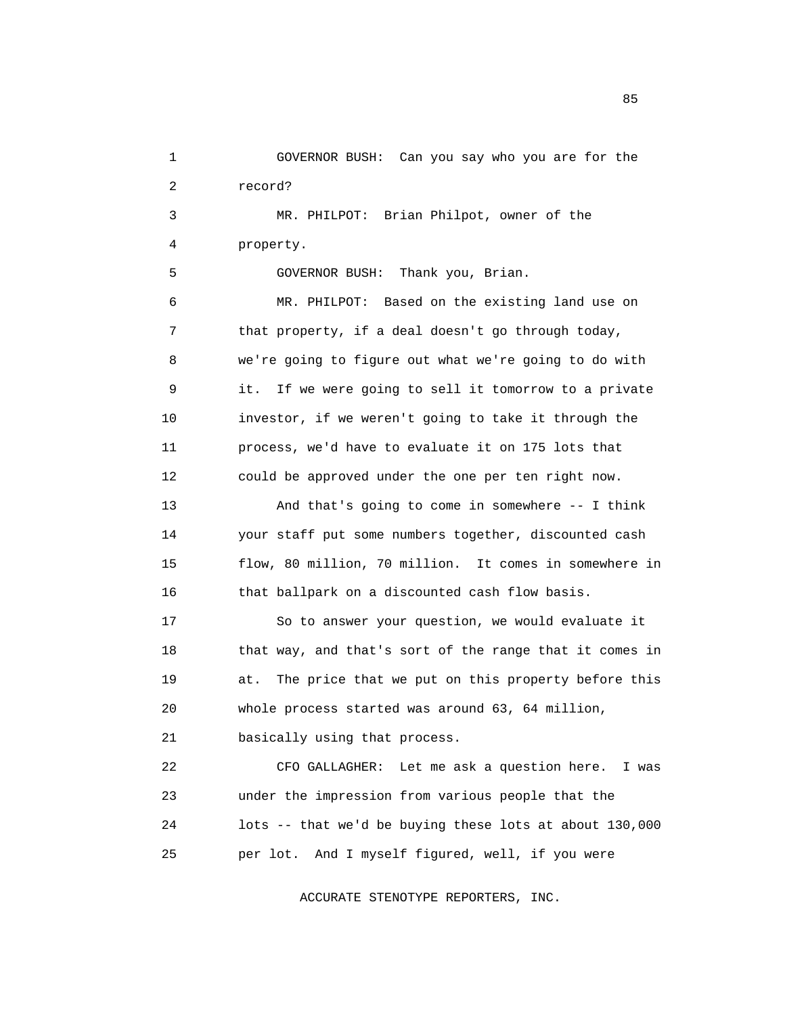1 GOVERNOR BUSH: Can you say who you are for the 2 record?

 3 MR. PHILPOT: Brian Philpot, owner of the 4 property.

5 GOVERNOR BUSH: Thank you, Brian.

 6 MR. PHILPOT: Based on the existing land use on 7 that property, if a deal doesn't go through today, 8 we're going to figure out what we're going to do with 9 it. If we were going to sell it tomorrow to a private 10 investor, if we weren't going to take it through the 11 process, we'd have to evaluate it on 175 lots that 12 could be approved under the one per ten right now. 13 And that's going to come in somewhere -- I think 14 your staff put some numbers together, discounted cash 15 flow, 80 million, 70 million. It comes in somewhere in

16 that ballpark on a discounted cash flow basis.

 17 So to answer your question, we would evaluate it 18 that way, and that's sort of the range that it comes in 19 at. The price that we put on this property before this 20 whole process started was around 63, 64 million,

21 basically using that process.

 22 CFO GALLAGHER: Let me ask a question here. I was 23 under the impression from various people that the 24 lots -- that we'd be buying these lots at about 130,000 25 per lot. And I myself figured, well, if you were

ACCURATE STENOTYPE REPORTERS, INC.

experience of the state of the state of the state of the state of the state of the state of the state of the s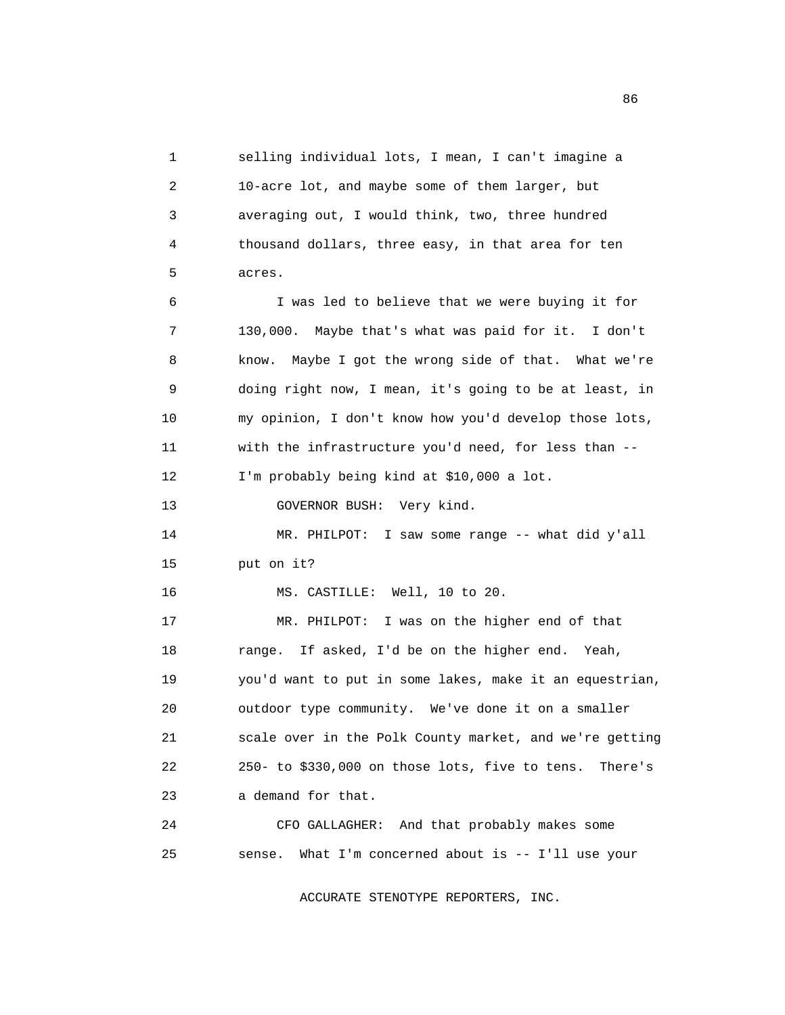1 selling individual lots, I mean, I can't imagine a 2 10-acre lot, and maybe some of them larger, but 3 averaging out, I would think, two, three hundred 4 thousand dollars, three easy, in that area for ten 5 acres. 6 I was led to believe that we were buying it for 7 130,000. Maybe that's what was paid for it. I don't 8 know. Maybe I got the wrong side of that. What we're 9 doing right now, I mean, it's going to be at least, in 10 my opinion, I don't know how you'd develop those lots, 11 with the infrastructure you'd need, for less than -- 12 I'm probably being kind at \$10,000 a lot. 13 GOVERNOR BUSH: Very kind. 14 MR. PHILPOT: I saw some range -- what did y'all 15 put on it? 16 MS. CASTILLE: Well, 10 to 20. 17 MR. PHILPOT: I was on the higher end of that 18 range. If asked, I'd be on the higher end. Yeah, 19 you'd want to put in some lakes, make it an equestrian, 20 outdoor type community. We've done it on a smaller 21 scale over in the Polk County market, and we're getting 22 250- to \$330,000 on those lots, five to tens. There's 23 a demand for that. 24 CFO GALLAGHER: And that probably makes some

ACCURATE STENOTYPE REPORTERS, INC.

25 sense. What I'm concerned about is -- I'll use your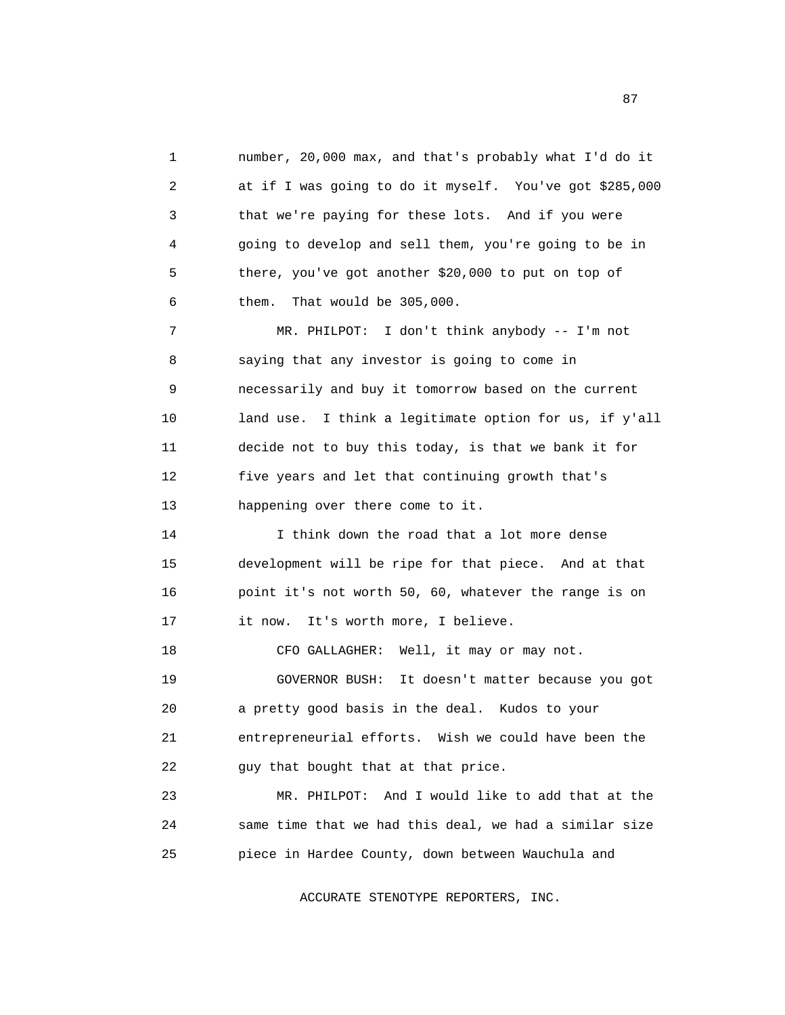1 number, 20,000 max, and that's probably what I'd do it 2 at if I was going to do it myself. You've got \$285,000 3 that we're paying for these lots. And if you were 4 going to develop and sell them, you're going to be in 5 there, you've got another \$20,000 to put on top of 6 them. That would be 305,000. 7 MR. PHILPOT: I don't think anybody -- I'm not 8 saying that any investor is going to come in 9 necessarily and buy it tomorrow based on the current 10 land use. I think a legitimate option for us, if y'all 11 decide not to buy this today, is that we bank it for 12 five years and let that continuing growth that's 13 happening over there come to it. 14 I think down the road that a lot more dense 15 development will be ripe for that piece. And at that 16 point it's not worth 50, 60, whatever the range is on 17 it now. It's worth more, I believe. 18 CFO GALLAGHER: Well, it may or may not. 19 GOVERNOR BUSH: It doesn't matter because you got 20 a pretty good basis in the deal. Kudos to your 21 entrepreneurial efforts. Wish we could have been the 22 guy that bought that at that price. 23 MR. PHILPOT: And I would like to add that at the 24 same time that we had this deal, we had a similar size

ACCURATE STENOTYPE REPORTERS, INC.

25 piece in Hardee County, down between Wauchula and

experience of the state of the state of the state of the state of the state of the state of the state of the s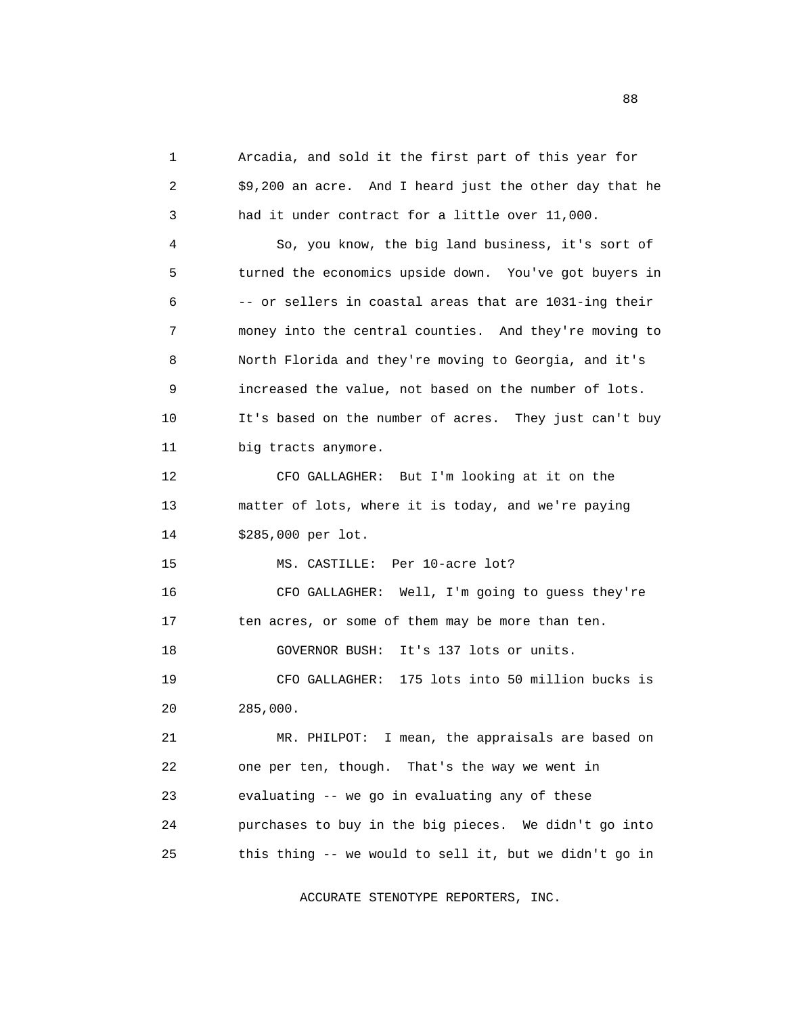1 Arcadia, and sold it the first part of this year for 2 \$9,200 an acre. And I heard just the other day that he 3 had it under contract for a little over 11,000. 4 So, you know, the big land business, it's sort of 5 turned the economics upside down. You've got buyers in 6 -- or sellers in coastal areas that are 1031-ing their 7 money into the central counties. And they're moving to 8 North Florida and they're moving to Georgia, and it's 9 increased the value, not based on the number of lots. 10 It's based on the number of acres. They just can't buy 11 big tracts anymore. 12 CFO GALLAGHER: But I'm looking at it on the 13 matter of lots, where it is today, and we're paying 14 \$285,000 per lot. 15 MS. CASTILLE: Per 10-acre lot? 16 CFO GALLAGHER: Well, I'm going to guess they're 17 ten acres, or some of them may be more than ten. 18 GOVERNOR BUSH: It's 137 lots or units. 19 CFO GALLAGHER: 175 lots into 50 million bucks is 20 285,000. 21 MR. PHILPOT: I mean, the appraisals are based on 22 one per ten, though. That's the way we went in 23 evaluating -- we go in evaluating any of these 24 purchases to buy in the big pieces. We didn't go into 25 this thing -- we would to sell it, but we didn't go in

ACCURATE STENOTYPE REPORTERS, INC.

experience of the state of the state of the state of the state of the state of the state of the state of the s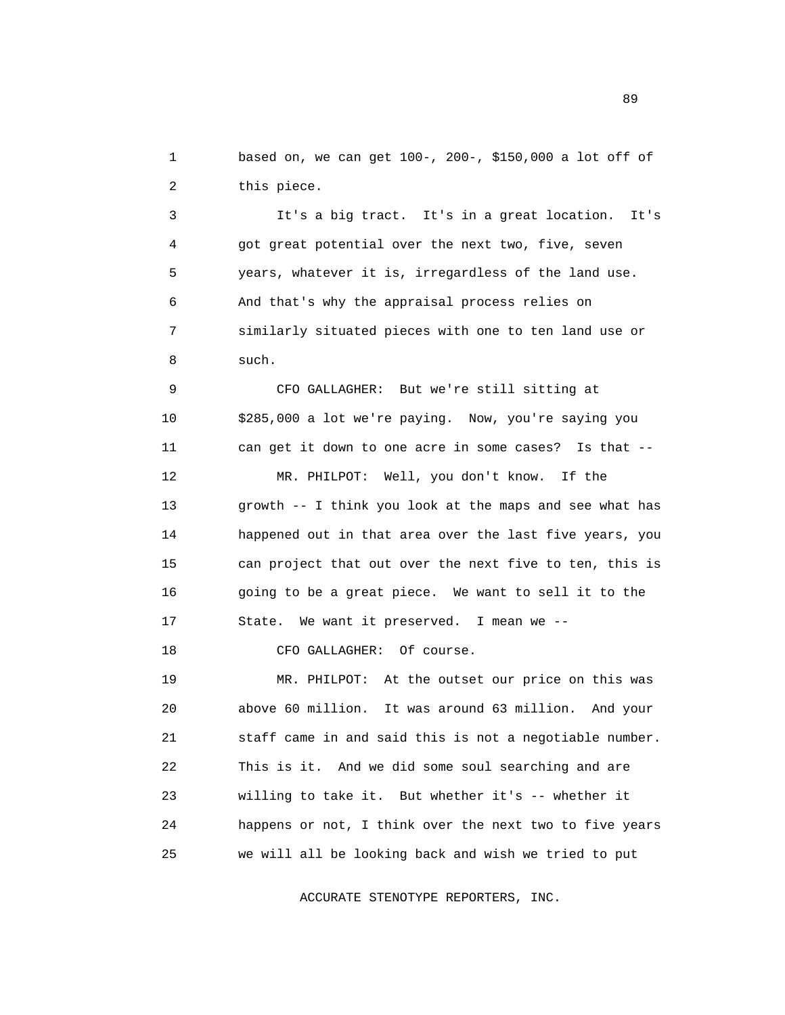1 based on, we can get 100-, 200-, \$150,000 a lot off of 2 this piece.

 3 It's a big tract. It's in a great location. It's 4 got great potential over the next two, five, seven 5 years, whatever it is, irregardless of the land use. 6 And that's why the appraisal process relies on 7 similarly situated pieces with one to ten land use or 8 such.

 9 CFO GALLAGHER: But we're still sitting at 10 \$285,000 a lot we're paying. Now, you're saying you 11 can get it down to one acre in some cases? Is that -- 12 MR. PHILPOT: Well, you don't know. If the 13 growth -- I think you look at the maps and see what has 14 happened out in that area over the last five years, you 15 can project that out over the next five to ten, this is 16 going to be a great piece. We want to sell it to the 17 State. We want it preserved. I mean we --

18 CFO GALLAGHER: Of course.

 19 MR. PHILPOT: At the outset our price on this was 20 above 60 million. It was around 63 million. And your 21 staff came in and said this is not a negotiable number. 22 This is it. And we did some soul searching and are 23 willing to take it. But whether it's -- whether it 24 happens or not, I think over the next two to five years 25 we will all be looking back and wish we tried to put

ACCURATE STENOTYPE REPORTERS, INC.

89 and the state of the state of the state of the state of the state of the state of the state of the state of the state of the state of the state of the state of the state of the state of the state of the state of the sta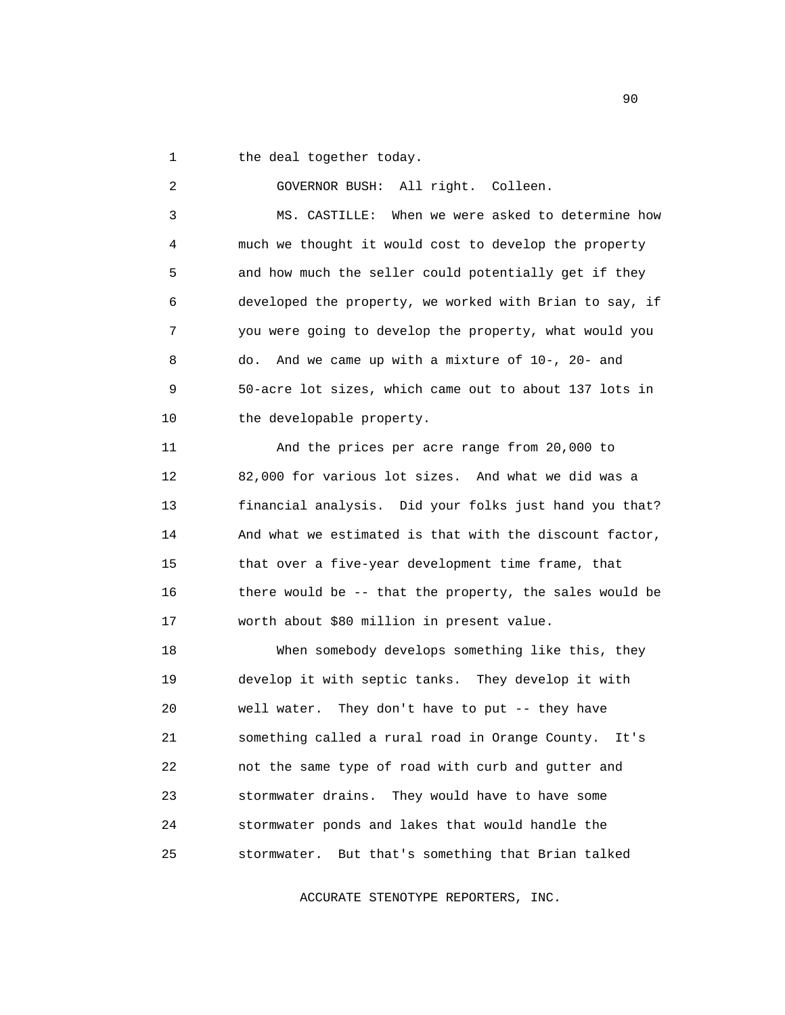1 the deal together today.

2 GOVERNOR BUSH: All right. Colleen.

 3 MS. CASTILLE: When we were asked to determine how 4 much we thought it would cost to develop the property 5 and how much the seller could potentially get if they 6 developed the property, we worked with Brian to say, if 7 you were going to develop the property, what would you 8 do. And we came up with a mixture of 10-, 20- and 9 50-acre lot sizes, which came out to about 137 lots in 10 the developable property.

 11 And the prices per acre range from 20,000 to 12 82,000 for various lot sizes. And what we did was a 13 financial analysis. Did your folks just hand you that? 14 And what we estimated is that with the discount factor, 15 that over a five-year development time frame, that 16 there would be -- that the property, the sales would be 17 worth about \$80 million in present value.

 18 When somebody develops something like this, they 19 develop it with septic tanks. They develop it with 20 well water. They don't have to put -- they have 21 something called a rural road in Orange County. It's 22 not the same type of road with curb and gutter and 23 stormwater drains. They would have to have some 24 stormwater ponds and lakes that would handle the 25 stormwater. But that's something that Brian talked

ACCURATE STENOTYPE REPORTERS, INC.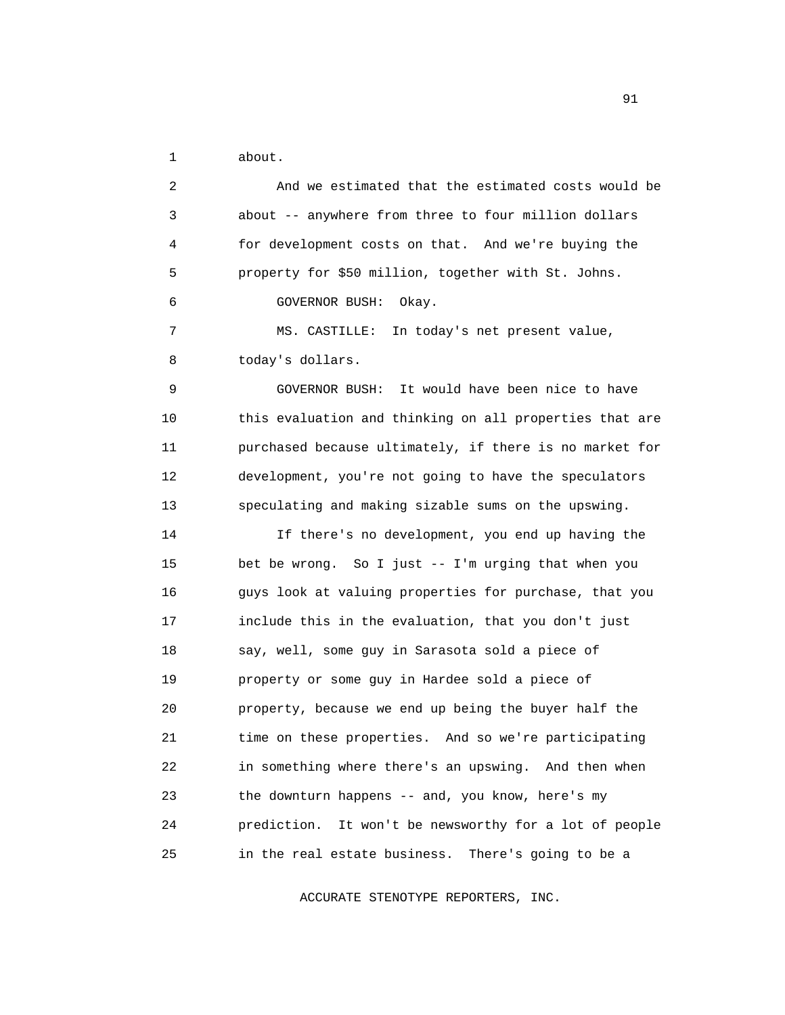1 about.

 2 And we estimated that the estimated costs would be 3 about -- anywhere from three to four million dollars 4 for development costs on that. And we're buying the 5 property for \$50 million, together with St. Johns. 6 GOVERNOR BUSH: Okay. 7 MS. CASTILLE: In today's net present value, 8 today's dollars. 9 GOVERNOR BUSH: It would have been nice to have 10 this evaluation and thinking on all properties that are 11 purchased because ultimately, if there is no market for 12 development, you're not going to have the speculators 13 speculating and making sizable sums on the upswing. 14 If there's no development, you end up having the 15 bet be wrong. So I just -- I'm urging that when you 16 guys look at valuing properties for purchase, that you 17 include this in the evaluation, that you don't just 18 say, well, some guy in Sarasota sold a piece of 19 property or some guy in Hardee sold a piece of 20 property, because we end up being the buyer half the 21 time on these properties. And so we're participating 22 in something where there's an upswing. And then when 23 the downturn happens -- and, you know, here's my 24 prediction. It won't be newsworthy for a lot of people 25 in the real estate business. There's going to be a

ACCURATE STENOTYPE REPORTERS, INC.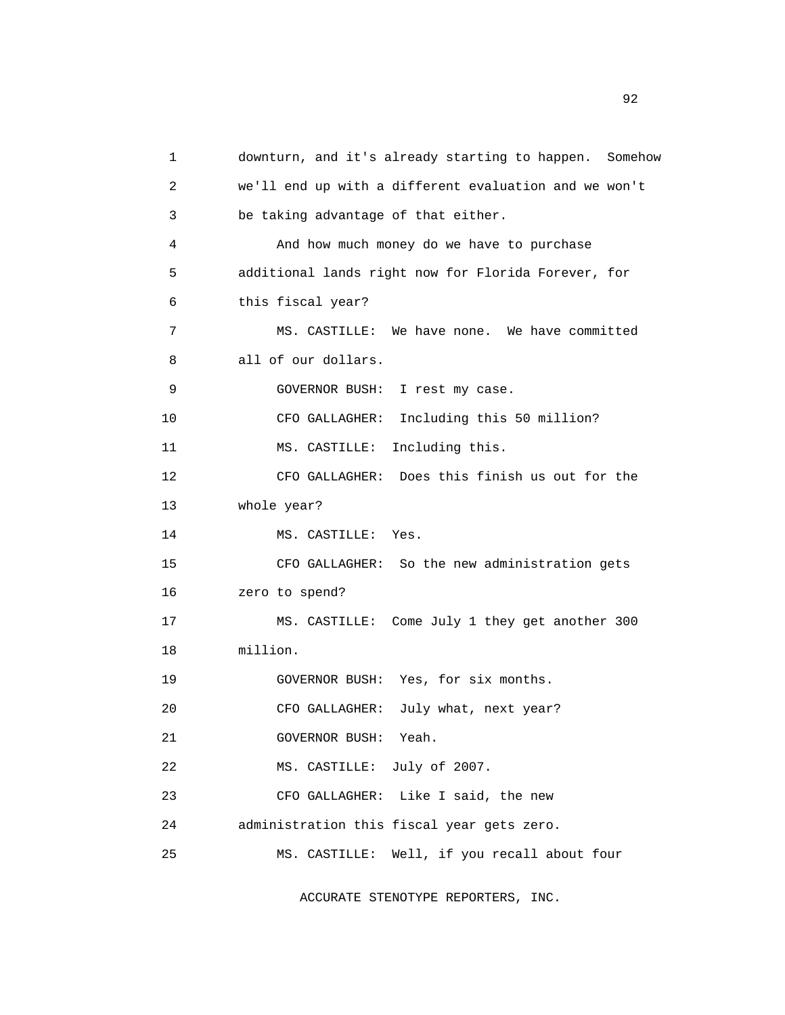1 downturn, and it's already starting to happen. Somehow 2 we'll end up with a different evaluation and we won't 3 be taking advantage of that either. 4 And how much money do we have to purchase 5 additional lands right now for Florida Forever, for 6 this fiscal year? 7 MS. CASTILLE: We have none. We have committed 8 all of our dollars. 9 GOVERNOR BUSH: I rest my case. 10 CFO GALLAGHER: Including this 50 million? 11 MS. CASTILLE: Including this. 12 CFO GALLAGHER: Does this finish us out for the 13 whole year? 14 MS. CASTILLE: Yes. 15 CFO GALLAGHER: So the new administration gets 16 zero to spend? 17 MS. CASTILLE: Come July 1 they get another 300 18 million. 19 GOVERNOR BUSH: Yes, for six months. 20 CFO GALLAGHER: July what, next year? 21 GOVERNOR BUSH: Yeah. 22 MS. CASTILLE: July of 2007. 23 CFO GALLAGHER: Like I said, the new 24 administration this fiscal year gets zero. 25 MS. CASTILLE: Well, if you recall about four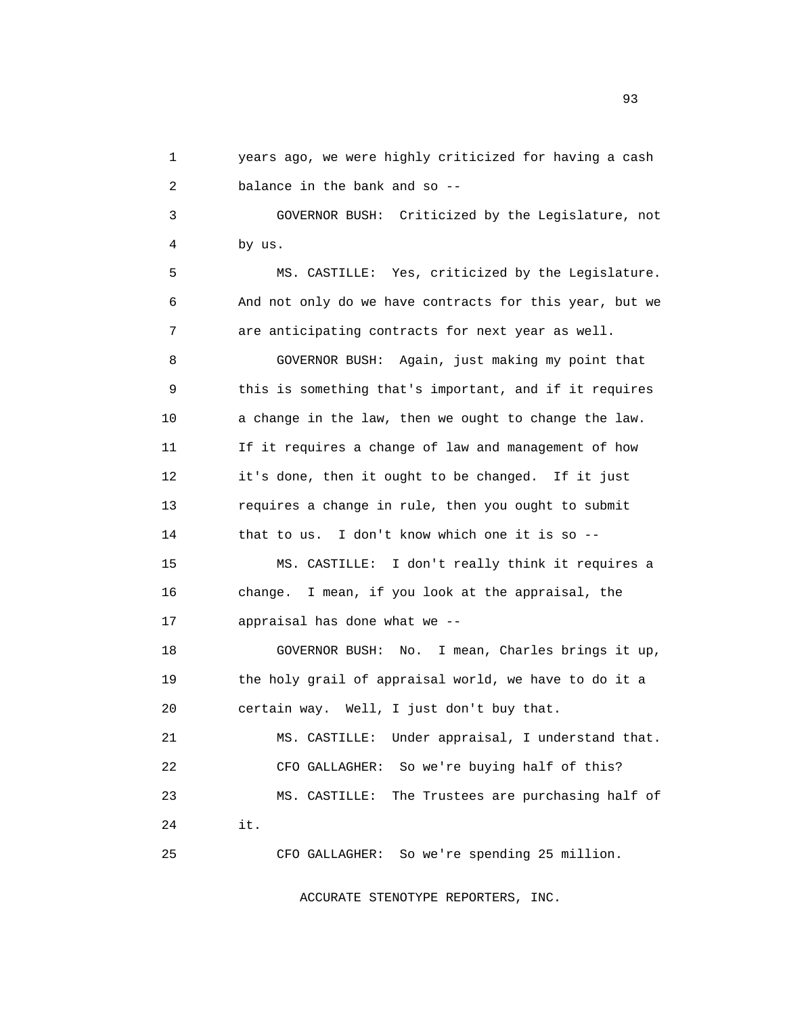1 years ago, we were highly criticized for having a cash 2 balance in the bank and so --

 3 GOVERNOR BUSH: Criticized by the Legislature, not 4 by us.

 5 MS. CASTILLE: Yes, criticized by the Legislature. 6 And not only do we have contracts for this year, but we 7 are anticipating contracts for next year as well.

 8 GOVERNOR BUSH: Again, just making my point that 9 this is something that's important, and if it requires 10 a change in the law, then we ought to change the law. 11 If it requires a change of law and management of how 12 it's done, then it ought to be changed. If it just 13 requires a change in rule, then you ought to submit 14 that to us. I don't know which one it is so --

 15 MS. CASTILLE: I don't really think it requires a 16 change. I mean, if you look at the appraisal, the 17 appraisal has done what we --

 18 GOVERNOR BUSH: No. I mean, Charles brings it up, 19 the holy grail of appraisal world, we have to do it a 20 certain way. Well, I just don't buy that.

 21 MS. CASTILLE: Under appraisal, I understand that. 22 CFO GALLAGHER: So we're buying half of this? 23 MS. CASTILLE: The Trustees are purchasing half of 24 it.

25 CFO GALLAGHER: So we're spending 25 million.

ACCURATE STENOTYPE REPORTERS, INC.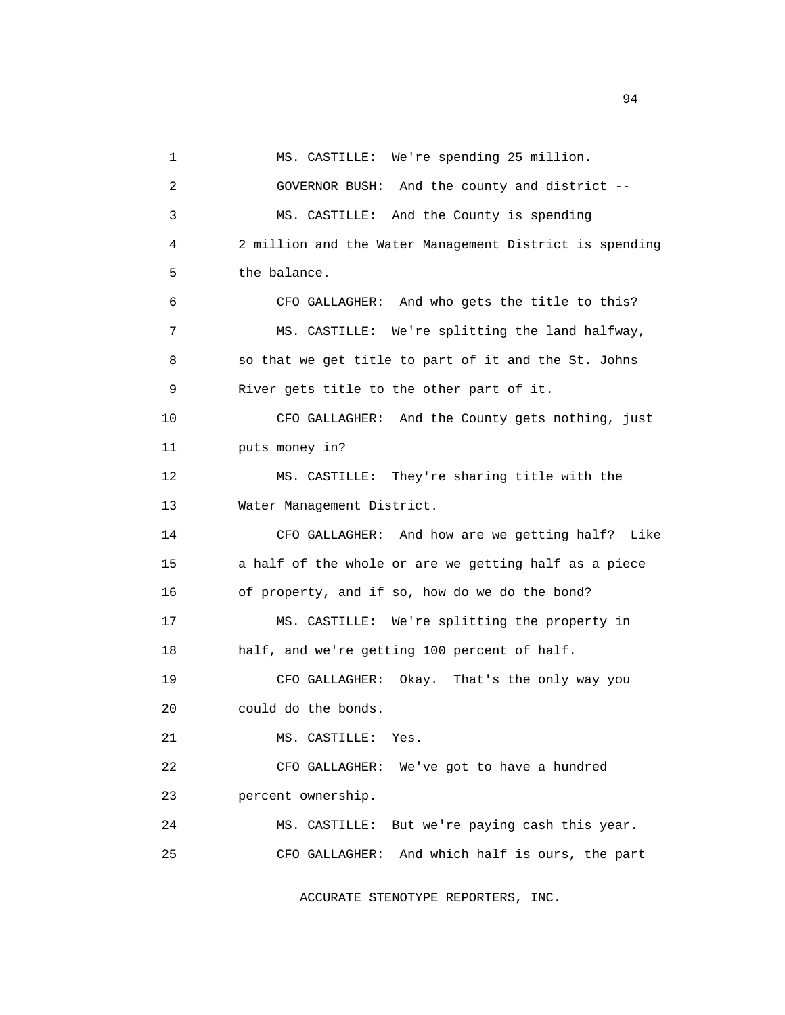1 MS. CASTILLE: We're spending 25 million. 2 GOVERNOR BUSH: And the county and district -- 3 MS. CASTILLE: And the County is spending 4 2 million and the Water Management District is spending 5 the balance. 6 CFO GALLAGHER: And who gets the title to this? 7 MS. CASTILLE: We're splitting the land halfway, 8 so that we get title to part of it and the St. Johns 9 River gets title to the other part of it. 10 CFO GALLAGHER: And the County gets nothing, just 11 puts money in? 12 MS. CASTILLE: They're sharing title with the 13 Water Management District. 14 CFO GALLAGHER: And how are we getting half? Like 15 a half of the whole or are we getting half as a piece 16 of property, and if so, how do we do the bond? 17 MS. CASTILLE: We're splitting the property in 18 half, and we're getting 100 percent of half. 19 CFO GALLAGHER: Okay. That's the only way you 20 could do the bonds. 21 MS. CASTILLE: Yes. 22 CFO GALLAGHER: We've got to have a hundred 23 percent ownership. 24 MS. CASTILLE: But we're paying cash this year. 25 CFO GALLAGHER: And which half is ours, the part

ACCURATE STENOTYPE REPORTERS, INC.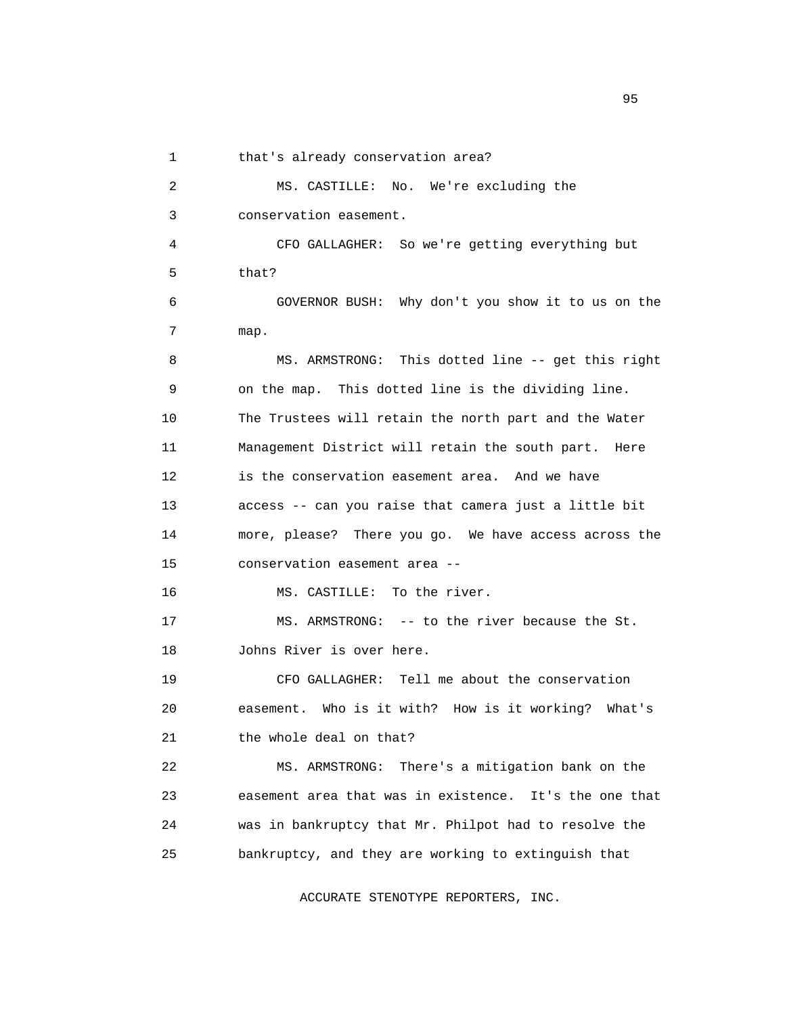1 that's already conservation area?

 2 MS. CASTILLE: No. We're excluding the 3 conservation easement. 4 CFO GALLAGHER: So we're getting everything but 5 that? 6 GOVERNOR BUSH: Why don't you show it to us on the 7 map. 8 MS. ARMSTRONG: This dotted line -- get this right 9 on the map. This dotted line is the dividing line. 10 The Trustees will retain the north part and the Water 11 Management District will retain the south part. Here 12 is the conservation easement area. And we have 13 access -- can you raise that camera just a little bit 14 more, please? There you go. We have access across the 15 conservation easement area -- 16 MS. CASTILLE: To the river. 17 MS. ARMSTRONG: -- to the river because the St. 18 Johns River is over here. 19 CFO GALLAGHER: Tell me about the conservation 20 easement. Who is it with? How is it working? What's 21 the whole deal on that? 22 MS. ARMSTRONG: There's a mitigation bank on the 23 easement area that was in existence. It's the one that 24 was in bankruptcy that Mr. Philpot had to resolve the 25 bankruptcy, and they are working to extinguish that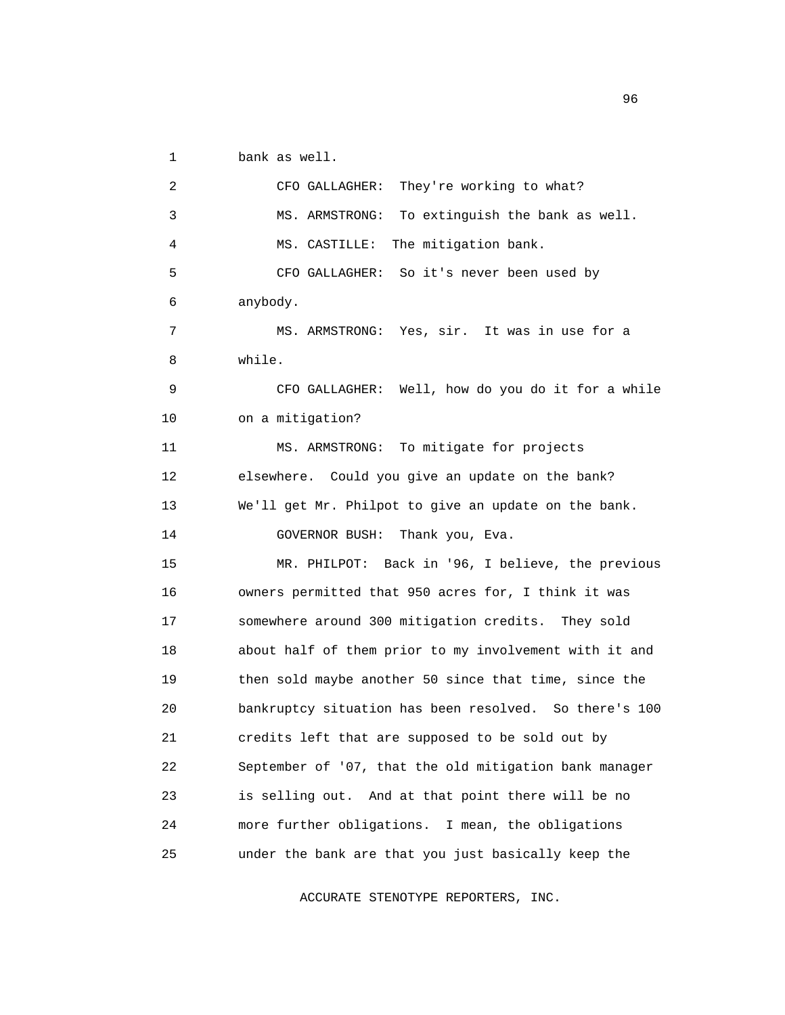1 bank as well.

 2 CFO GALLAGHER: They're working to what? 3 MS. ARMSTRONG: To extinguish the bank as well. 4 MS. CASTILLE: The mitigation bank. 5 CFO GALLAGHER: So it's never been used by 6 anybody. 7 MS. ARMSTRONG: Yes, sir. It was in use for a 8 while. 9 CFO GALLAGHER: Well, how do you do it for a while 10 on a mitigation? 11 MS. ARMSTRONG: To mitigate for projects 12 elsewhere. Could you give an update on the bank? 13 We'll get Mr. Philpot to give an update on the bank. 14 GOVERNOR BUSH: Thank you, Eva. 15 MR. PHILPOT: Back in '96, I believe, the previous 16 owners permitted that 950 acres for, I think it was 17 somewhere around 300 mitigation credits. They sold 18 about half of them prior to my involvement with it and 19 then sold maybe another 50 since that time, since the 20 bankruptcy situation has been resolved. So there's 100 21 credits left that are supposed to be sold out by 22 September of '07, that the old mitigation bank manager 23 is selling out. And at that point there will be no 24 more further obligations. I mean, the obligations 25 under the bank are that you just basically keep the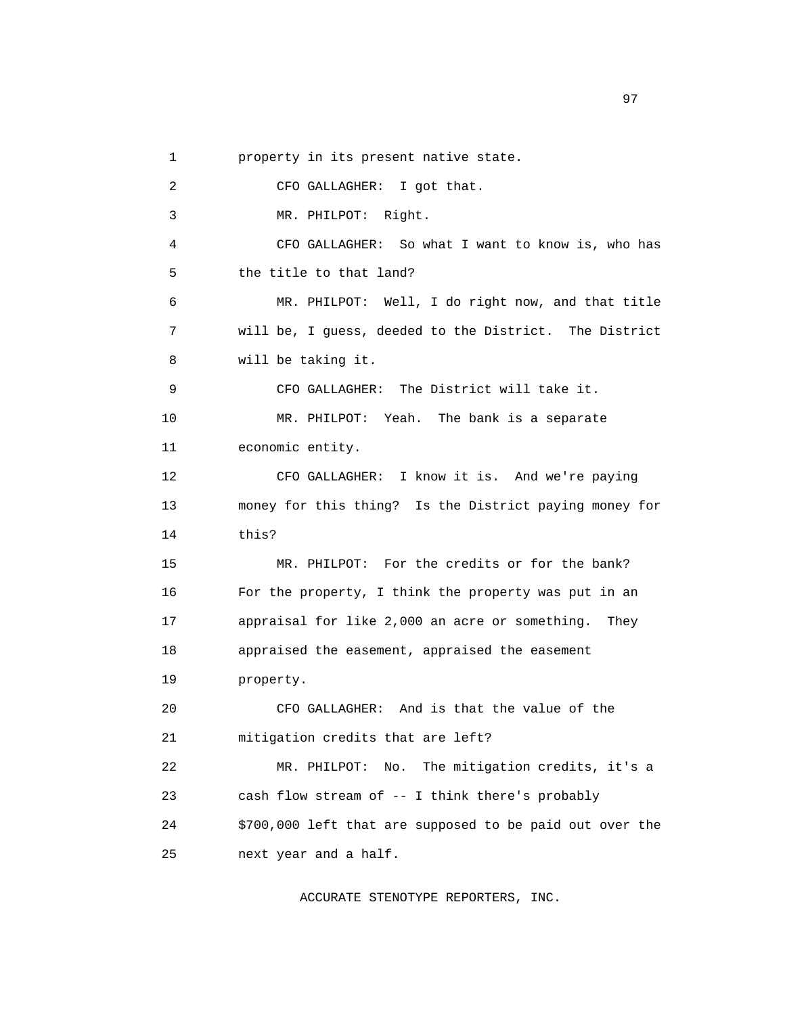|  | property in its present native state. |
|--|---------------------------------------|
|--|---------------------------------------|

 2 CFO GALLAGHER: I got that. 3 MR. PHILPOT: Right. 4 CFO GALLAGHER: So what I want to know is, who has 5 the title to that land? 6 MR. PHILPOT: Well, I do right now, and that title 7 will be, I guess, deeded to the District. The District 8 will be taking it. 9 CFO GALLAGHER: The District will take it. 10 MR. PHILPOT: Yeah. The bank is a separate 11 economic entity. 12 CFO GALLAGHER: I know it is. And we're paying 13 money for this thing? Is the District paying money for 14 this? 15 MR. PHILPOT: For the credits or for the bank? 16 For the property, I think the property was put in an 17 appraisal for like 2,000 an acre or something. They 18 appraised the easement, appraised the easement 19 property. 20 CFO GALLAGHER: And is that the value of the 21 mitigation credits that are left? 22 MR. PHILPOT: No. The mitigation credits, it's a 23 cash flow stream of -- I think there's probably 24 \$700,000 left that are supposed to be paid out over the 25 next year and a half.

ACCURATE STENOTYPE REPORTERS, INC.

experience of the contract of the contract of the contract of the contract of the contract of the contract of the contract of the contract of the contract of the contract of the contract of the contract of the contract of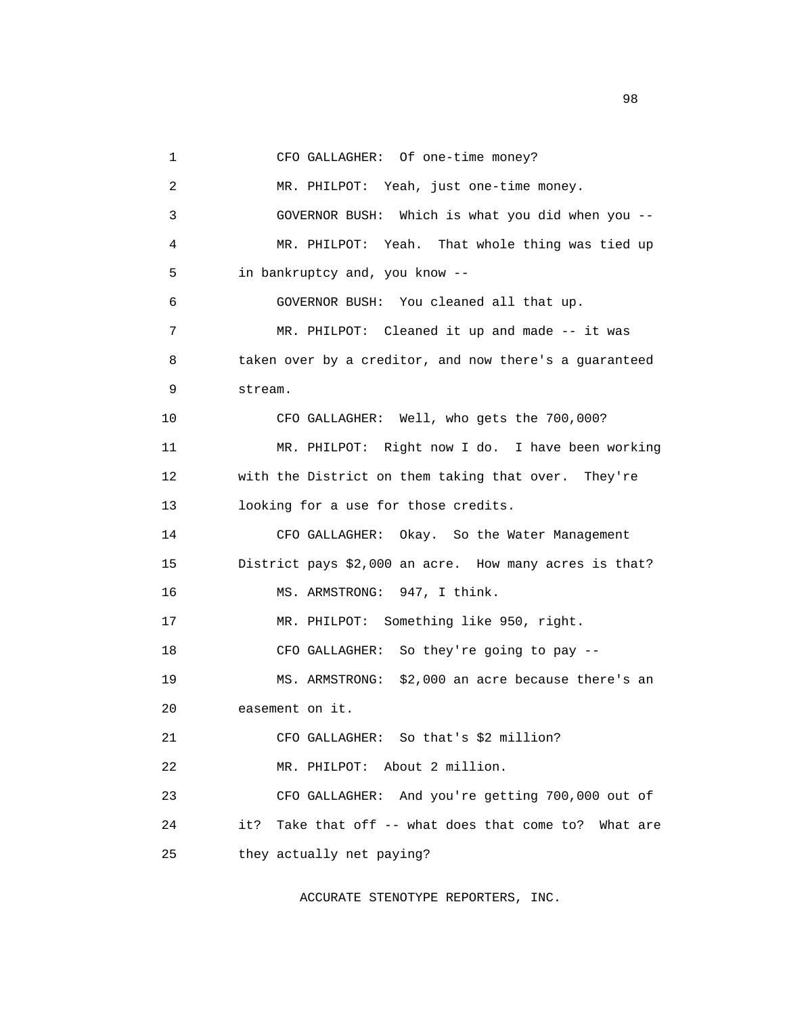1 CFO GALLAGHER: Of one-time money?

 2 MR. PHILPOT: Yeah, just one-time money. 3 GOVERNOR BUSH: Which is what you did when you -- 4 MR. PHILPOT: Yeah. That whole thing was tied up 5 in bankruptcy and, you know -- 6 GOVERNOR BUSH: You cleaned all that up. 7 MR. PHILPOT: Cleaned it up and made -- it was 8 taken over by a creditor, and now there's a guaranteed 9 stream. 10 CFO GALLAGHER: Well, who gets the 700,000? 11 MR. PHILPOT: Right now I do. I have been working 12 with the District on them taking that over. They're 13 looking for a use for those credits. 14 CFO GALLAGHER: Okay. So the Water Management 15 District pays \$2,000 an acre. How many acres is that? 16 MS. ARMSTRONG: 947, I think. 17 MR. PHILPOT: Something like 950, right. 18 CFO GALLAGHER: So they're going to pay -- 19 MS. ARMSTRONG: \$2,000 an acre because there's an 20 easement on it. 21 CFO GALLAGHER: So that's \$2 million? 22 MR. PHILPOT: About 2 million. 23 CFO GALLAGHER: And you're getting 700,000 out of 24 it? Take that off -- what does that come to? What are 25 they actually net paying?

ACCURATE STENOTYPE REPORTERS, INC.

experience of the state of the state of the state of the state of the state of the state of the state of the s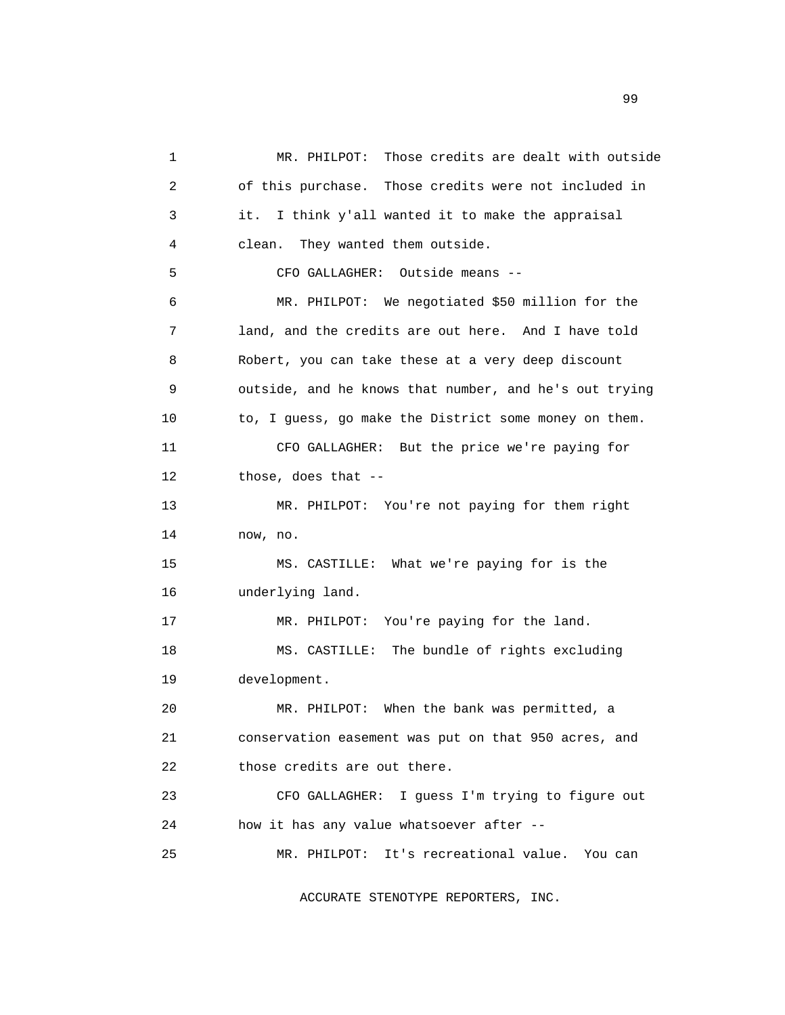1 MR. PHILPOT: Those credits are dealt with outside 2 of this purchase. Those credits were not included in 3 it. I think y'all wanted it to make the appraisal 4 clean. They wanted them outside. 5 CFO GALLAGHER: Outside means -- 6 MR. PHILPOT: We negotiated \$50 million for the 7 land, and the credits are out here. And I have told 8 Robert, you can take these at a very deep discount 9 outside, and he knows that number, and he's out trying 10 to, I guess, go make the District some money on them. 11 CFO GALLAGHER: But the price we're paying for 12 those, does that -- 13 MR. PHILPOT: You're not paying for them right 14 now, no. 15 MS. CASTILLE: What we're paying for is the 16 underlying land. 17 MR. PHILPOT: You're paying for the land. 18 MS. CASTILLE: The bundle of rights excluding 19 development. 20 MR. PHILPOT: When the bank was permitted, a 21 conservation easement was put on that 950 acres, and 22 those credits are out there. 23 CFO GALLAGHER: I guess I'm trying to figure out 24 how it has any value whatsoever after -- 25 MR. PHILPOT: It's recreational value. You can

ACCURATE STENOTYPE REPORTERS, INC.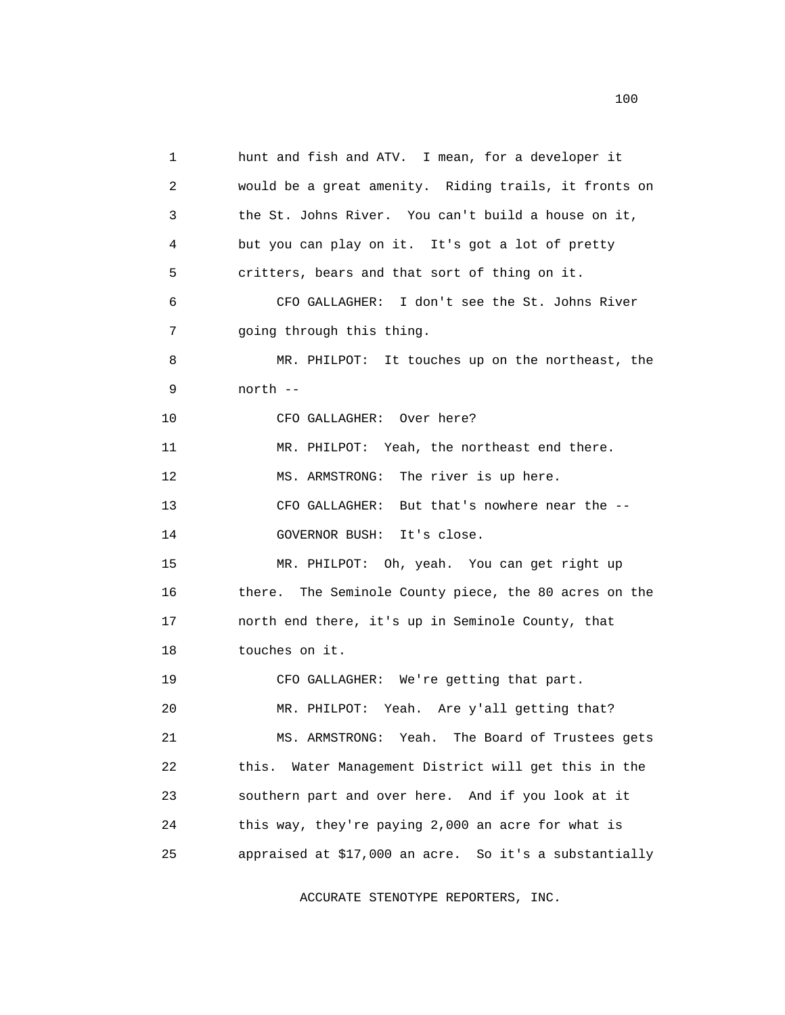1 hunt and fish and ATV. I mean, for a developer it 2 would be a great amenity. Riding trails, it fronts on 3 the St. Johns River. You can't build a house on it, 4 but you can play on it. It's got a lot of pretty 5 critters, bears and that sort of thing on it. 6 CFO GALLAGHER: I don't see the St. Johns River 7 going through this thing. 8 MR. PHILPOT: It touches up on the northeast, the 9 north -- 10 CFO GALLAGHER: Over here? 11 MR. PHILPOT: Yeah, the northeast end there. 12 MS. ARMSTRONG: The river is up here. 13 CFO GALLAGHER: But that's nowhere near the -- 14 GOVERNOR BUSH: It's close. 15 MR. PHILPOT: Oh, yeah. You can get right up 16 there. The Seminole County piece, the 80 acres on the 17 north end there, it's up in Seminole County, that 18 touches on it. 19 CFO GALLAGHER: We're getting that part. 20 MR. PHILPOT: Yeah. Are y'all getting that? 21 MS. ARMSTRONG: Yeah. The Board of Trustees gets 22 this. Water Management District will get this in the 23 southern part and over here. And if you look at it 24 this way, they're paying 2,000 an acre for what is 25 appraised at \$17,000 an acre. So it's a substantially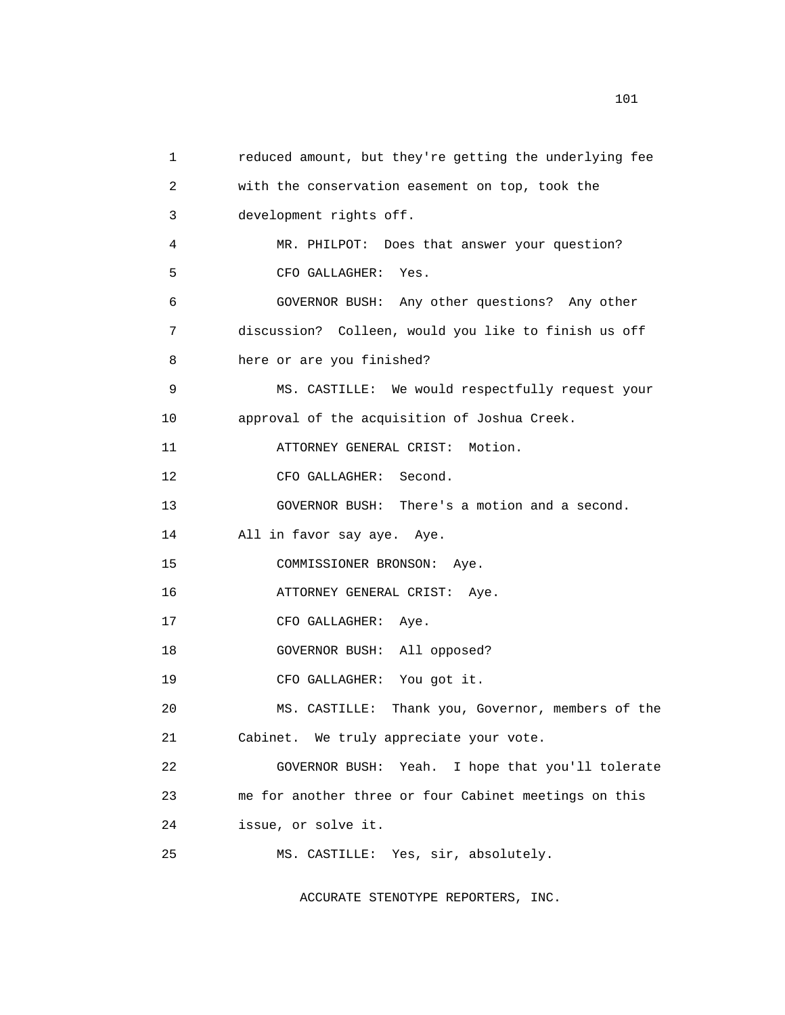```
 1 reduced amount, but they're getting the underlying fee 
 2 with the conservation easement on top, took the 
 3 development rights off. 
  4 MR. PHILPOT: Does that answer your question? 
 5 CFO GALLAGHER: Yes. 
 6 GOVERNOR BUSH: Any other questions? Any other 
 7 discussion? Colleen, would you like to finish us off 
 8 here or are you finished? 
 9 MS. CASTILLE: We would respectfully request your 
 10 approval of the acquisition of Joshua Creek. 
 11 ATTORNEY GENERAL CRIST: Motion. 
12 CFO GALLAGHER: Second.
 13 GOVERNOR BUSH: There's a motion and a second. 
 14 All in favor say aye. Aye. 
 15 COMMISSIONER BRONSON: Aye. 
 16 ATTORNEY GENERAL CRIST: Aye. 
17 CFO GALLAGHER: Aye.
 18 GOVERNOR BUSH: All opposed? 
 19 CFO GALLAGHER: You got it. 
 20 MS. CASTILLE: Thank you, Governor, members of the 
 21 Cabinet. We truly appreciate your vote. 
 22 GOVERNOR BUSH: Yeah. I hope that you'll tolerate 
 23 me for another three or four Cabinet meetings on this 
 24 issue, or solve it. 
 25 MS. CASTILLE: Yes, sir, absolutely.
```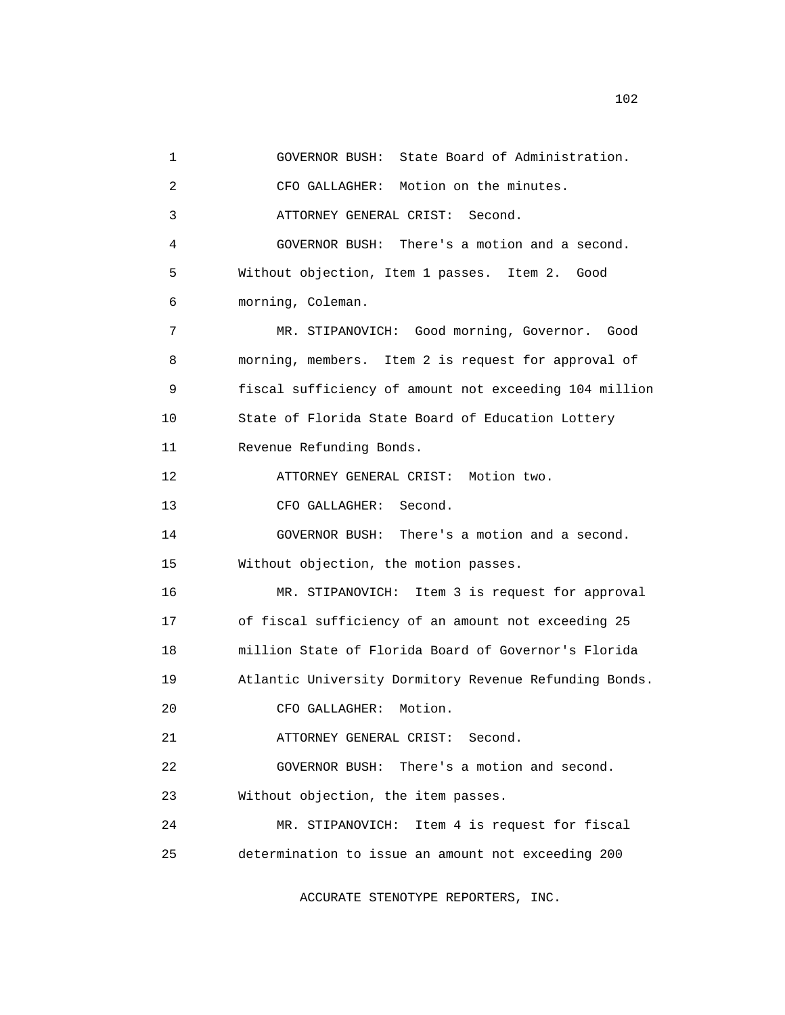1 GOVERNOR BUSH: State Board of Administration. 2 CFO GALLAGHER: Motion on the minutes. 3 ATTORNEY GENERAL CRIST: Second. 4 GOVERNOR BUSH: There's a motion and a second. 5 Without objection, Item 1 passes. Item 2. Good 6 morning, Coleman. 7 MR. STIPANOVICH: Good morning, Governor. Good 8 morning, members. Item 2 is request for approval of 9 fiscal sufficiency of amount not exceeding 104 million 10 State of Florida State Board of Education Lottery 11 Revenue Refunding Bonds. 12 ATTORNEY GENERAL CRIST: Motion two. 13 CFO GALLAGHER: Second. 14 GOVERNOR BUSH: There's a motion and a second. 15 Without objection, the motion passes. 16 MR. STIPANOVICH: Item 3 is request for approval 17 of fiscal sufficiency of an amount not exceeding 25 18 million State of Florida Board of Governor's Florida 19 Atlantic University Dormitory Revenue Refunding Bonds. 20 CFO GALLAGHER: Motion. 21 ATTORNEY GENERAL CRIST: Second. 22 GOVERNOR BUSH: There's a motion and second. 23 Without objection, the item passes. 24 MR. STIPANOVICH: Item 4 is request for fiscal 25 determination to issue an amount not exceeding 200

ACCURATE STENOTYPE REPORTERS, INC.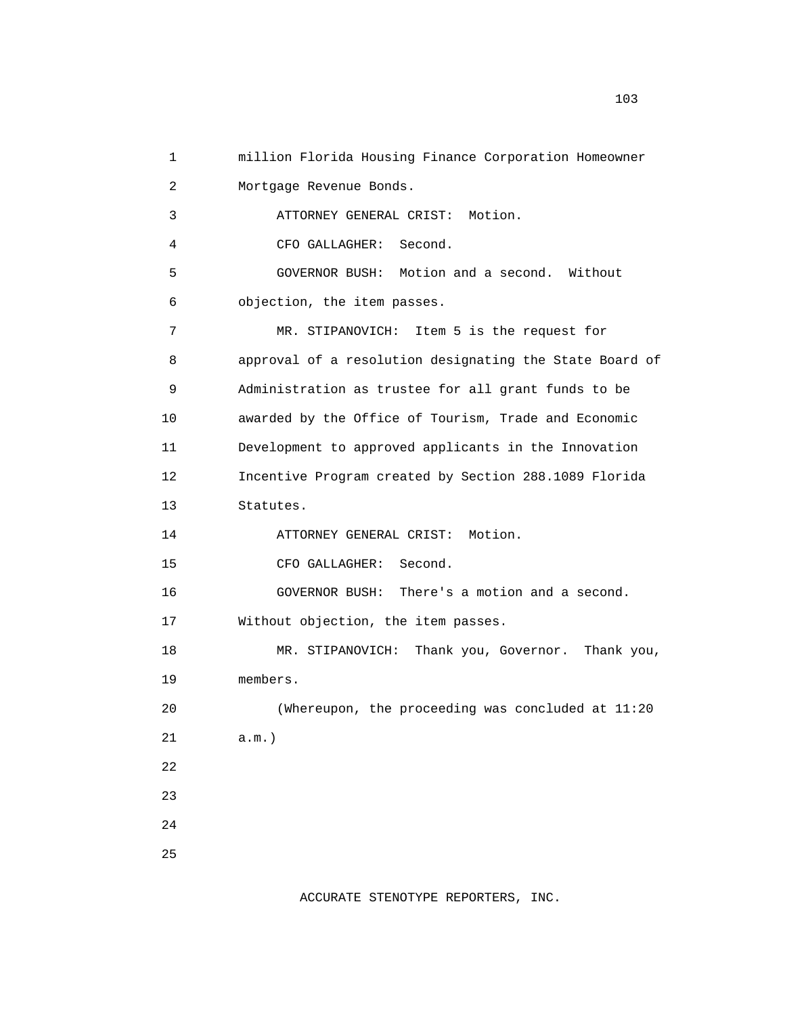1 million Florida Housing Finance Corporation Homeowner 2 Mortgage Revenue Bonds. 3 ATTORNEY GENERAL CRIST: Motion. 4 CFO GALLAGHER: Second. 5 GOVERNOR BUSH: Motion and a second. Without 6 objection, the item passes. 7 MR. STIPANOVICH: Item 5 is the request for 8 approval of a resolution designating the State Board of 9 Administration as trustee for all grant funds to be 10 awarded by the Office of Tourism, Trade and Economic 11 Development to approved applicants in the Innovation 12 Incentive Program created by Section 288.1089 Florida 13 Statutes. 14 ATTORNEY GENERAL CRIST: Motion. 15 CFO GALLAGHER: Second. 16 GOVERNOR BUSH: There's a motion and a second. 17 Without objection, the item passes. 18 MR. STIPANOVICH: Thank you, Governor. Thank you, 19 members. 20 (Whereupon, the proceeding was concluded at 11:20 21 a.m.) 22 23 24 25